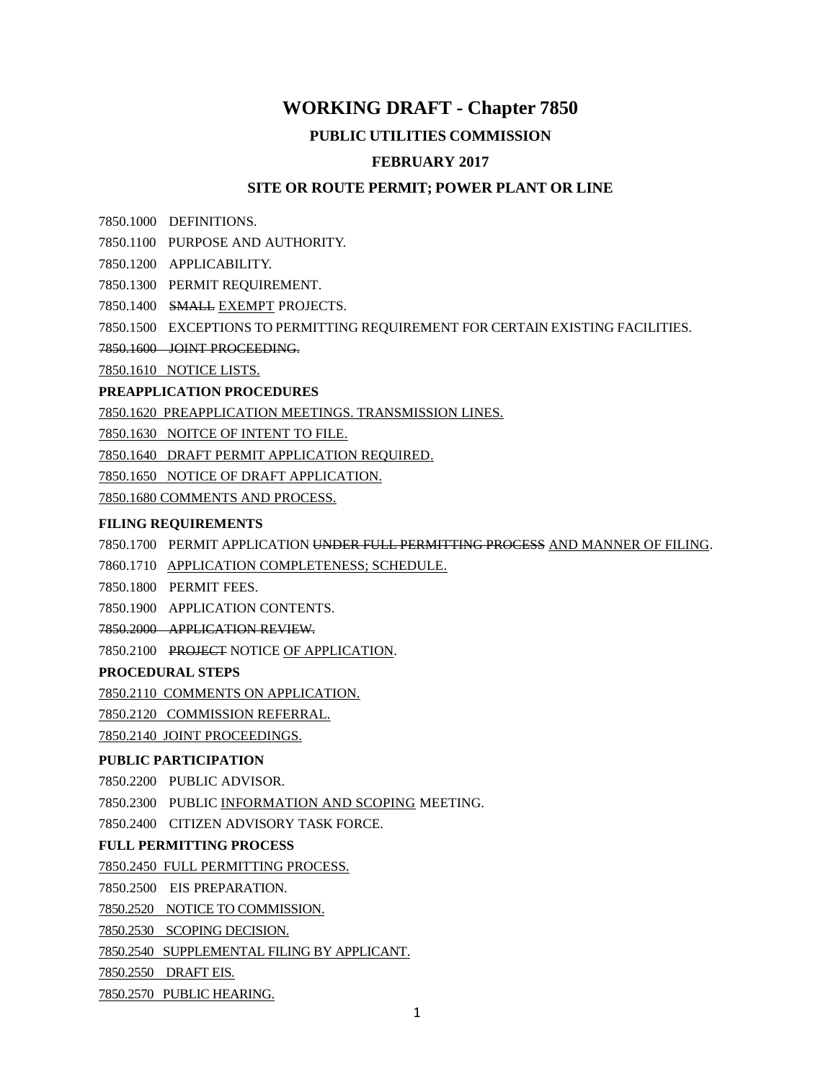## **WORKING DRAFT - Chapter 7850**

#### **PUBLIC UTILITIES COMMISSION**

#### **FEBRUARY 2017**

#### **SITE OR ROUTE PERMIT; POWER PLANT OR LINE**

7850.1000 DEFINITIONS.

- 7850.1100 PURPOSE AND AUTHORITY.
- 7850.1200 APPLICABILITY.
- 7850.1300 PERMIT REQUIREMENT.
- 7850.1400 SMALL EXEMPT PROJECTS.
- 7850.1500 EXCEPTIONS TO PERMITTING REQUIREMENT FOR CERTAIN EXISTING FACILITIES.
- 7850.1600 JOINT PROCEEDING.

7850.1610 NOTICE LISTS.

#### **PREAPPLICATION PROCEDURES**

7850.1620 PREAPPLICATION MEETINGS. TRANSMISSION LINES.

7850.1630 NOITCE OF INTENT TO FILE.

7850.1640 DRAFT PERMIT APPLICATION REQUIRED.

7850.1650 NOTICE OF DRAFT APPLICATION.

7850.1680 COMMENTS AND PROCESS.

#### **FILING REQUIREMENTS**

7850.1700 PERMIT APPLICATION UNDER FULL PERMITTING PROCESS AND MANNER OF FILING.

7860.1710 APPLICATION COMPLETENESS; SCHEDULE.

7850.1800 PERMIT FEES.

7850.1900 APPLICATION CONTENTS.

- 7850.2000 APPLICATION REVIEW.
- 7850.2100 PROJECT NOTICE OF APPLICATION.

#### **PROCEDURAL STEPS**

7850.2110 COMMENTS ON APPLICATION.

7850.2120 COMMISSION REFERRAL.

7850.2140 JOINT PROCEEDINGS.

#### **PUBLIC PARTICIPATION**

7850.2200 PUBLIC ADVISOR.

7850.2300 PUBLIC INFORMATION AND SCOPING MEETING.

7850.2400 CITIZEN ADVISORY TASK FORCE.

#### **FULL PERMITTING PROCESS**

7850.2450 FULL PERMITTING PROCESS.

7850.2500 EIS PREPARATION.

7850.2520 NOTICE TO COMMISSION.

7850.2530 SCOPING DECISION.

7850.2540 SUPPLEMENTAL FILING BY APPLICANT.

7850.2550 DRAFT EIS.

7850.2570 PUBLIC HEARING.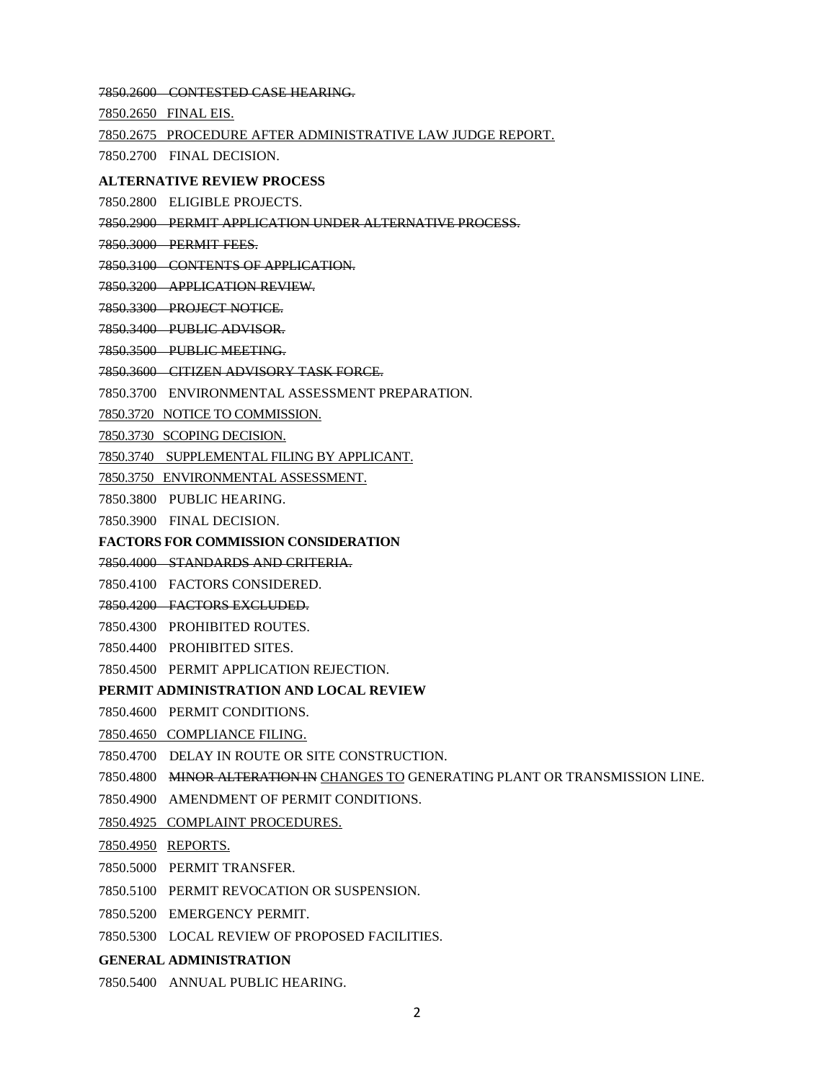7850.2600 CONTESTED CASE HEARING.

7850.2650 FINAL EIS.

7850.2675 PROCEDURE AFTER ADMINISTRATIVE LAW JUDGE REPORT.

7850.2700 FINAL DECISION.

#### **ALTERNATIVE REVIEW PROCESS**

7850.2800 ELIGIBLE PROJECTS.

7850.2900 PERMIT APPLICATION UNDER ALTERNATIVE PROCESS.

7850.3000 PERMIT FEES.

7850.3100 CONTENTS OF APPLICATION.

7850.3200 APPLICATION REVIEW.

7850.3300 PROJECT NOTICE.

7850.3400 PUBLIC ADVISOR.

7850.3500 PUBLIC MEETING.

7850.3600 CITIZEN ADVISORY TASK FORCE.

7850.3700 ENVIRONMENTAL ASSESSMENT PREPARATION.

7850.3720 NOTICE TO COMMISSION.

7850.3730 SCOPING DECISION.

7850.3740 SUPPLEMENTAL FILING BY APPLICANT.

7850.3750 ENVIRONMENTAL ASSESSMENT.

7850.3800 PUBLIC HEARING.

7850.3900 FINAL DECISION.

**FACTORS FOR COMMISSION CONSIDERATION**

7850.4000 STANDARDS AND CRITERIA.

7850.4100 FACTORS CONSIDERED.

7850.4200 FACTORS EXCLUDED.

7850.4300 PROHIBITED ROUTES.

7850.4400 PROHIBITED SITES.

7850.4500 PERMIT APPLICATION REJECTION.

#### **PERMIT ADMINISTRATION AND LOCAL REVIEW**

7850.4600 PERMIT CONDITIONS.

7850.4650 COMPLIANCE FILING.

7850.4700 DELAY IN ROUTE OR SITE CONSTRUCTION.

7850.4800 MINOR ALTERATION IN CHANGES TO GENERATING PLANT OR TRANSMISSION LINE.

7850.4900 AMENDMENT OF PERMIT CONDITIONS.

7850.4925 COMPLAINT PROCEDURES.

7850.4950 REPORTS.

7850.5000 PERMIT TRANSFER.

7850.5100 PERMIT REVOCATION OR SUSPENSION.

7850.5200 EMERGENCY PERMIT.

7850.5300 LOCAL REVIEW OF PROPOSED FACILITIES.

#### **GENERAL ADMINISTRATION**

7850.5400 ANNUAL PUBLIC HEARING.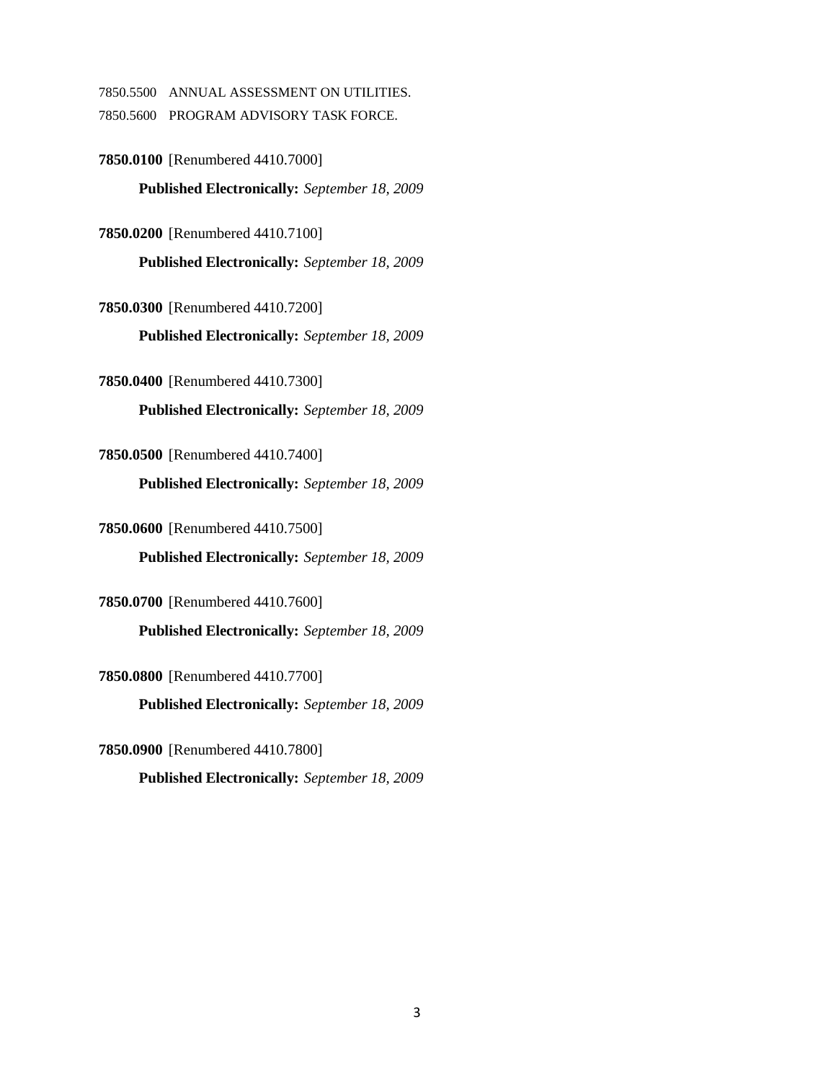7850.5500 ANNUAL ASSESSMENT ON UTILITIES.

7850.5600 PROGRAM ADVISORY TASK FORCE.

**7850.0100** [Renumbered 4410.7000] **Published Electronically:** *September 18, 2009*

**7850.0200** [Renumbered 4410.7100]

**Published Electronically:** *September 18, 2009*

**7850.0300** [Renumbered 4410.7200]

**Published Electronically:** *September 18, 2009*

**7850.0400** [Renumbered 4410.7300] **Published Electronically:** *September 18, 2009*

**7850.0500** [Renumbered 4410.7400]

**Published Electronically:** *September 18, 2009*

**7850.0600** [Renumbered 4410.7500] **Published Electronically:** *September 18, 2009*

**7850.0700** [Renumbered 4410.7600] **Published Electronically:** *September 18, 2009*

**7850.0800** [Renumbered 4410.7700]

**Published Electronically:** *September 18, 2009*

**7850.0900** [Renumbered 4410.7800] **Published Electronically:** *September 18, 2009*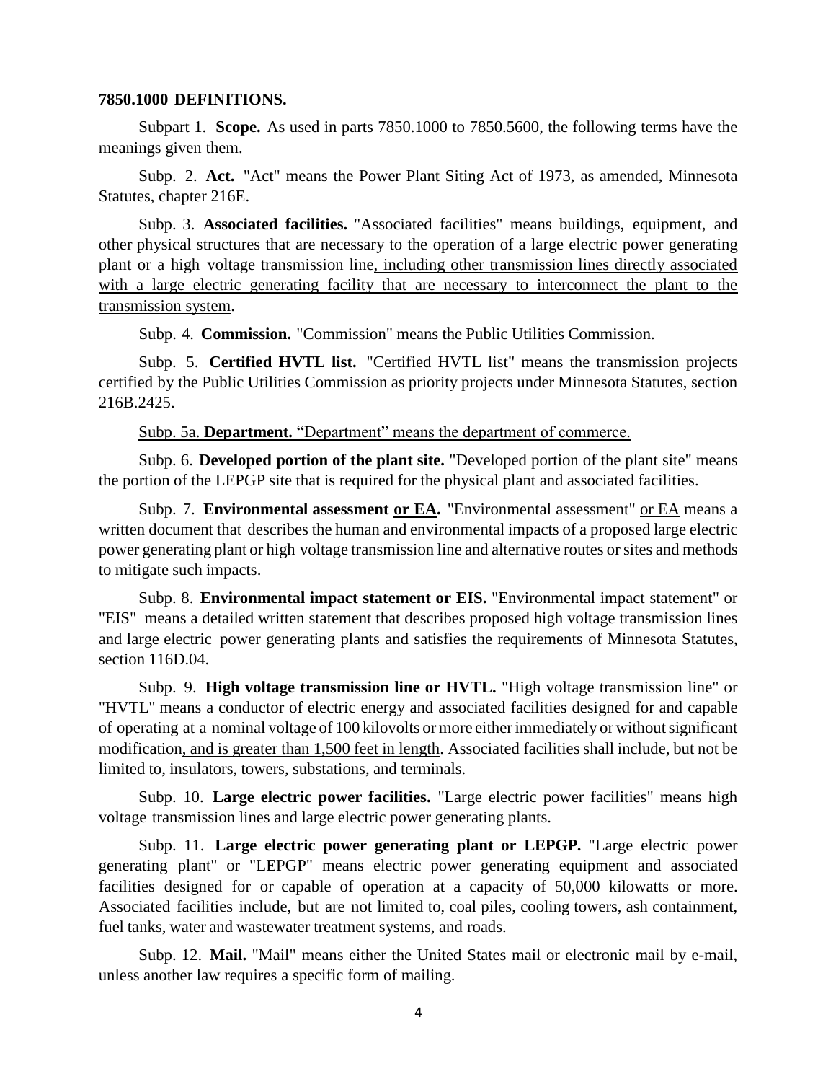#### **7850.1000 DEFINITIONS.**

Subpart 1. **Scope.** As used in parts 7850.1000 to 7850.5600, the following terms have the meanings given them.

Subp. 2. **Act.** "Act" means the Power Plant Siting Act of 1973, as amended, Minnesota Statutes, chapter 216E.

Subp. 3. **Associated facilities.** "Associated facilities" means buildings, equipment, and other physical structures that are necessary to the operation of a large electric power generating plant or a high voltage transmission line, including other transmission lines directly associated with a large electric generating facility that are necessary to interconnect the plant to the transmission system.

Subp. 4. **Commission.** "Commission" means the Public Utilities Commission.

Subp. 5. **Certified HVTL list.** "Certified HVTL list" means the transmission projects certified by the Public Utilities Commission as priority projects under Minnesota Statutes, section 216B.2425.

Subp. 5a. **Department.** "Department" means the department of commerce.

Subp. 6. **Developed portion of the plant site.** "Developed portion of the plant site" means the portion of the LEPGP site that is required for the physical plant and associated facilities.

Subp. 7. **Environmental assessment or EA.** "Environmental assessment" or EA means a written document that describes the human and environmental impacts of a proposed large electric power generating plant or high voltage transmission line and alternative routes orsites and methods to mitigate such impacts.

Subp. 8. **Environmental impact statement or EIS.** "Environmental impact statement" or "EIS" means a detailed written statement that describes proposed high voltage transmission lines and large electric power generating plants and satisfies the requirements of Minnesota Statutes, section 116D.04.

Subp. 9. **High voltage transmission line or HVTL.** "High voltage transmission line" or "HVTL" means a conductor of electric energy and associated facilities designed for and capable of operating at a nominal voltage of 100 kilovolts or more eitherimmediately or withoutsignificant modification, and is greater than 1,500 feet in length. Associated facilities shall include, but not be limited to, insulators, towers, substations, and terminals.

Subp. 10. **Large electric power facilities.** "Large electric power facilities" means high voltage transmission lines and large electric power generating plants.

Subp. 11. **Large electric power generating plant or LEPGP.** "Large electric power generating plant" or "LEPGP" means electric power generating equipment and associated facilities designed for or capable of operation at a capacity of 50,000 kilowatts or more. Associated facilities include, but are not limited to, coal piles, cooling towers, ash containment, fuel tanks, water and wastewater treatment systems, and roads.

Subp. 12. **Mail.** "Mail" means either the United States mail or electronic mail by e-mail, unless another law requires a specific form of mailing.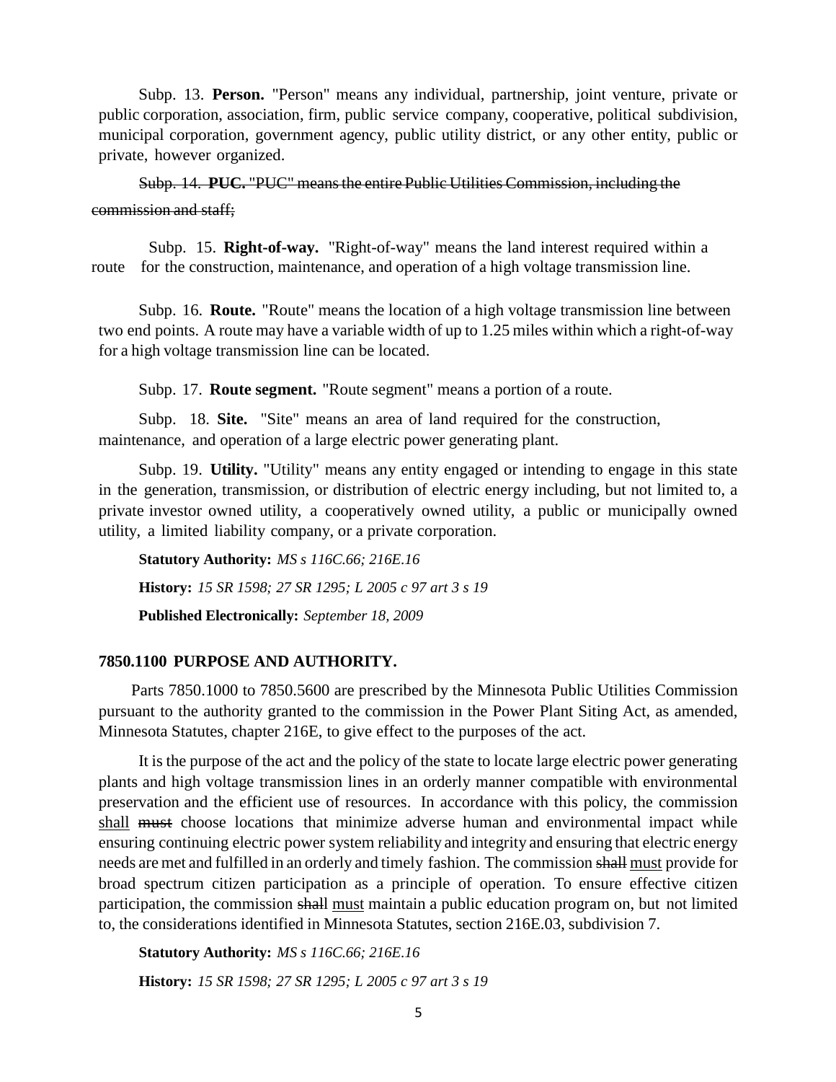Subp. 13. **Person.** "Person" means any individual, partnership, joint venture, private or public corporation, association, firm, public service company, cooperative, political subdivision, municipal corporation, government agency, public utility district, or any other entity, public or private, however organized.

Subp. 14. **PUC.** "PUC" meansthe entire Public Utilities Commission, including the commission and staff;

 Subp. 15. **Right-of-way.** "Right-of-way" means the land interest required within a route for the construction, maintenance, and operation of a high voltage transmission line.

Subp. 16. **Route.** "Route" means the location of a high voltage transmission line between two end points. A route may have a variable width of up to 1.25 miles within which a right-of-way for a high voltage transmission line can be located.

Subp. 17. **Route segment.** "Route segment" means a portion of a route.

Subp. 18. **Site.** "Site" means an area of land required for the construction, maintenance, and operation of a large electric power generating plant.

Subp. 19. **Utility.** "Utility" means any entity engaged or intending to engage in this state in the generation, transmission, or distribution of electric energy including, but not limited to, a private investor owned utility, a cooperatively owned utility, a public or municipally owned utility, a limited liability company, or a private corporation.

**Statutory Authority:** *MS s 116C.66; 216E.16* **History:** *15 SR 1598; 27 SR 1295; L 2005 c 97 art 3 s 19* **Published Electronically:** *September 18, 2009*

## **7850.1100 PURPOSE AND AUTHORITY.**

Parts 7850.1000 to 7850.5600 are prescribed by the Minnesota Public Utilities Commission pursuant to the authority granted to the commission in the Power Plant Siting Act, as amended, Minnesota Statutes, chapter 216E, to give effect to the purposes of the act.

It is the purpose of the act and the policy of the state to locate large electric power generating plants and high voltage transmission lines in an orderly manner compatible with environmental preservation and the efficient use of resources. In accordance with this policy, the commission shall must choose locations that minimize adverse human and environmental impact while ensuring continuing electric power system reliability and integrity and ensuring that electric energy needs are met and fulfilled in an orderly and timely fashion. The commission shall must provide for broad spectrum citizen participation as a principle of operation. To ensure effective citizen participation, the commission shall must maintain a public education program on, but not limited to, the considerations identified in Minnesota Statutes, section 216E.03, subdivision 7.

**Statutory Authority:** *MS s 116C.66; 216E.16*

**History:** *15 SR 1598; 27 SR 1295; L 2005 c 97 art 3 s 19*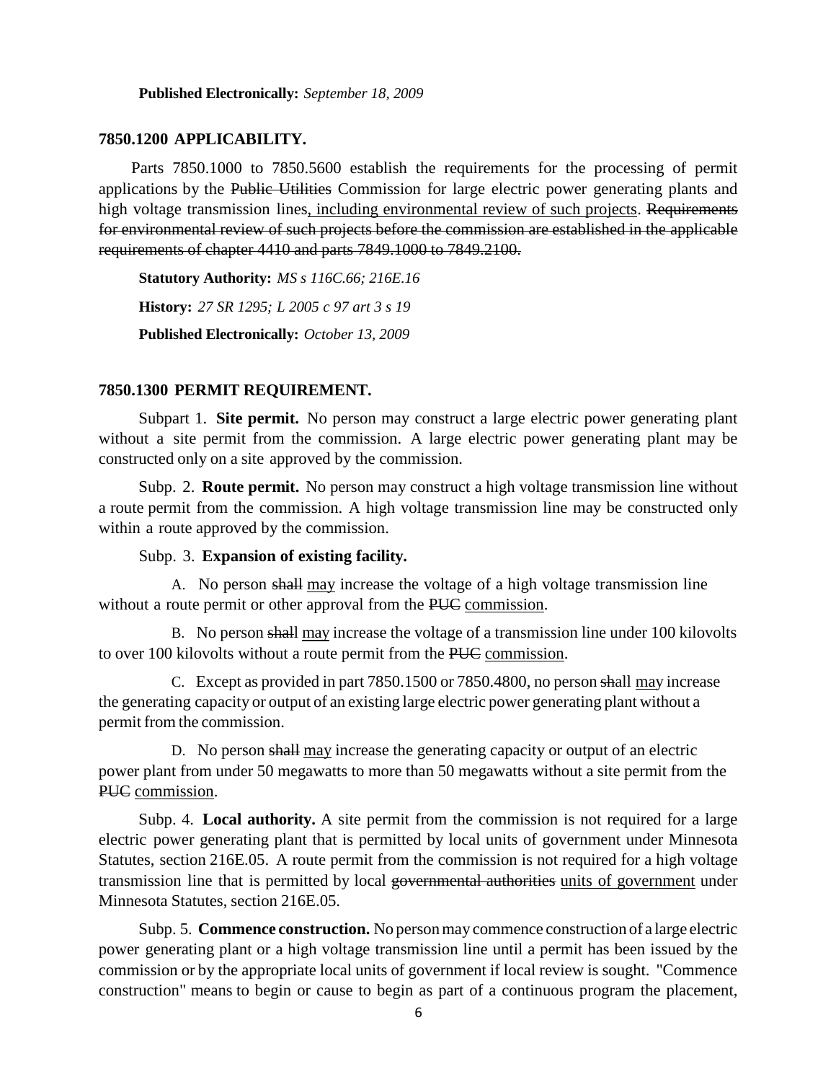**Published Electronically:** *September 18, 2009*

#### **7850.1200 APPLICABILITY.**

Parts 7850.1000 to 7850.5600 establish the requirements for the processing of permit applications by the Public Utilities Commission for large electric power generating plants and high voltage transmission lines, including environmental review of such projects. Requirements for environmental review of such projects before the commission are established in the applicable requirements of chapter 4410 and parts 7849.1000 to 7849.2100.

**Statutory Authority:** *MS s 116C.66; 216E.16* **History:** *27 SR 1295; L 2005 c 97 art 3 s 19* **Published Electronically:** *October 13, 2009*

#### **7850.1300 PERMIT REQUIREMENT.**

Subpart 1. **Site permit.** No person may construct a large electric power generating plant without a site permit from the commission. A large electric power generating plant may be constructed only on a site approved by the commission.

Subp. 2. **Route permit.** No person may construct a high voltage transmission line without a route permit from the commission. A high voltage transmission line may be constructed only within a route approved by the commission.

#### Subp. 3. **Expansion of existing facility.**

A. No person shall may increase the voltage of a high voltage transmission line without a route permit or other approval from the PUC commission.

B. No person shall may increase the voltage of a transmission line under 100 kilovolts to over 100 kilovolts without a route permit from the PUC commission.

C. Except as provided in part 7850.1500 or 7850.4800, no person shall may increase the generating capacity or output of an existing large electric power generating plant without a permit from the commission.

D. No person shall may increase the generating capacity or output of an electric power plant from under 50 megawatts to more than 50 megawatts without a site permit from the PUC commission.

Subp. 4. **Local authority.** A site permit from the commission is not required for a large electric power generating plant that is permitted by local units of government under Minnesota Statutes, section 216E.05. A route permit from the commission is not required for a high voltage transmission line that is permitted by local governmental authorities units of government under Minnesota Statutes, section 216E.05.

Subp. 5. **Commence construction.** No personmay commence construction of a large electric power generating plant or a high voltage transmission line until a permit has been issued by the commission or by the appropriate local units of government if local review is sought. "Commence construction" means to begin or cause to begin as part of a continuous program the placement,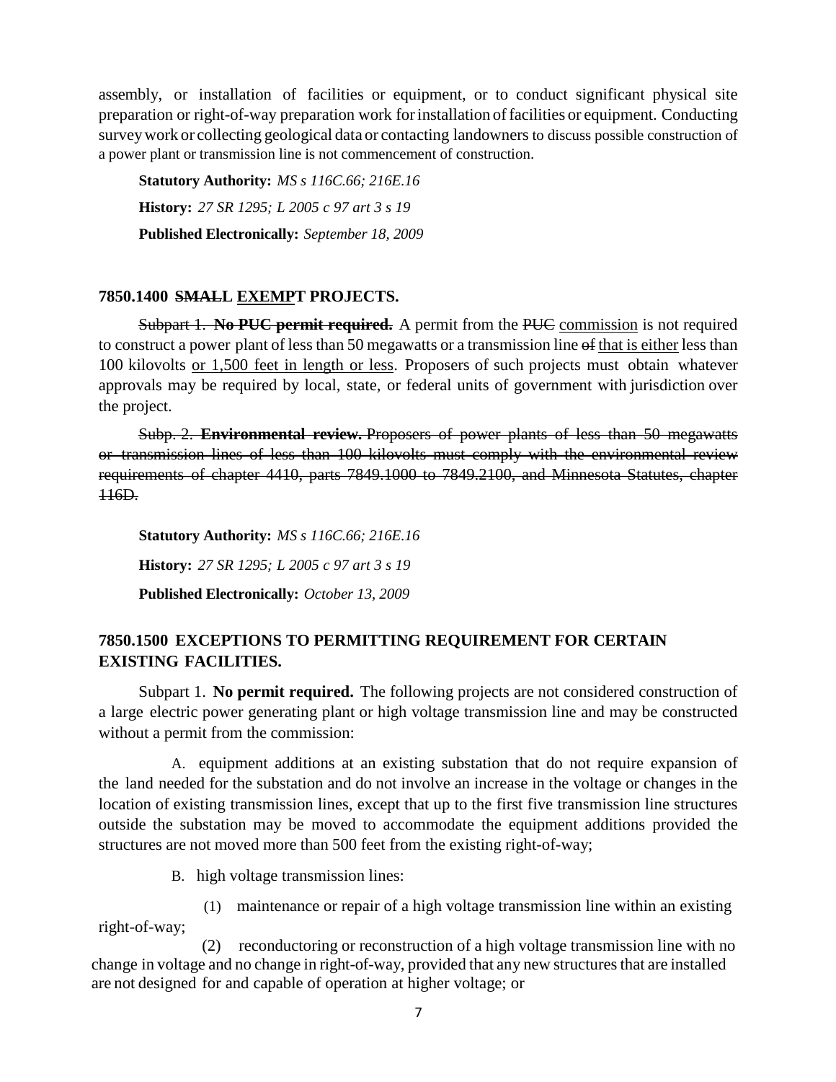assembly, or installation of facilities or equipment, or to conduct significant physical site preparation or right-of-way preparation work forinstallation offacilities or equipment. Conducting surveywork or collecting geological data or contacting landowners to discuss possible construction of a power plant or transmission line is not commencement of construction.

**Statutory Authority:** *MS s 116C.66; 216E.16* **History:** *27 SR 1295; L 2005 c 97 art 3 s 19* **Published Electronically:** *September 18, 2009*

# **7850.1400 SMALL EXEMPT PROJECTS.**

Subpart 1. **No PUC permit required.** A permit from the PUC commission is not required to construct a power plant of less than 50 megawatts or a transmission line of that is either less than 100 kilovolts or 1,500 feet in length or less. Proposers of such projects must obtain whatever approvals may be required by local, state, or federal units of government with jurisdiction over the project.

Subp. 2. **Environmental review.** Proposers of power plants of less than 50 megawatts or transmission lines of less than 100 kilovolts must comply with the environmental review requirements of chapter 4410, parts 7849.1000 to 7849.2100, and Minnesota Statutes, chapter 116D.

**Statutory Authority:** *MS s 116C.66; 216E.16* **History:** *27 SR 1295; L 2005 c 97 art 3 s 19* **Published Electronically:** *October 13, 2009*

# **7850.1500 EXCEPTIONS TO PERMITTING REQUIREMENT FOR CERTAIN EXISTING FACILITIES.**

Subpart 1. **No permit required.** The following projects are not considered construction of a large electric power generating plant or high voltage transmission line and may be constructed without a permit from the commission:

A. equipment additions at an existing substation that do not require expansion of the land needed for the substation and do not involve an increase in the voltage or changes in the location of existing transmission lines, except that up to the first five transmission line structures outside the substation may be moved to accommodate the equipment additions provided the structures are not moved more than 500 feet from the existing right-of-way;

B. high voltage transmission lines:

(1) maintenance or repair of a high voltage transmission line within an existing right-of-way;

 (2) reconductoring or reconstruction of a high voltage transmission line with no change in voltage and no change in right-of-way, provided that any new structures that are installed are not designed for and capable of operation at higher voltage; or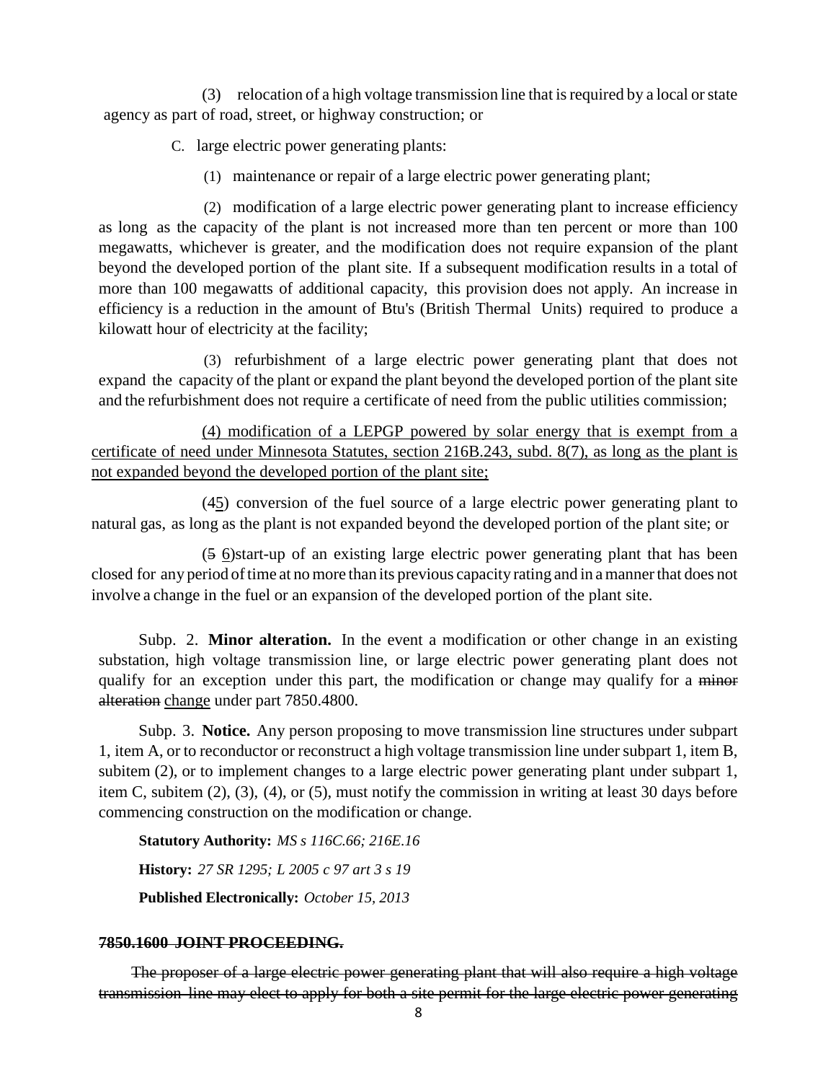(3) relocation of a high voltage transmission line that isrequired by a local orstate agency as part of road, street, or highway construction; or

C. large electric power generating plants:

(1) maintenance or repair of a large electric power generating plant;

(2) modification of a large electric power generating plant to increase efficiency as long as the capacity of the plant is not increased more than ten percent or more than 100 megawatts, whichever is greater, and the modification does not require expansion of the plant beyond the developed portion of the plant site. If a subsequent modification results in a total of more than 100 megawatts of additional capacity, this provision does not apply. An increase in efficiency is a reduction in the amount of Btu's (British Thermal Units) required to produce a kilowatt hour of electricity at the facility;

(3) refurbishment of a large electric power generating plant that does not expand the capacity of the plant or expand the plant beyond the developed portion of the plant site and the refurbishment does not require a certificate of need from the public utilities commission;

(4) modification of a LEPGP powered by solar energy that is exempt from a certificate of need under Minnesota Statutes, section 216B.243, subd. 8(7), as long as the plant is not expanded beyond the developed portion of the plant site;

(45) conversion of the fuel source of a large electric power generating plant to natural gas, as long as the plant is not expanded beyond the developed portion of the plant site; or

(5 6)start-up of an existing large electric power generating plant that has been closed for any period of time at no more than its previous capacity rating and in a manner that does not involve a change in the fuel or an expansion of the developed portion of the plant site.

Subp. 2. **Minor alteration.** In the event a modification or other change in an existing substation, high voltage transmission line, or large electric power generating plant does not qualify for an exception under this part, the modification or change may qualify for a minor alteration change under part 7850.4800.

Subp. 3. **Notice.** Any person proposing to move transmission line structures under subpart 1, item A, or to reconductor or reconstruct a high voltage transmission line under subpart 1, item B, subitem (2), or to implement changes to a large electric power generating plant under subpart 1, item C, subitem (2), (3), (4), or (5), must notify the commission in writing at least 30 days before commencing construction on the modification or change.

**Statutory Authority:** *MS s 116C.66; 216E.16* **History:** *27 SR 1295; L 2005 c 97 art 3 s 19* **Published Electronically:** *October 15, 2013*

## **7850.1600 JOINT PROCEEDING.**

The proposer of a large electric power generating plant that will also require a high voltage transmission line may elect to apply for both a site permit for the large electric power generating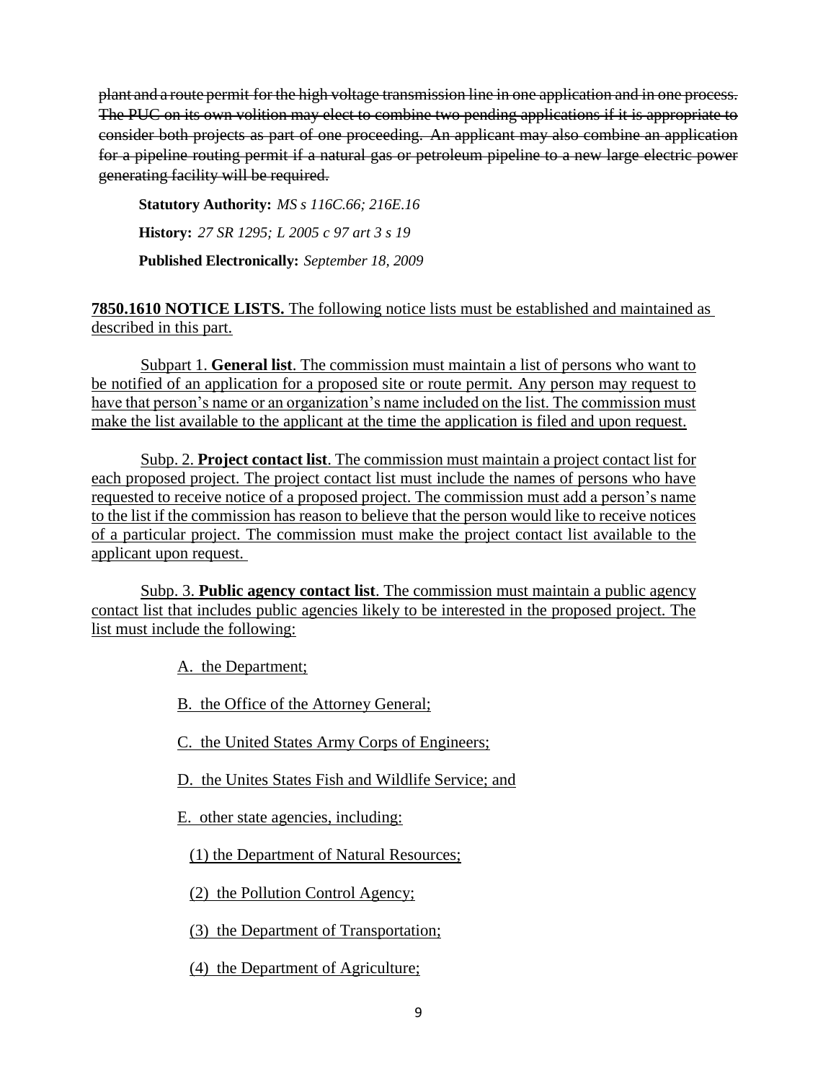plant and a route permit for the high voltage transmission line in one application and in one process. The PUC on its own volition may elect to combine two pending applications if it is appropriate to consider both projects as part of one proceeding. An applicant may also combine an application for a pipeline routing permit if a natural gas or petroleum pipeline to a new large electric power generating facility will be required.

**Statutory Authority:** *MS s 116C.66; 216E.16* **History:** *27 SR 1295; L 2005 c 97 art 3 s 19* **Published Electronically:** *September 18, 2009*

# **7850.1610 NOTICE LISTS.** The following notice lists must be established and maintained as described in this part.

Subpart 1. **General list**. The commission must maintain a list of persons who want to be notified of an application for a proposed site or route permit. Any person may request to have that person's name or an organization's name included on the list. The commission must make the list available to the applicant at the time the application is filed and upon request.

Subp. 2. **Project contact list**. The commission must maintain a project contact list for each proposed project. The project contact list must include the names of persons who have requested to receive notice of a proposed project. The commission must add a person's name to the list if the commission has reason to believe that the person would like to receive notices of a particular project. The commission must make the project contact list available to the applicant upon request.

Subp. 3. **Public agency contact list**. The commission must maintain a public agency contact list that includes public agencies likely to be interested in the proposed project. The list must include the following:

A. the Department;

B. the Office of the Attorney General;

C. the United States Army Corps of Engineers;

D. the Unites States Fish and Wildlife Service; and

E. other state agencies, including:

(1) the Department of Natural Resources;

(2) the Pollution Control Agency;

(3) the Department of Transportation;

(4) the Department of Agriculture;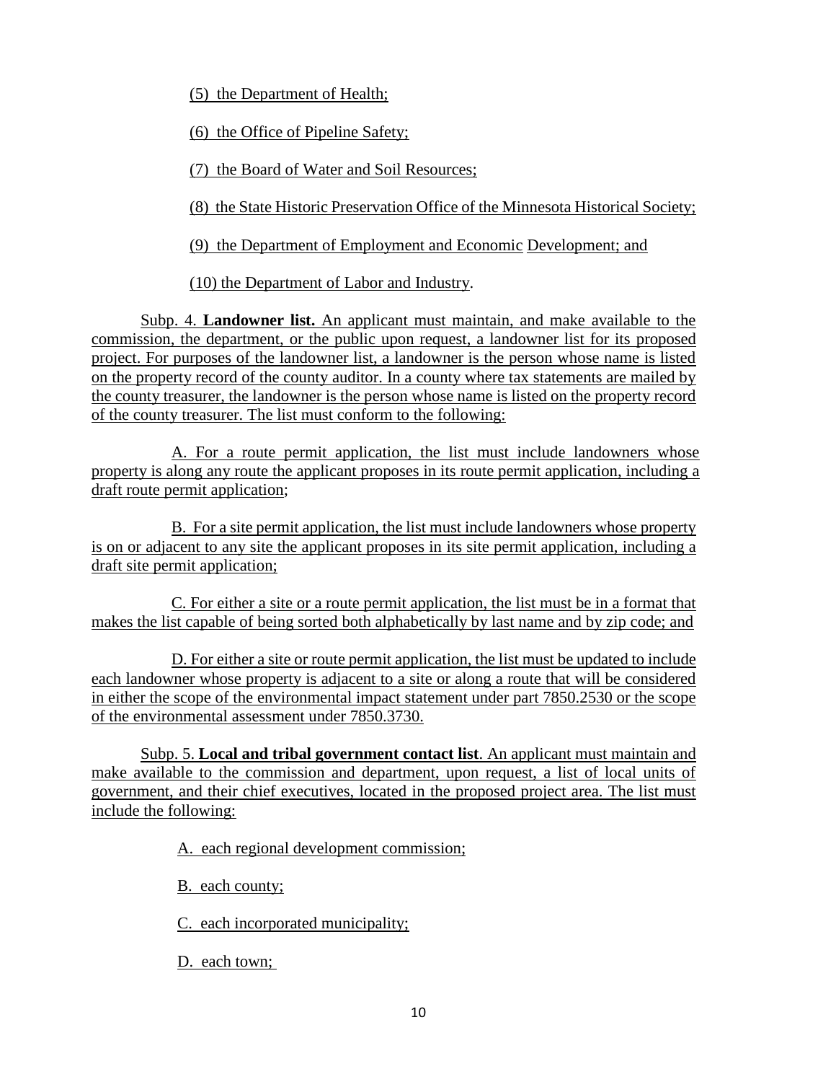(5) the Department of Health;

(6) the Office of Pipeline Safety;

(7) the Board of Water and Soil Resources;

(8) the State Historic Preservation Office of the Minnesota Historical Society;

(9) the Department of Employment and Economic Development; and

(10) the Department of Labor and Industry.

Subp. 4. **Landowner list.** An applicant must maintain, and make available to the commission, the department, or the public upon request, a landowner list for its proposed project. For purposes of the landowner list, a landowner is the person whose name is listed on the property record of the county auditor. In a county where tax statements are mailed by the county treasurer, the landowner is the person whose name is listed on the property record of the county treasurer. The list must conform to the following:

A. For a route permit application, the list must include landowners whose property is along any route the applicant proposes in its route permit application, including a draft route permit application;

B. For a site permit application, the list must include landowners whose property is on or adjacent to any site the applicant proposes in its site permit application, including a draft site permit application;

C. For either a site or a route permit application, the list must be in a format that makes the list capable of being sorted both alphabetically by last name and by zip code; and

D. For either a site or route permit application, the list must be updated to include each landowner whose property is adjacent to a site or along a route that will be considered in either the scope of the environmental impact statement under part 7850.2530 or the scope of the environmental assessment under 7850.3730.

Subp. 5. **Local and tribal government contact list**. An applicant must maintain and make available to the commission and department, upon request, a list of local units of government, and their chief executives, located in the proposed project area. The list must include the following:

A. each regional development commission;

B. each county;

C. each incorporated municipality;

D. each town;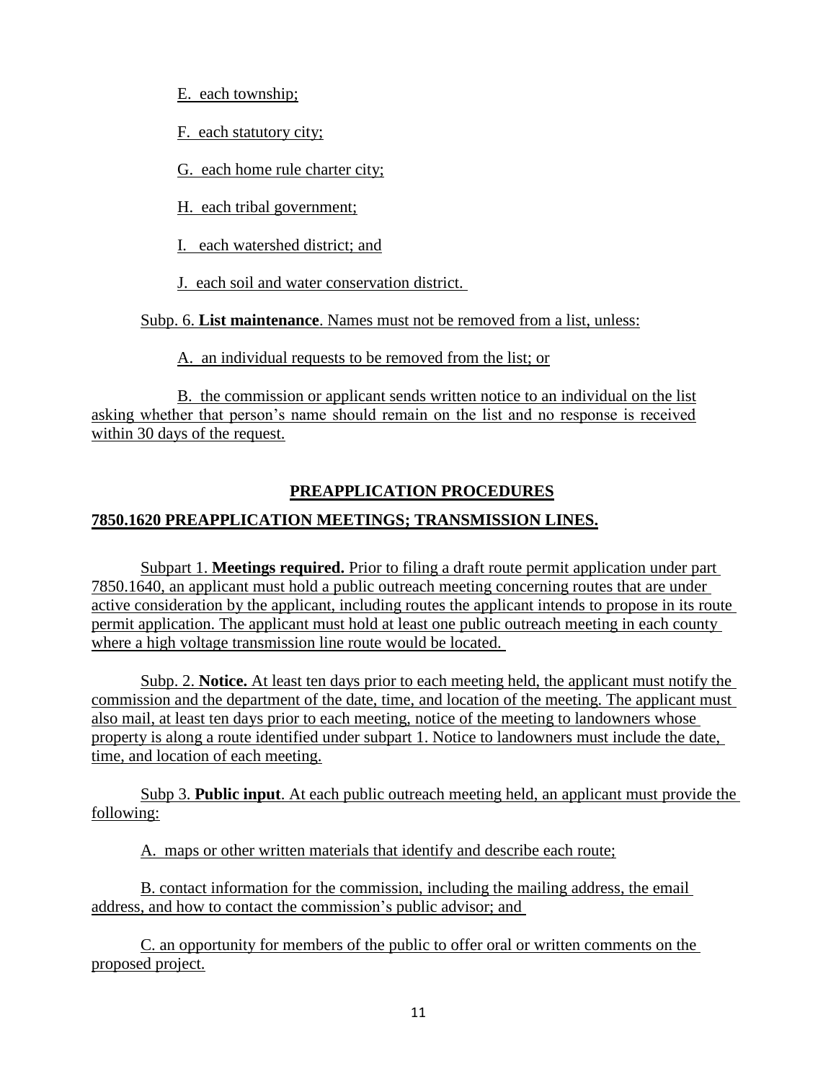E. each township;

F. each statutory city;

G. each home rule charter city;

H. each tribal government;

I. each watershed district; and

J. each soil and water conservation district.

Subp. 6. **List maintenance**. Names must not be removed from a list, unless:

A. an individual requests to be removed from the list; or

B. the commission or applicant sends written notice to an individual on the list asking whether that person's name should remain on the list and no response is received within 30 days of the request.

# **PREAPPLICATION PROCEDURES**

# **7850.1620 PREAPPLICATION MEETINGS; TRANSMISSION LINES.**

Subpart 1. **Meetings required.** Prior to filing a draft route permit application under part 7850.1640, an applicant must hold a public outreach meeting concerning routes that are under active consideration by the applicant, including routes the applicant intends to propose in its route permit application. The applicant must hold at least one public outreach meeting in each county where a high voltage transmission line route would be located.

Subp. 2. **Notice.** At least ten days prior to each meeting held, the applicant must notify the commission and the department of the date, time, and location of the meeting. The applicant must also mail, at least ten days prior to each meeting, notice of the meeting to landowners whose property is along a route identified under subpart 1. Notice to landowners must include the date, time, and location of each meeting.

Subp 3. **Public input**. At each public outreach meeting held, an applicant must provide the following:

A. maps or other written materials that identify and describe each route;

B. contact information for the commission, including the mailing address, the email address, and how to contact the commission's public advisor; and

C. an opportunity for members of the public to offer oral or written comments on the proposed project.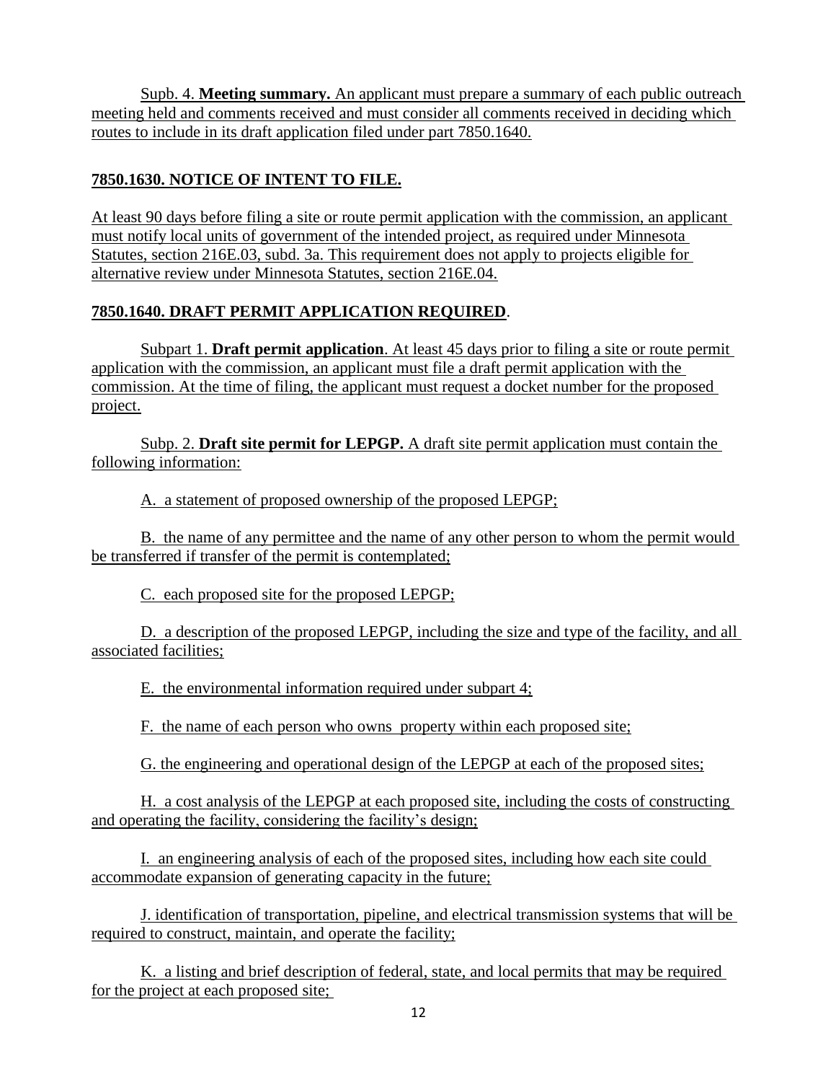Supb. 4. **Meeting summary.** An applicant must prepare a summary of each public outreach meeting held and comments received and must consider all comments received in deciding which routes to include in its draft application filed under part 7850.1640.

# **7850.1630. NOTICE OF INTENT TO FILE.**

At least 90 days before filing a site or route permit application with the commission, an applicant must notify local units of government of the intended project, as required under Minnesota Statutes, section 216E.03, subd. 3a. This requirement does not apply to projects eligible for alternative review under Minnesota Statutes, section 216E.04.

# **7850.1640. DRAFT PERMIT APPLICATION REQUIRED**.

Subpart 1. **Draft permit application**. At least 45 days prior to filing a site or route permit application with the commission, an applicant must file a draft permit application with the commission. At the time of filing, the applicant must request a docket number for the proposed project.

Subp. 2. **Draft site permit for LEPGP.** A draft site permit application must contain the following information:

A. a statement of proposed ownership of the proposed LEPGP;

 B. the name of any permittee and the name of any other person to whom the permit would be transferred if transfer of the permit is contemplated;

C. each proposed site for the proposed LEPGP;

D. a description of the proposed LEPGP, including the size and type of the facility, and all associated facilities;

E. the environmental information required under subpart 4;

F. the name of each person who owns property within each proposed site;

G. the engineering and operational design of the LEPGP at each of the proposed sites;

H. a cost analysis of the LEPGP at each proposed site, including the costs of constructing and operating the facility, considering the facility's design;

I. an engineering analysis of each of the proposed sites, including how each site could accommodate expansion of generating capacity in the future;

J. identification of transportation, pipeline, and electrical transmission systems that will be required to construct, maintain, and operate the facility;

K. a listing and brief description of federal, state, and local permits that may be required for the project at each proposed site;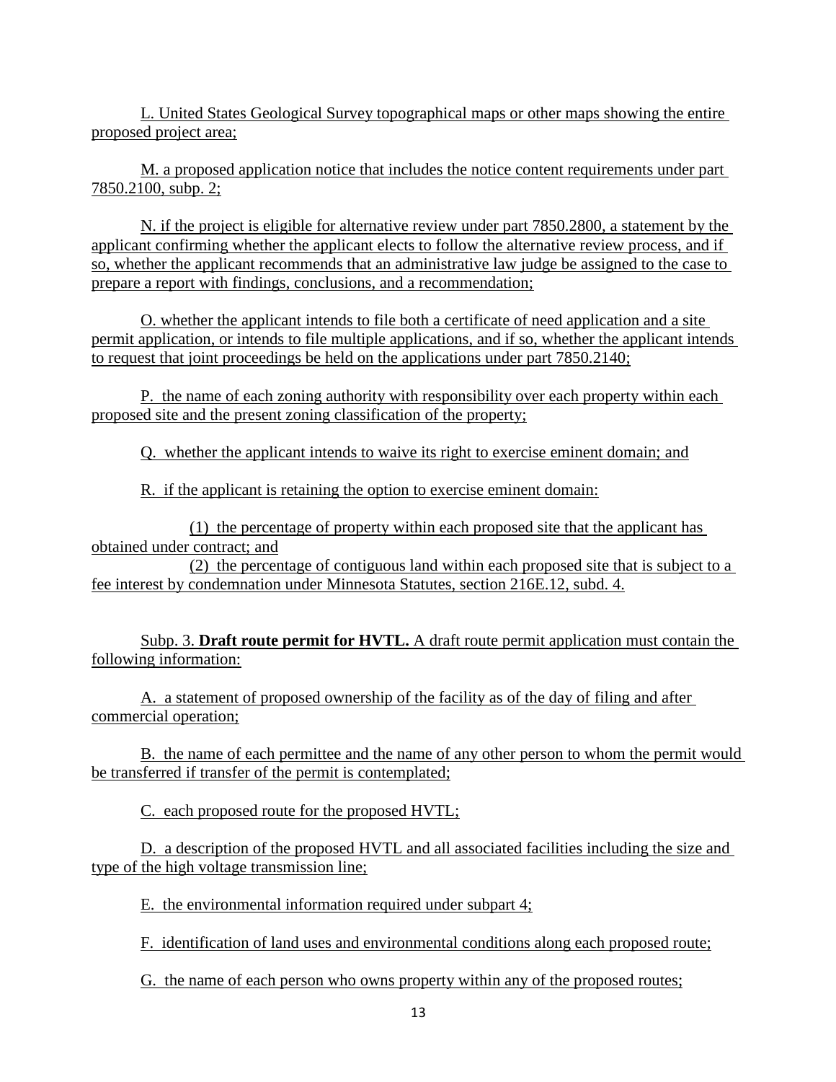L. United States Geological Survey topographical maps or other maps showing the entire proposed project area;

M. a proposed application notice that includes the notice content requirements under part 7850.2100, subp. 2;

N. if the project is eligible for alternative review under part 7850.2800, a statement by the applicant confirming whether the applicant elects to follow the alternative review process, and if so, whether the applicant recommends that an administrative law judge be assigned to the case to prepare a report with findings, conclusions, and a recommendation;

O. whether the applicant intends to file both a certificate of need application and a site permit application, or intends to file multiple applications, and if so, whether the applicant intends to request that joint proceedings be held on the applications under part 7850.2140;

P. the name of each zoning authority with responsibility over each property within each proposed site and the present zoning classification of the property;

Q. whether the applicant intends to waive its right to exercise eminent domain; and

R. if the applicant is retaining the option to exercise eminent domain:

(1) the percentage of property within each proposed site that the applicant has obtained under contract; and

(2) the percentage of contiguous land within each proposed site that is subject to a fee interest by condemnation under Minnesota Statutes, section 216E.12, subd. 4.

Subp. 3. **Draft route permit for HVTL.** A draft route permit application must contain the following information:

A. a statement of proposed ownership of the facility as of the day of filing and after commercial operation;

B. the name of each permittee and the name of any other person to whom the permit would be transferred if transfer of the permit is contemplated;

C. each proposed route for the proposed HVTL;

D. a description of the proposed HVTL and all associated facilities including the size and type of the high voltage transmission line;

E. the environmental information required under subpart 4;

F. identification of land uses and environmental conditions along each proposed route;

G. the name of each person who owns property within any of the proposed routes;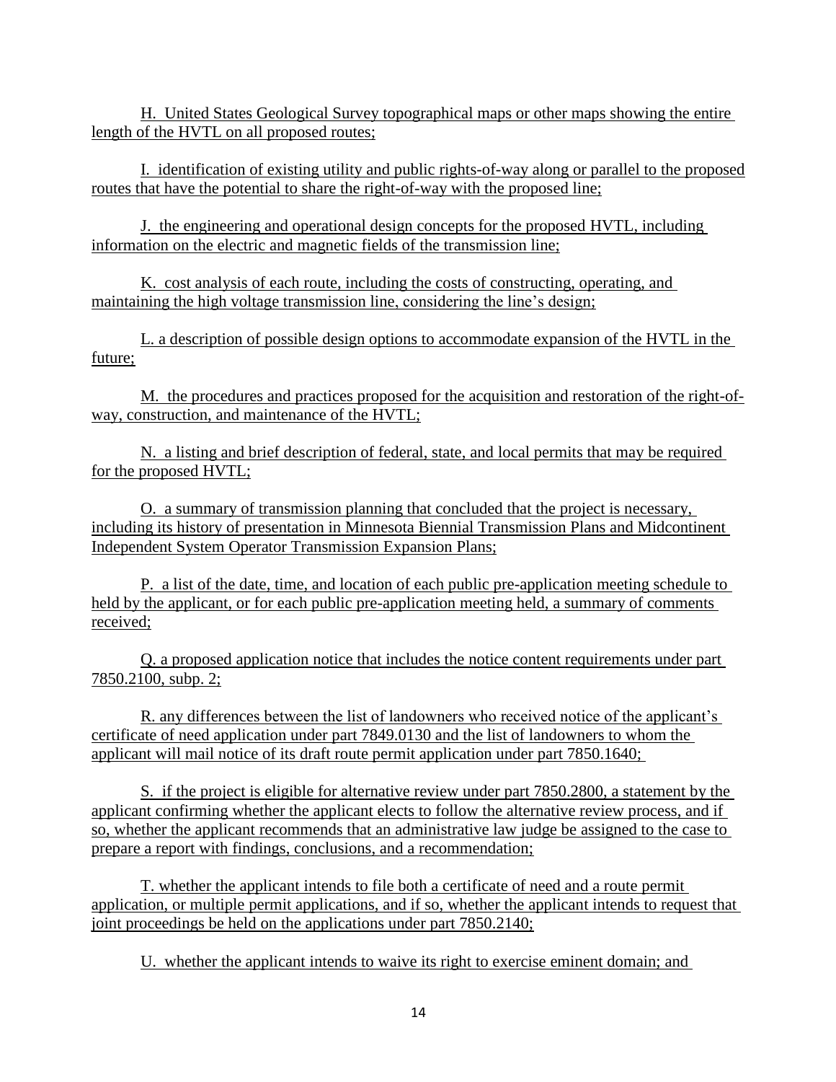H. United States Geological Survey topographical maps or other maps showing the entire length of the HVTL on all proposed routes;

I. identification of existing utility and public rights-of-way along or parallel to the proposed routes that have the potential to share the right-of-way with the proposed line;

J. the engineering and operational design concepts for the proposed HVTL, including information on the electric and magnetic fields of the transmission line;

K. cost analysis of each route, including the costs of constructing, operating, and maintaining the high voltage transmission line, considering the line's design;

L. a description of possible design options to accommodate expansion of the HVTL in the future;

M. the procedures and practices proposed for the acquisition and restoration of the right-ofway, construction, and maintenance of the HVTL;

N. a listing and brief description of federal, state, and local permits that may be required for the proposed HVTL;

O. a summary of transmission planning that concluded that the project is necessary, including its history of presentation in Minnesota Biennial Transmission Plans and Midcontinent Independent System Operator Transmission Expansion Plans;

P. a list of the date, time, and location of each public pre-application meeting schedule to held by the applicant, or for each public pre-application meeting held, a summary of comments received;

Q. a proposed application notice that includes the notice content requirements under part 7850.2100, subp. 2;

R. any differences between the list of landowners who received notice of the applicant's certificate of need application under part 7849.0130 and the list of landowners to whom the applicant will mail notice of its draft route permit application under part 7850.1640;

S. if the project is eligible for alternative review under part 7850.2800, a statement by the applicant confirming whether the applicant elects to follow the alternative review process, and if so, whether the applicant recommends that an administrative law judge be assigned to the case to prepare a report with findings, conclusions, and a recommendation;

T. whether the applicant intends to file both a certificate of need and a route permit application, or multiple permit applications, and if so, whether the applicant intends to request that joint proceedings be held on the applications under part 7850.2140;

U. whether the applicant intends to waive its right to exercise eminent domain; and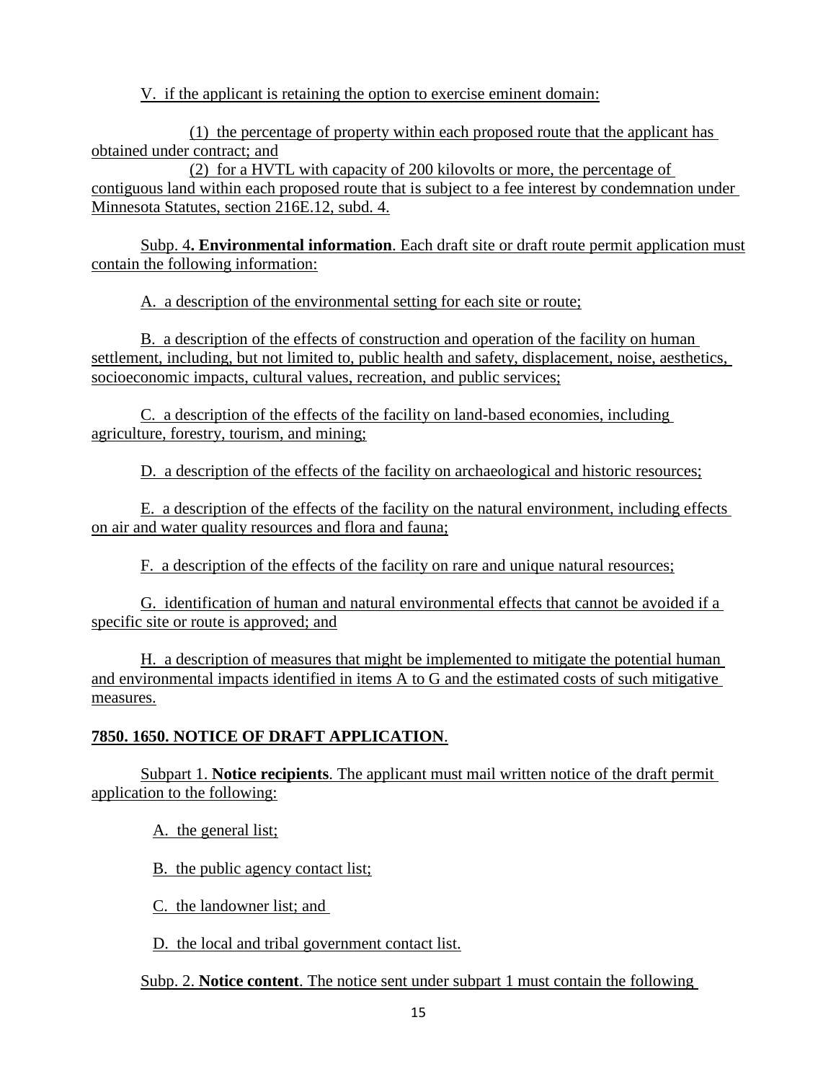V. if the applicant is retaining the option to exercise eminent domain:

(1) the percentage of property within each proposed route that the applicant has obtained under contract; and

(2) for a HVTL with capacity of 200 kilovolts or more, the percentage of contiguous land within each proposed route that is subject to a fee interest by condemnation under Minnesota Statutes, section 216E.12, subd. 4.

Subp. 4**. Environmental information**. Each draft site or draft route permit application must contain the following information:

A. a description of the environmental setting for each site or route;

B. a description of the effects of construction and operation of the facility on human settlement, including, but not limited to, public health and safety, displacement, noise, aesthetics, socioeconomic impacts, cultural values, recreation, and public services;

C. a description of the effects of the facility on land-based economies, including agriculture, forestry, tourism, and mining;

D. a description of the effects of the facility on archaeological and historic resources;

E. a description of the effects of the facility on the natural environment, including effects on air and water quality resources and flora and fauna;

F. a description of the effects of the facility on rare and unique natural resources;

G. identification of human and natural environmental effects that cannot be avoided if a specific site or route is approved; and

H. a description of measures that might be implemented to mitigate the potential human and environmental impacts identified in items A to G and the estimated costs of such mitigative measures.

# **7850. 1650. NOTICE OF DRAFT APPLICATION**.

Subpart 1. **Notice recipients**. The applicant must mail written notice of the draft permit application to the following:

A. the general list;

B. the public agency contact list;

C. the landowner list; and

D. the local and tribal government contact list.

Subp. 2. **Notice content**. The notice sent under subpart 1 must contain the following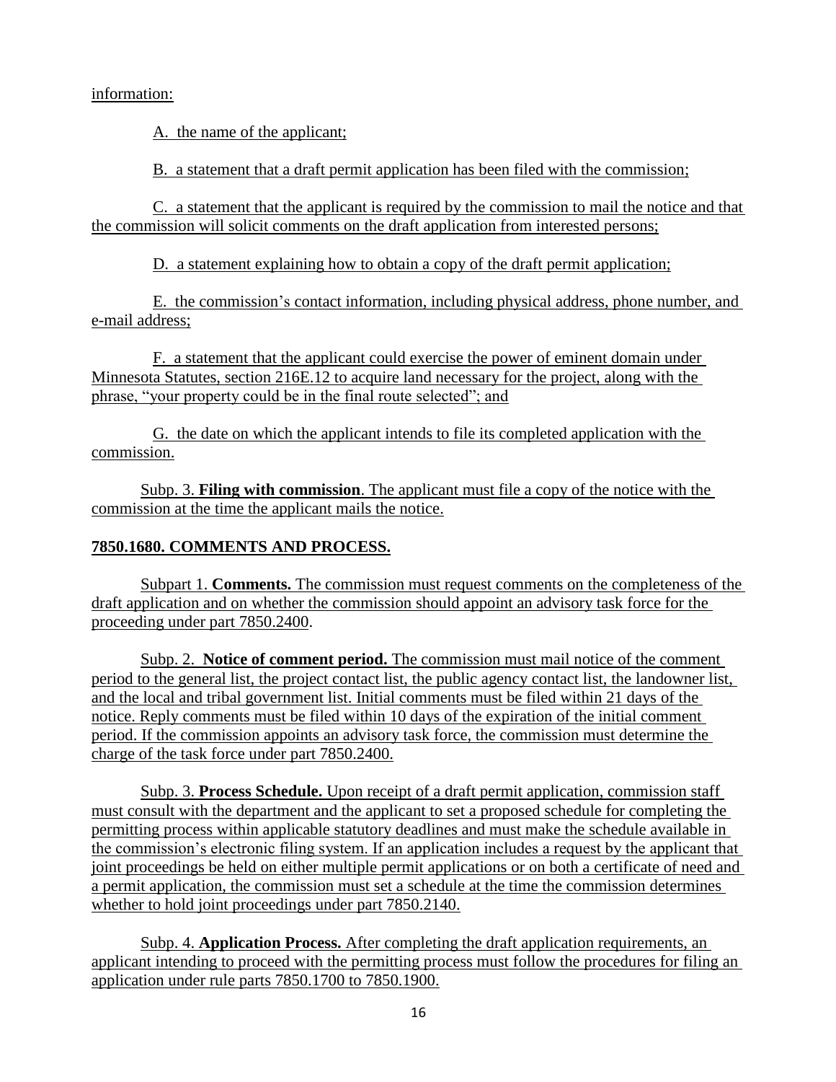## information:

A. the name of the applicant;

B. a statement that a draft permit application has been filed with the commission;

C. a statement that the applicant is required by the commission to mail the notice and that the commission will solicit comments on the draft application from interested persons;

D. a statement explaining how to obtain a copy of the draft permit application;

E. the commission's contact information, including physical address, phone number, and e-mail address;

F. a statement that the applicant could exercise the power of eminent domain under Minnesota Statutes, section 216E.12 to acquire land necessary for the project, along with the phrase, "your property could be in the final route selected"; and

G. the date on which the applicant intends to file its completed application with the commission.

Subp. 3. **Filing with commission**. The applicant must file a copy of the notice with the commission at the time the applicant mails the notice.

# **7850.1680. COMMENTS AND PROCESS.**

Subpart 1. **Comments.** The commission must request comments on the completeness of the draft application and on whether the commission should appoint an advisory task force for the proceeding under part 7850.2400.

Subp. 2. **Notice of comment period.** The commission must mail notice of the comment period to the general list, the project contact list, the public agency contact list, the landowner list, and the local and tribal government list. Initial comments must be filed within 21 days of the notice. Reply comments must be filed within 10 days of the expiration of the initial comment period. If the commission appoints an advisory task force, the commission must determine the charge of the task force under part 7850.2400.

Subp. 3. **Process Schedule.** Upon receipt of a draft permit application, commission staff must consult with the department and the applicant to set a proposed schedule for completing the permitting process within applicable statutory deadlines and must make the schedule available in the commission's electronic filing system. If an application includes a request by the applicant that joint proceedings be held on either multiple permit applications or on both a certificate of need and a permit application, the commission must set a schedule at the time the commission determines whether to hold joint proceedings under part 7850.2140.

Subp. 4. **Application Process.** After completing the draft application requirements, an applicant intending to proceed with the permitting process must follow the procedures for filing an application under rule parts 7850.1700 to 7850.1900.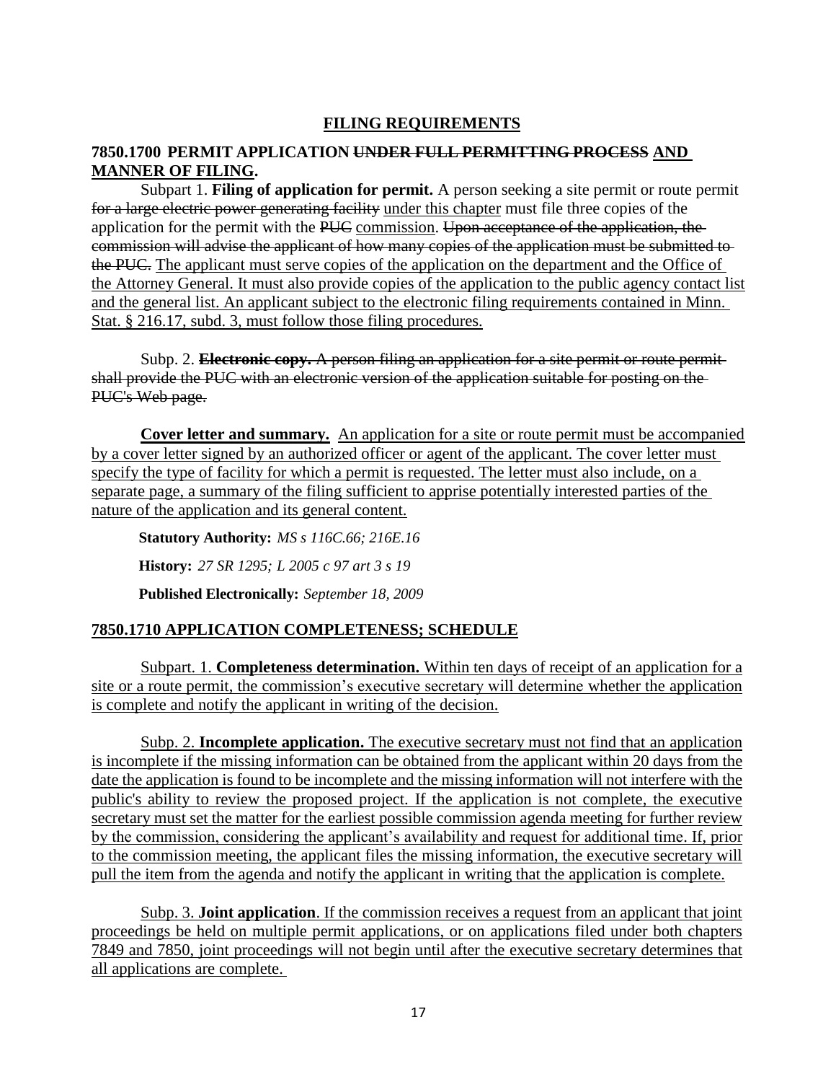# **FILING REQUIREMENTS**

## **7850.1700 PERMIT APPLICATION UNDER FULL PERMITTING PROCESS AND MANNER OF FILING.**

Subpart 1. **Filing of application for permit.** A person seeking a site permit or route permit for a large electric power generating facility under this chapter must file three copies of the application for the permit with the PUC commission. Upon acceptance of the application, the commission will advise the applicant of how many copies of the application must be submitted to the PUC. The applicant must serve copies of the application on the department and the Office of the Attorney General. It must also provide copies of the application to the public agency contact list and the general list. An applicant subject to the electronic filing requirements contained in Minn. Stat. § 216.17, subd. 3, must follow those filing procedures.

Subp. 2. **Electronic copy.** A person filing an application for a site permit or route permit shall provide the PUC with an electronic version of the application suitable for posting on the PUC's Web page.

**Cover letter and summary.** An application for a site or route permit must be accompanied by a cover letter signed by an authorized officer or agent of the applicant. The cover letter must specify the type of facility for which a permit is requested. The letter must also include, on a separate page, a summary of the filing sufficient to apprise potentially interested parties of the nature of the application and its general content.

**Statutory Authority:** *MS s 116C.66; 216E.16* **History:** *27 SR 1295; L 2005 c 97 art 3 s 19* **Published Electronically:** *September 18, 2009*

# **7850.1710 APPLICATION COMPLETENESS; SCHEDULE**

Subpart. 1. **Completeness determination.** Within ten days of receipt of an application for a site or a route permit, the commission's executive secretary will determine whether the application is complete and notify the applicant in writing of the decision.

Subp. 2. **Incomplete application.** The executive secretary must not find that an application is incomplete if the missing information can be obtained from the applicant within 20 days from the date the application is found to be incomplete and the missing information will not interfere with the public's ability to review the proposed project. If the application is not complete, the executive secretary must set the matter for the earliest possible commission agenda meeting for further review by the commission, considering the applicant's availability and request for additional time. If, prior to the commission meeting, the applicant files the missing information, the executive secretary will pull the item from the agenda and notify the applicant in writing that the application is complete.

Subp. 3. **Joint application**. If the commission receives a request from an applicant that joint proceedings be held on multiple permit applications, or on applications filed under both chapters 7849 and 7850, joint proceedings will not begin until after the executive secretary determines that all applications are complete.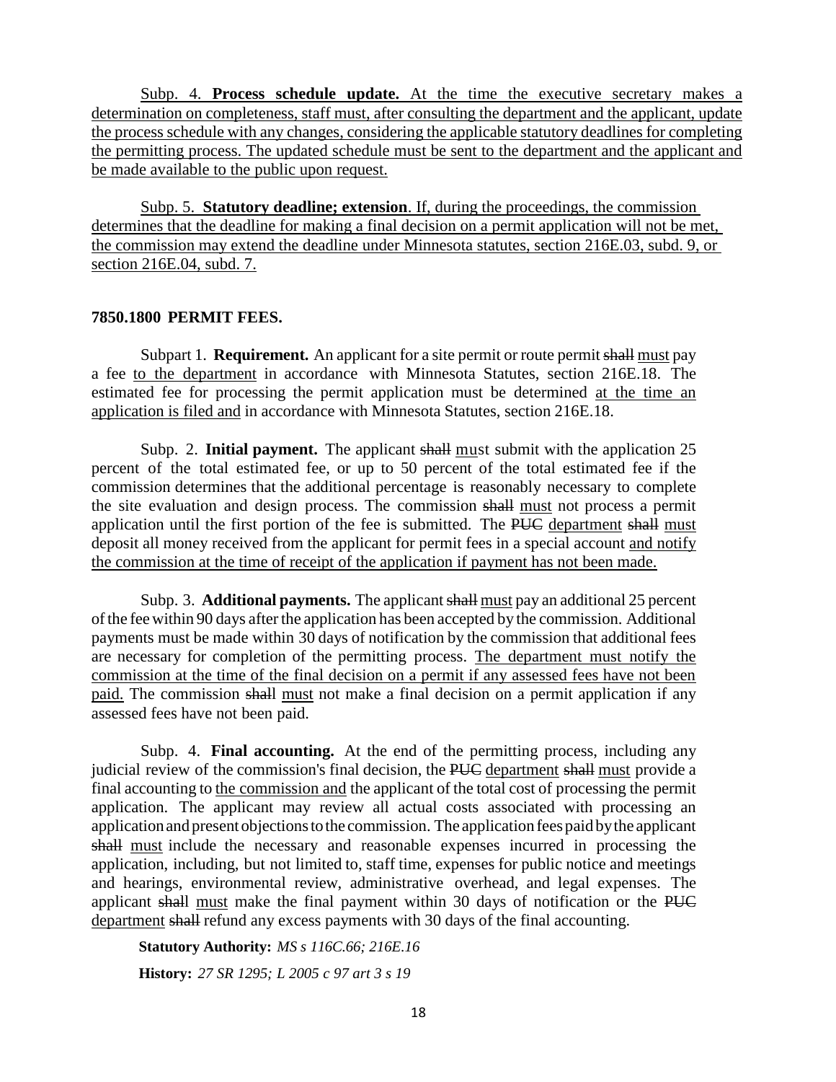Subp. 4. **Process schedule update.** At the time the executive secretary makes a determination on completeness, staff must, after consulting the department and the applicant, update the process schedule with any changes, considering the applicable statutory deadlines for completing the permitting process. The updated schedule must be sent to the department and the applicant and be made available to the public upon request.

Subp. 5. **Statutory deadline; extension**. If, during the proceedings, the commission determines that the deadline for making a final decision on a permit application will not be met, the commission may extend the deadline under Minnesota statutes, section 216E.03, subd. 9, or section 216E.04, subd. 7.

#### **7850.1800 PERMIT FEES.**

Subpart 1. **Requirement.** An applicant for a site permit or route permit shall must pay a fee to the department in accordance with Minnesota Statutes, section 216E.18. The estimated fee for processing the permit application must be determined at the time an application is filed and in accordance with Minnesota Statutes, section 216E.18.

Subp. 2. **Initial payment.** The applicant shall must submit with the application 25 percent of the total estimated fee, or up to 50 percent of the total estimated fee if the commission determines that the additional percentage is reasonably necessary to complete the site evaluation and design process. The commission shall must not process a permit application until the first portion of the fee is submitted. The PUC department shall must deposit all money received from the applicant for permit fees in a special account and notify the commission at the time of receipt of the application if payment has not been made.

Subp. 3. **Additional payments.** The applicant shall must pay an additional 25 percent ofthe fee within 90 days afterthe application has been accepted by the commission. Additional payments must be made within 30 days of notification by the commission that additional fees are necessary for completion of the permitting process. The department must notify the commission at the time of the final decision on a permit if any assessed fees have not been paid. The commission shall must not make a final decision on a permit application if any assessed fees have not been paid.

Subp. 4. **Final accounting.** At the end of the permitting process, including any judicial review of the commission's final decision, the PUC department shall must provide a final accounting to the commission and the applicant of the total cost of processing the permit application. The applicant may review all actual costs associated with processing an application and present objections to the commission. The application fees paid by the applicant shall must include the necessary and reasonable expenses incurred in processing the application, including, but not limited to, staff time, expenses for public notice and meetings and hearings, environmental review, administrative overhead, and legal expenses. The applicant shall must make the final payment within 30 days of notification or the PUC department shall refund any excess payments with 30 days of the final accounting.

**Statutory Authority:** *MS s 116C.66; 216E.16* **History:** *27 SR 1295; L 2005 c 97 art 3 s 19*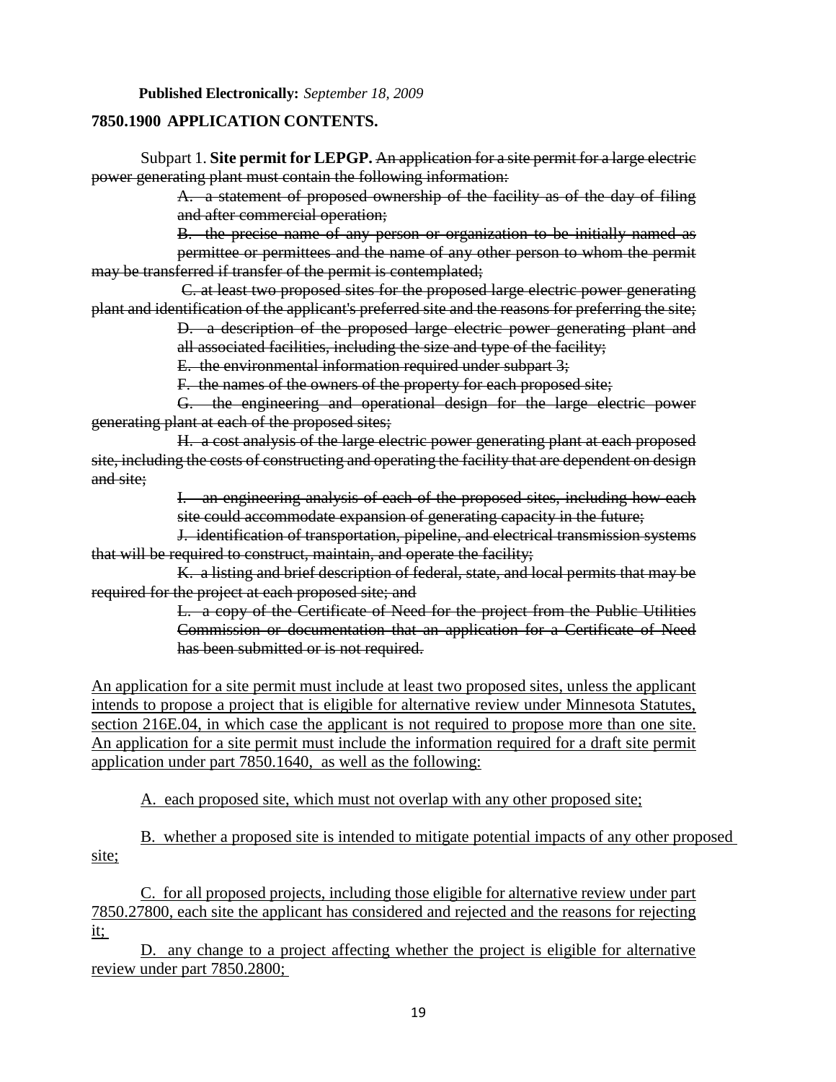### **7850.1900 APPLICATION CONTENTS.**

Subpart 1. **Site permit for LEPGP.** An application for a site permit for a large electric power generating plant must contain the following information:

> A. a statement of proposed ownership of the facility as of the day of filing and after commercial operation;

B. the precise name of any person or organization to be initially named as permittee or permittees and the name of any other person to whom the permit may be transferred if transfer of the permit is contemplated;

 C. at least two proposed sites for the proposed large electric power generating plant and identification of the applicant's preferred site and the reasons for preferring the site;

> D. a description of the proposed large electric power generating plant and all associated facilities, including the size and type of the facility;

E. the environmental information required under subpart 3;

F. the names of the owners of the property for each proposed site;

G. the engineering and operational design for the large electric power generating plant at each of the proposed sites;

H. a cost analysis of the large electric power generating plant at each proposed site, including the costs of constructing and operating the facility that are dependent on design and site;

> I. an engineering analysis of each of the proposed sites, including how each site could accommodate expansion of generating capacity in the future;

J. identification of transportation, pipeline, and electrical transmission systems that will be required to construct, maintain, and operate the facility;

K. a listing and brief description of federal, state, and local permits that may be required for the project at each proposed site; and

> L. a copy of the Certificate of Need for the project from the Public Utilities Commission or documentation that an application for a Certificate of Need has been submitted or is not required.

An application for a site permit must include at least two proposed sites, unless the applicant intends to propose a project that is eligible for alternative review under Minnesota Statutes, section 216E.04, in which case the applicant is not required to propose more than one site. An application for a site permit must include the information required for a draft site permit application under part 7850.1640, as well as the following:

A. each proposed site, which must not overlap with any other proposed site;

B. whether a proposed site is intended to mitigate potential impacts of any other proposed site;

C. for all proposed projects, including those eligible for alternative review under part 7850.27800, each site the applicant has considered and rejected and the reasons for rejecting it;

D. any change to a project affecting whether the project is eligible for alternative review under part 7850.2800;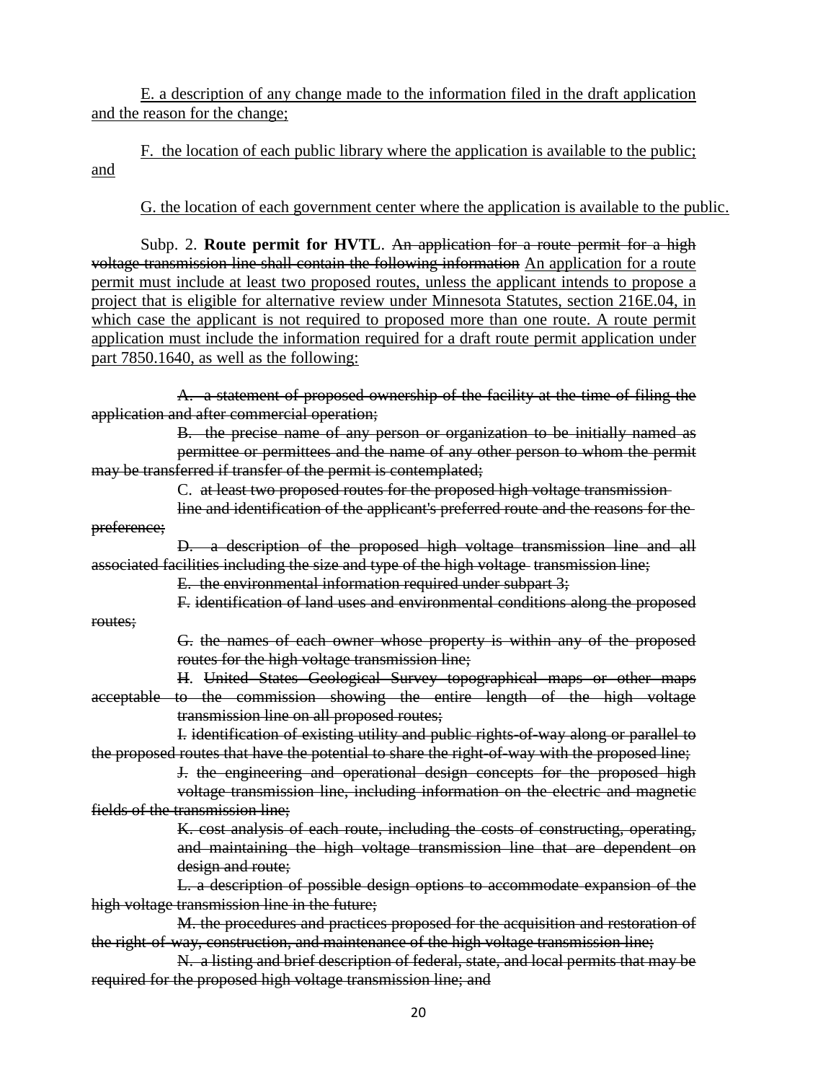E. a description of any change made to the information filed in the draft application and the reason for the change;

F. the location of each public library where the application is available to the public; and

G. the location of each government center where the application is available to the public.

Subp. 2. **Route permit for HVTL**. An application for a route permit for a high voltage transmission line shall contain the following information An application for a route permit must include at least two proposed routes, unless the applicant intends to propose a project that is eligible for alternative review under Minnesota Statutes, section 216E.04, in which case the applicant is not required to proposed more than one route. A route permit application must include the information required for a draft route permit application under part 7850.1640, as well as the following:

A. a statement of proposed ownership of the facility at the time of filing the application and after commercial operation;

B. the precise name of any person or organization to be initially named as permittee or permittees and the name of any other person to whom the permit may be transferred if transfer of the permit is contemplated;

C. at least two proposed routes for the proposed high voltage transmission

line and identification of the applicant's preferred route and the reasons for the preference;

D. a description of the proposed high voltage transmission line and all associated facilities including the size and type of the high voltage transmission line;

E. the environmental information required under subpart 3;

routes;

F. identification of land uses and environmental conditions along the proposed

G. the names of each owner whose property is within any of the proposed routes for the high voltage transmission line;

H. United States Geological Survey topographical maps or other maps acceptable to the commission showing the entire length of the high voltage transmission line on all proposed routes;

I. identification of existing utility and public rights-of-way along or parallel to the proposed routes that have the potential to share the right-of-way with the proposed line;

J. the engineering and operational design concepts for the proposed high voltage transmission line, including information on the electric and magnetic fields of the transmission line;

> K. cost analysis of each route, including the costs of constructing, operating, and maintaining the high voltage transmission line that are dependent on design and route;

L. a description of possible design options to accommodate expansion of the high voltage transmission line in the future;

M. the procedures and practices proposed for the acquisition and restoration of the right-of-way, construction, and maintenance of the high voltage transmission line;

N. a listing and brief description of federal, state, and local permits that may be required for the proposed high voltage transmission line; and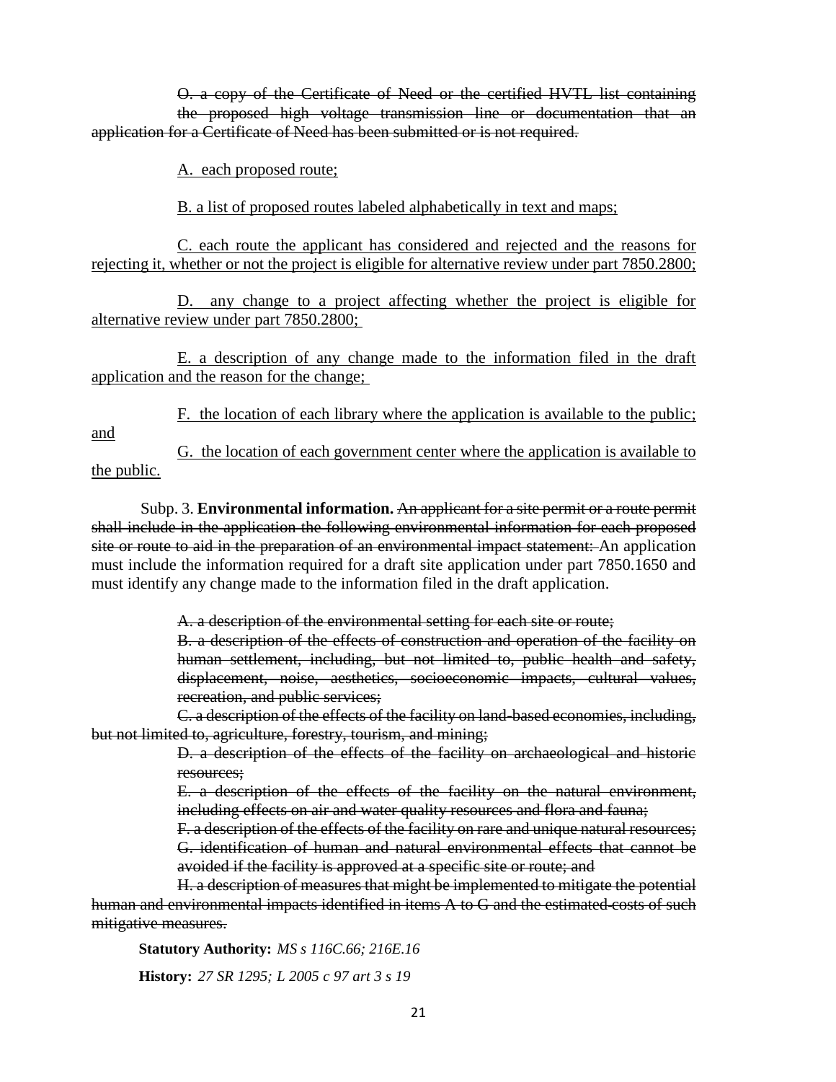O. a copy of the Certificate of Need or the certified HVTL list containing the proposed high voltage transmission line or documentation that an application for a Certificate of Need has been submitted or is not required.

A. each proposed route;

B. a list of proposed routes labeled alphabetically in text and maps;

C. each route the applicant has considered and rejected and the reasons for rejecting it, whether or not the project is eligible for alternative review under part 7850.2800;

D. any change to a project affecting whether the project is eligible for alternative review under part 7850.2800;

E. a description of any change made to the information filed in the draft application and the reason for the change;

F. the location of each library where the application is available to the public;

and

G. the location of each government center where the application is available to the public.

Subp. 3. **Environmental information.** An applicant for a site permit or a route permit shall include in the application the following environmental information for each proposed site or route to aid in the preparation of an environmental impact statement: An application must include the information required for a draft site application under part 7850.1650 and must identify any change made to the information filed in the draft application.

A. a description of the environmental setting for each site or route;

B. a description of the effects of construction and operation of the facility on human settlement, including, but not limited to, public health and safety, displacement, noise, aesthetics, socioeconomic impacts, cultural values, recreation, and public services;

C. a description of the effects of the facility on land-based economies, including, but not limited to, agriculture, forestry, tourism, and mining;

> D. a description of the effects of the facility on archaeological and historic resources;

> E. a description of the effects of the facility on the natural environment, including effects on air and water quality resources and flora and fauna;

> F. a description of the effects of the facility on rare and unique natural resources; G. identification of human and natural environmental effects that cannot be avoided if the facility is approved at a specific site or route; and

H. a description of measures that might be implemented to mitigate the potential human and environmental impacts identified in items A to G and the estimated costs of such mitigative measures.

**Statutory Authority:** *MS s 116C.66; 216E.16*

**History:** *27 SR 1295; L 2005 c 97 art 3 s 19*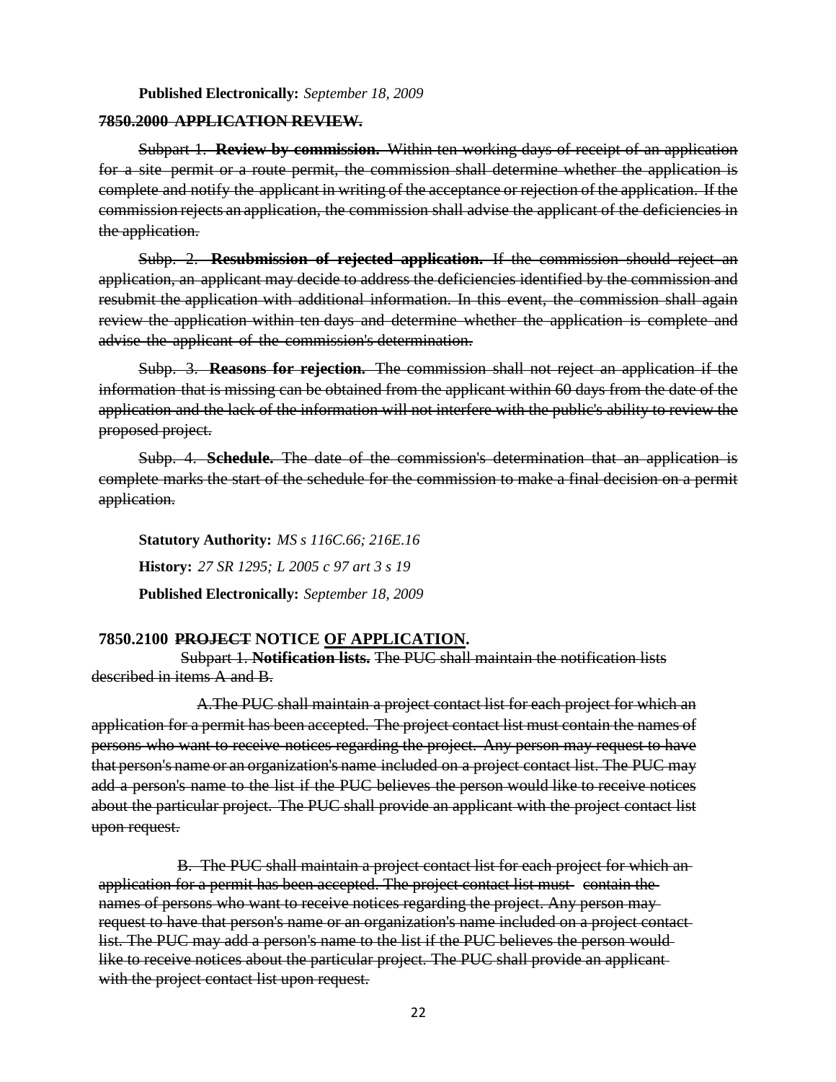#### **Published Electronically:** *September 18, 2009*

#### **7850.2000 APPLICATION REVIEW.**

Subpart 1. **Review by commission.** Within ten working days of receipt of an application for a site permit or a route permit, the commission shall determine whether the application is complete and notify the applicant in writing of the acceptance or rejection of the application. If the commission rejects an application, the commission shall advise the applicant of the deficiencies in the application.

Subp. 2. **Resubmission of rejected application.** If the commission should reject an application, an applicant may decide to address the deficiencies identified by the commission and resubmit the application with additional information. In this event, the commission shall again review the application within ten days and determine whether the application is complete and advise the applicant of the commission's determination.

Subp. 3. **Reasons for rejection.** The commission shall not reject an application if the information that is missing can be obtained from the applicant within 60 days from the date of the application and the lack of the information will not interfere with the public's ability to review the proposed project.

Subp. 4. **Schedule.** The date of the commission's determination that an application is complete marks the start of the schedule for the commission to make a final decision on a permit application.

**Statutory Authority:** *MS s 116C.66; 216E.16* **History:** *27 SR 1295; L 2005 c 97 art 3 s 19* **Published Electronically:** *September 18, 2009*

#### **7850.2100 PROJECT NOTICE OF APPLICATION.**

Subpart 1. **Notification lists.** The PUC shall maintain the notification lists described in items A and B.

A.The PUC shall maintain a project contact list for each project for which an application for a permit has been accepted. The project contact list must contain the names of persons who want to receive notices regarding the project. Any person may request to have that person's name or an organization's name included on a project contact list. The PUC may add a person's name to the list if the PUC believes the person would like to receive notices about the particular project. The PUC shall provide an applicant with the project contact list upon request.

B. The PUC shall maintain a project contact list for each project for which an application for a permit has been accepted. The project contact list must- contain the names of persons who want to receive notices regarding the project. Any person may request to have that person's name or an organization's name included on a project contact list. The PUC may add a person's name to the list if the PUC believes the person would like to receive notices about the particular project. The PUC shall provide an applicantwith the project contact list upon request.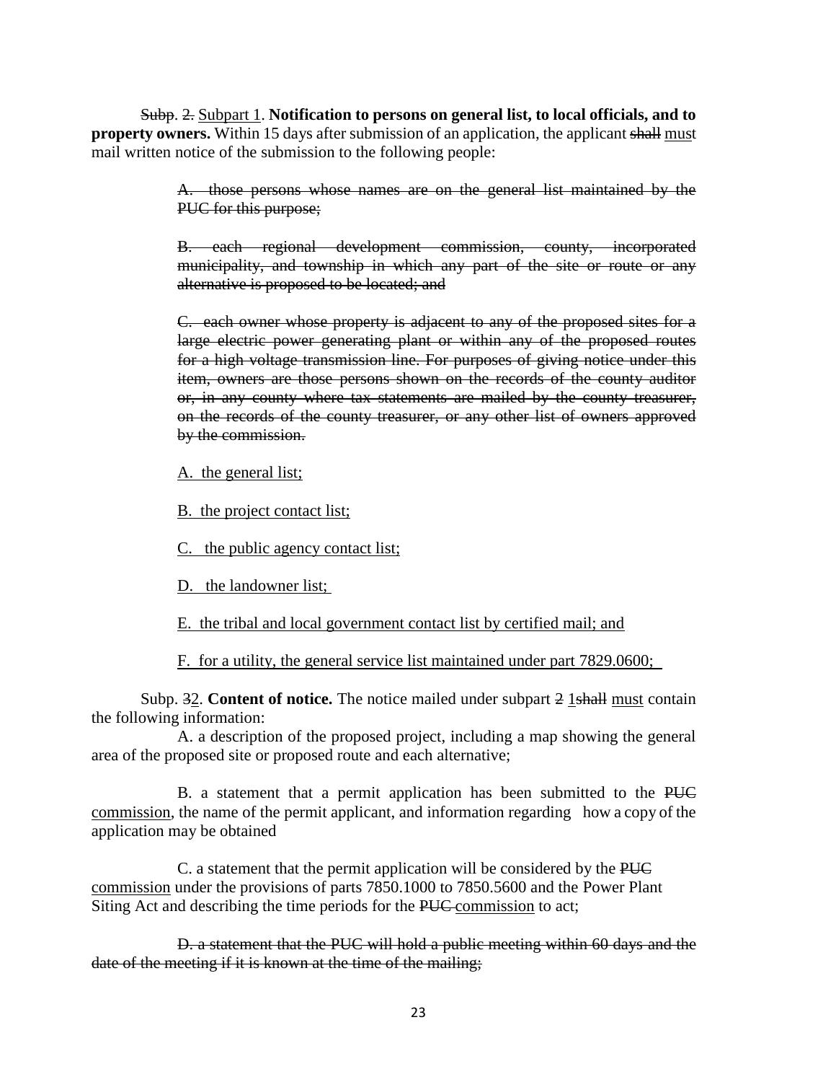Subp. 2. Subpart 1. **Notification to persons on general list, to local officials, and to property owners.** Within 15 days after submission of an application, the applicant shall must mail written notice of the submission to the following people:

> A. those persons whose names are on the general list maintained by the PUC for this purpose;

> B. each regional development commission, county, incorporated municipality, and township in which any part of the site or route or any alternative is proposed to be located; and

> C. each owner whose property is adjacent to any of the proposed sites for a large electric power generating plant or within any of the proposed routes for a high voltage transmission line. For purposes of giving notice under this item, owners are those persons shown on the records of the county auditor or, in any county where tax statements are mailed by the county treasurer, on the records of the county treasurer, or any other list of owners approved by the commission.

A. the general list;

B. the project contact list;

C. the public agency contact list;

D. the landowner list;

E. the tribal and local government contact list by certified mail; and

F. for a utility, the general service list maintained under part 7829.0600;

Subp. 32. **Content of notice.** The notice mailed under subpart 2 1shall must contain the following information:

A. a description of the proposed project, including a map showing the general area of the proposed site or proposed route and each alternative;

B. a statement that a permit application has been submitted to the PUC commission, the name of the permit applicant, and information regarding how a copy of the application may be obtained

C. a statement that the permit application will be considered by the PUC commission under the provisions of parts 7850.1000 to 7850.5600 and the Power Plant Siting Act and describing the time periods for the PUC commission to act;

D. a statement that the PUC will hold a public meeting within 60 days and the date of the meeting if it is known at the time of the mailing;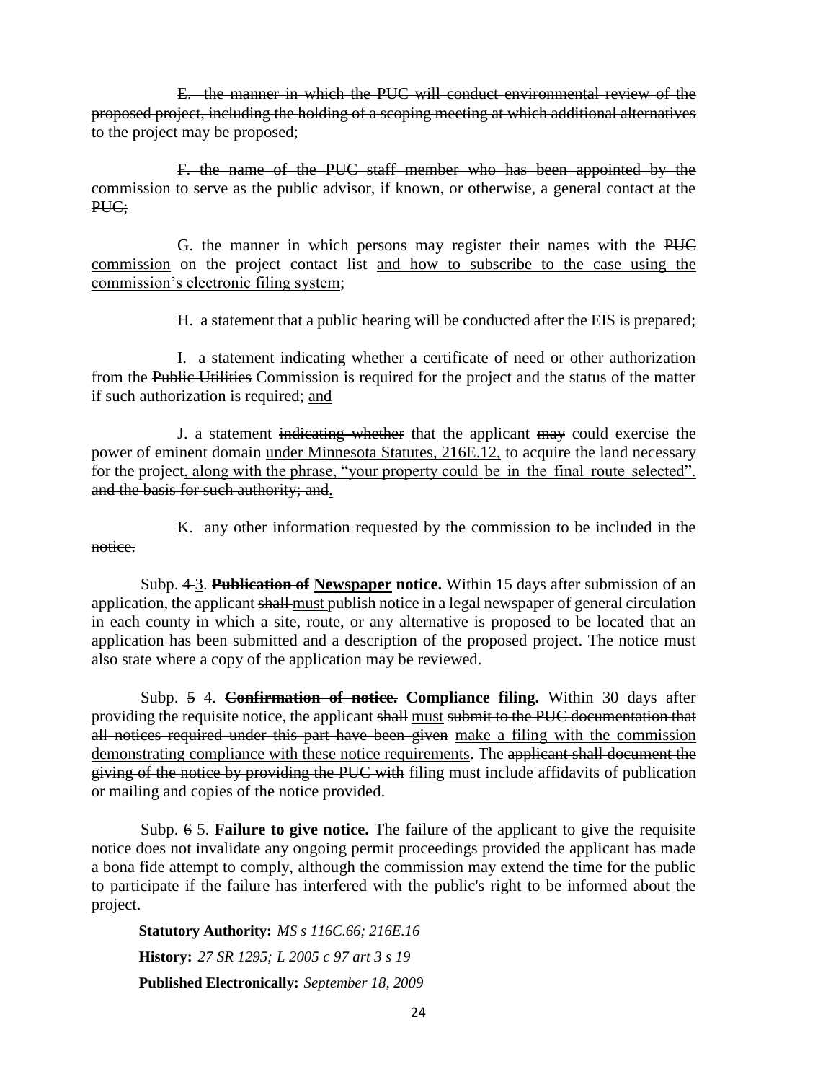E. the manner in which the PUC will conduct environmental review of the proposed project, including the holding of a scoping meeting at which additional alternatives to the project may be proposed;

F. the name of the PUC staff member who has been appointed by the commission to serve as the public advisor, if known, or otherwise, a general contact at the PUC;

G. the manner in which persons may register their names with the PUC commission on the project contact list and how to subscribe to the case using the commission's electronic filing system;

H. a statement that a public hearing will be conducted after the EIS is prepared;

I. a statement indicating whether a certificate of need or other authorization from the Public Utilities Commission is required for the project and the status of the matter if such authorization is required; and

J. a statement indicating whether that the applicant may could exercise the power of eminent domain under Minnesota Statutes, 216E.12, to acquire the land necessary for the project, along with the phrase, "your property could be in the final route selected". and the basis for such authority; and.

K. any other information requested by the commission to be included in the notice.

Subp. 4 3. **Publication of Newspaper notice.** Within 15 days after submission of an application, the applicant shall must publish notice in a legal newspaper of general circulation in each county in which a site, route, or any alternative is proposed to be located that an application has been submitted and a description of the proposed project. The notice must also state where a copy of the application may be reviewed.

Subp. 5 4. **Confirmation of notice. Compliance filing.** Within 30 days after providing the requisite notice, the applicant shall must submit to the PUC documentation that all notices required under this part have been given make a filing with the commission demonstrating compliance with these notice requirements. The applicant shall document the giving of the notice by providing the PUC with filing must include affidavits of publication or mailing and copies of the notice provided.

Subp. 6 5. **Failure to give notice.** The failure of the applicant to give the requisite notice does not invalidate any ongoing permit proceedings provided the applicant has made a bona fide attempt to comply, although the commission may extend the time for the public to participate if the failure has interfered with the public's right to be informed about the project.

**Statutory Authority:** *MS s 116C.66; 216E.16* **History:** *27 SR 1295; L 2005 c 97 art 3 s 19* **Published Electronically:** *September 18, 2009*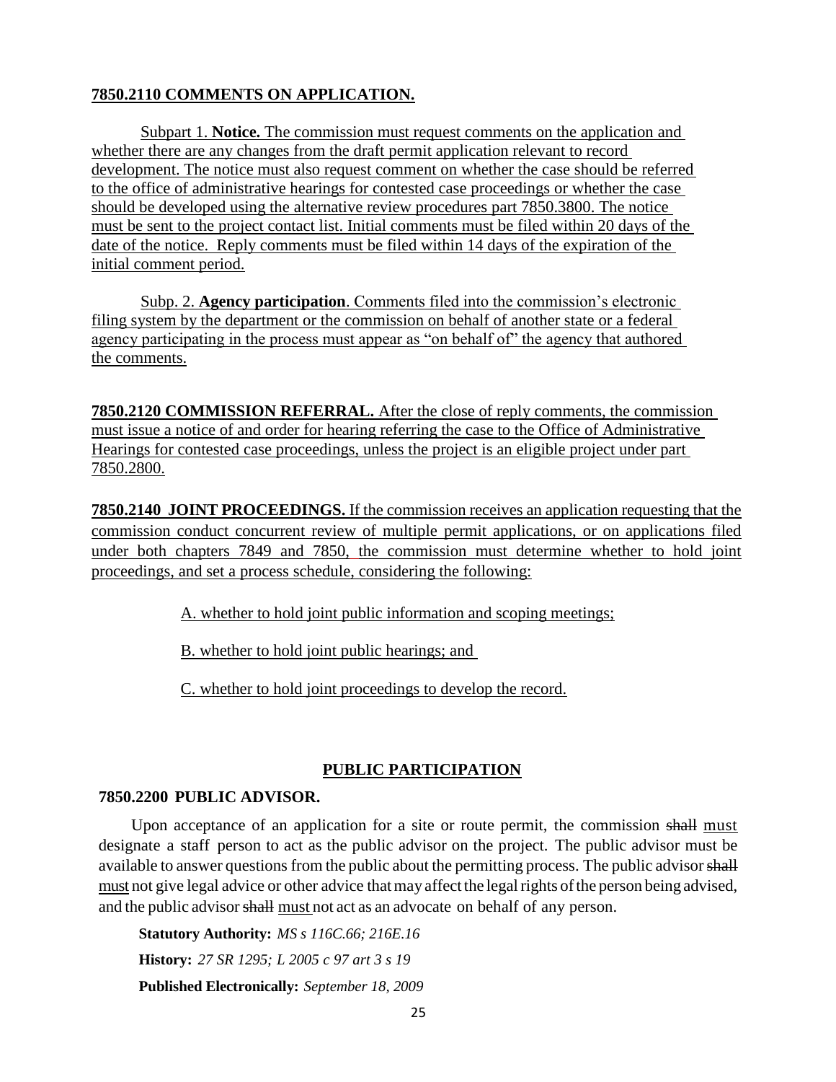# **7850.2110 COMMENTS ON APPLICATION.**

Subpart 1. **Notice.** The commission must request comments on the application and whether there are any changes from the draft permit application relevant to record development. The notice must also request comment on whether the case should be referred to the office of administrative hearings for contested case proceedings or whether the case should be developed using the alternative review procedures part 7850.3800. The notice must be sent to the project contact list. Initial comments must be filed within 20 days of the date of the notice. Reply comments must be filed within 14 days of the expiration of the initial comment period.

Subp. 2. **Agency participation**. Comments filed into the commission's electronic filing system by the department or the commission on behalf of another state or a federal agency participating in the process must appear as "on behalf of" the agency that authored the comments.

**7850.2120 COMMISSION REFERRAL.** After the close of reply comments, the commission must issue a notice of and order for hearing referring the case to the Office of Administrative Hearings for contested case proceedings, unless the project is an eligible project under part 7850.2800.

**7850.2140 JOINT PROCEEDINGS.** If the commission receives an application requesting that the commission conduct concurrent review of multiple permit applications, or on applications filed under both chapters 7849 and 7850, the commission must determine whether to hold joint proceedings, and set a process schedule, considering the following:

A. whether to hold joint public information and scoping meetings;

B. whether to hold joint public hearings; and

C. whether to hold joint proceedings to develop the record.

## **PUBLIC PARTICIPATION**

### **7850.2200 PUBLIC ADVISOR.**

Upon acceptance of an application for a site or route permit, the commission shall must designate a staff person to act as the public advisor on the project. The public advisor must be available to answer questions from the public about the permitting process. The public advisor shall must not give legal advice or other advice that may affect the legal rights of the person being advised, and the public advisor shall must not act as an advocate on behalf of any person.

**Statutory Authority:** *MS s 116C.66; 216E.16* **History:** *27 SR 1295; L 2005 c 97 art 3 s 19* **Published Electronically:** *September 18, 2009*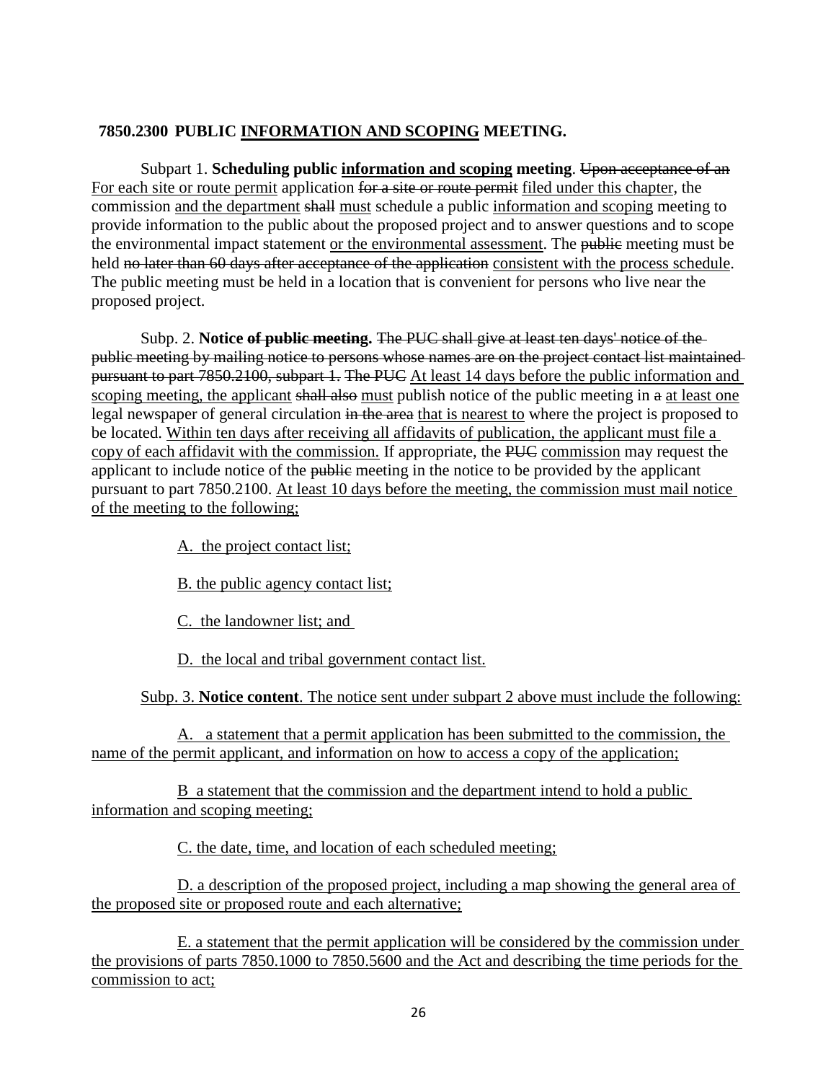# **7850.2300 PUBLIC INFORMATION AND SCOPING MEETING.**

Subpart 1. **Scheduling public information and scoping meeting**. Upon acceptance of an For each site or route permit application for a site or route permit filed under this chapter, the commission and the department shall must schedule a public information and scoping meeting to provide information to the public about the proposed project and to answer questions and to scope the environmental impact statement or the environmental assessment. The public meeting must be held no later than 60 days after acceptance of the application consistent with the process schedule. The public meeting must be held in a location that is convenient for persons who live near the proposed project.

Subp. 2. **Notice of public meeting.** The PUC shall give at least ten days' notice of the public meeting by mailing notice to persons whose names are on the project contact list maintained pursuant to part 7850.2100, subpart 1. The PUC At least 14 days before the public information and scoping meeting, the applicant shall also must publish notice of the public meeting in a at least one legal newspaper of general circulation in the area that is nearest to where the project is proposed to be located. Within ten days after receiving all affidavits of publication, the applicant must file a copy of each affidavit with the commission. If appropriate, the PUC commission may request the applicant to include notice of the public meeting in the notice to be provided by the applicant pursuant to part 7850.2100. At least 10 days before the meeting, the commission must mail notice of the meeting to the following;

A. the project contact list;

B. the public agency contact list;

C. the landowner list; and

D. the local and tribal government contact list.

Subp. 3. **Notice content**. The notice sent under subpart 2 above must include the following:

A. a statement that a permit application has been submitted to the commission, the name of the permit applicant, and information on how to access a copy of the application;

B a statement that the commission and the department intend to hold a public information and scoping meeting;

C. the date, time, and location of each scheduled meeting;

D. a description of the proposed project, including a map showing the general area of the proposed site or proposed route and each alternative;

E. a statement that the permit application will be considered by the commission under the provisions of parts 7850.1000 to 7850.5600 and the Act and describing the time periods for the commission to act;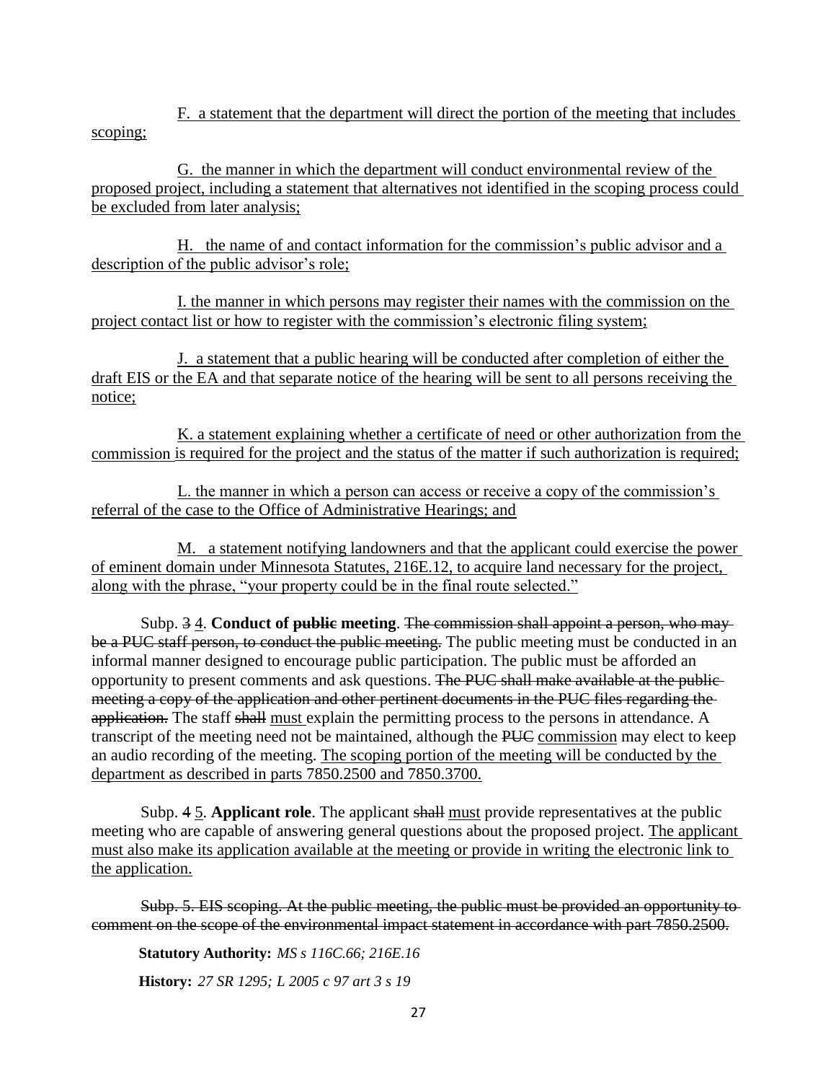F. a statement that the department will direct the portion of the meeting that includes scoping;

G. the manner in which the department will conduct environmental review of the proposed project, including a statement that alternatives not identified in the scoping process could be excluded from later analysis;

H. the name of and contact information for the commission's public advisor and a description of the public advisor's role;

I. the manner in which persons may register their names with the commission on the project contact list or how to register with the commission's electronic filing system;

J. a statement that a public hearing will be conducted after completion of either the draft EIS or the EA and that separate notice of the hearing will be sent to all persons receiving the notice;

K. a statement explaining whether a certificate of need or other authorization from the commission is required for the project and the status of the matter if such authorization is required;

L. the manner in which a person can access or receive a copy of the commission's referral of the case to the Office of Administrative Hearings; and

M. a statement notifying landowners and that the applicant could exercise the power of eminent domain under Minnesota Statutes, 216E.12, to acquire land necessary for the project, along with the phrase, "your property could be in the final route selected."

Subp. 34. **Conduct of public meeting**. The commission shall appoint a person, who may be a PUC staff person, to conduct the public meeting. The public meeting must be conducted in an informal manner designed to encourage public participation. The public must be afforded an opportunity to present comments and ask questions. The PUC shall make available at the public meeting a copy of the application and other pertinent documents in the PUC files regarding the application. The staff shall must explain the permitting process to the persons in attendance. A transcript of the meeting need not be maintained, although the PUC commission may elect to keep an audio recording of the meeting. The scoping portion of the meeting will be conducted by the department as described in parts 7850.2500 and 7850.3700.

Subp. 4 5. **Applicant role**. The applicant shall must provide representatives at the public meeting who are capable of answering general questions about the proposed project. The applicant must also make its application available at the meeting or provide in writing the electronic link to the application.

Subp. 5. EIS scoping. At the public meeting, the public must be provided an opportunity to comment on the scope of the environmental impact statement in accordance with part 7850.2500.

**Statutory Authority:** *MS s 116C.66; 216E.16*

**History:** *27 SR 1295; L 2005 c 97 art 3 s 19*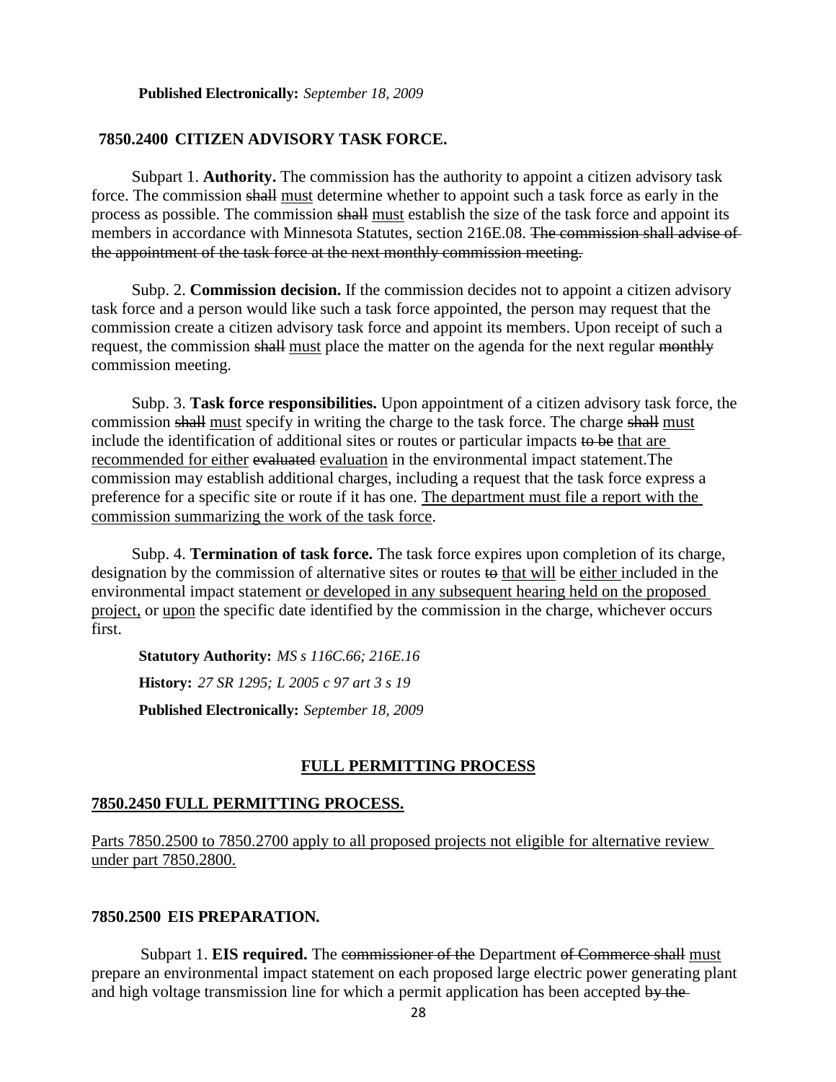#### **7850.2400 CITIZEN ADVISORY TASK FORCE.**

Subpart 1. **Authority.** The commission has the authority to appoint a citizen advisory task force. The commission shall must determine whether to appoint such a task force as early in the process as possible. The commission shall must establish the size of the task force and appoint its members in accordance with Minnesota Statutes, section 216E.08. The commission shall advise of the appointment of the task force at the next monthly commission meeting.

Subp. 2. **Commission decision.** If the commission decides not to appoint a citizen advisory task force and a person would like such a task force appointed, the person may request that the commission create a citizen advisory task force and appoint its members. Upon receipt of such a request, the commission shall must place the matter on the agenda for the next regular monthly commission meeting.

Subp. 3. **Task force responsibilities.** Upon appointment of a citizen advisory task force, the commission shall must specify in writing the charge to the task force. The charge shall must include the identification of additional sites or routes or particular impacts to be that are recommended for either evaluated evaluation in the environmental impact statement.The commission may establish additional charges, including a request that the task force express a preference for a specific site or route if it has one. The department must file a report with the commission summarizing the work of the task force.

Subp. 4. **Termination of task force.** The task force expires upon completion of its charge, designation by the commission of alternative sites or routes to that will be either included in the environmental impact statement or developed in any subsequent hearing held on the proposed project, or upon the specific date identified by the commission in the charge, whichever occurs first.

**Statutory Authority:** *MS s 116C.66; 216E.16* **History:** *27 SR 1295; L 2005 c 97 art 3 s 19* **Published Electronically:** *September 18, 2009*

### **FULL PERMITTING PROCESS**

#### **7850.2450 FULL PERMITTING PROCESS.**

Parts 7850.2500 to 7850.2700 apply to all proposed projects not eligible for alternative review under part 7850.2800.

#### **7850.2500 EIS PREPARATION.**

Subpart 1. **EIS required.** The commissioner of the Department of Commerce shall must prepare an environmental impact statement on each proposed large electric power generating plant and high voltage transmission line for which a permit application has been accepted by the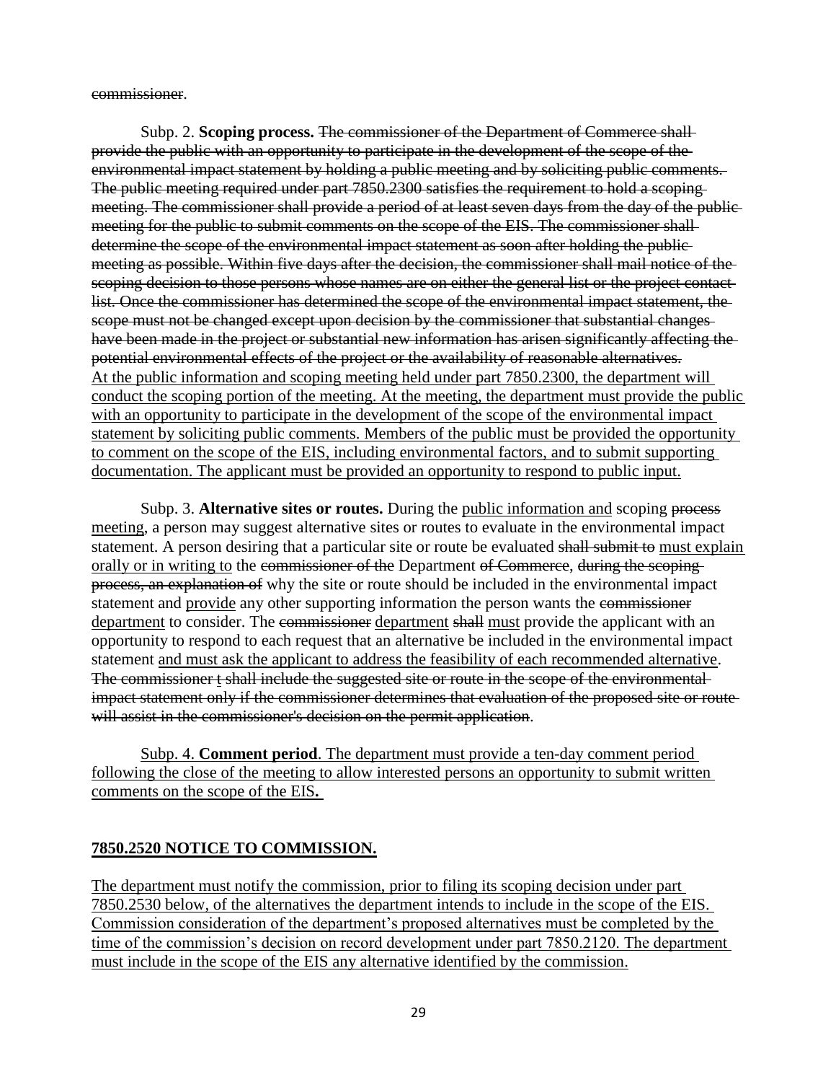commissioner.

Subp. 2. **Scoping process.** The commissioner of the Department of Commerce shall provide the public with an opportunity to participate in the development of the scope of the environmental impact statement by holding a public meeting and by soliciting public comments. The public meeting required under part 7850.2300 satisfies the requirement to hold a scoping meeting. The commissioner shall provide a period of at least seven days from the day of the public meeting for the public to submit comments on the scope of the EIS. The commissioner shalldetermine the scope of the environmental impact statement as soon after holding the publicmeeting as possible. Within five days after the decision, the commissioner shall mail notice of the scoping decision to those persons whose names are on either the general list or the project contactlist. Once the commissioner has determined the scope of the environmental impact statement, the scope must not be changed except upon decision by the commissioner that substantial changes have been made in the project or substantial new information has arisen significantly affecting the potential environmental effects of the project or the availability of reasonable alternatives. At the public information and scoping meeting held under part 7850.2300, the department will conduct the scoping portion of the meeting. At the meeting, the department must provide the public with an opportunity to participate in the development of the scope of the environmental impact statement by soliciting public comments. Members of the public must be provided the opportunity to comment on the scope of the EIS, including environmental factors, and to submit supporting documentation. The applicant must be provided an opportunity to respond to public input.

Subp. 3. **Alternative sites or routes.** During the public information and scoping process meeting, a person may suggest alternative sites or routes to evaluate in the environmental impact statement. A person desiring that a particular site or route be evaluated shall submit to must explain orally or in writing to the commissioner of the Department of Commerce, during the scopingprocess, an explanation of why the site or route should be included in the environmental impact statement and provide any other supporting information the person wants the commissioner department to consider. The commissioner department shall must provide the applicant with an opportunity to respond to each request that an alternative be included in the environmental impact statement and must ask the applicant to address the feasibility of each recommended alternative. The commissioner t shall include the suggested site or route in the scope of the environmental impact statement only if the commissioner determines that evaluation of the proposed site or route will assist in the commissioner's decision on the permit application.

Subp. 4. **Comment period**. The department must provide a ten-day comment period following the close of the meeting to allow interested persons an opportunity to submit written comments on the scope of the EIS**.** 

# **7850.2520 NOTICE TO COMMISSION.**

The department must notify the commission, prior to filing its scoping decision under part 7850.2530 below, of the alternatives the department intends to include in the scope of the EIS. Commission consideration of the department's proposed alternatives must be completed by the time of the commission's decision on record development under part 7850.2120. The department must include in the scope of the EIS any alternative identified by the commission.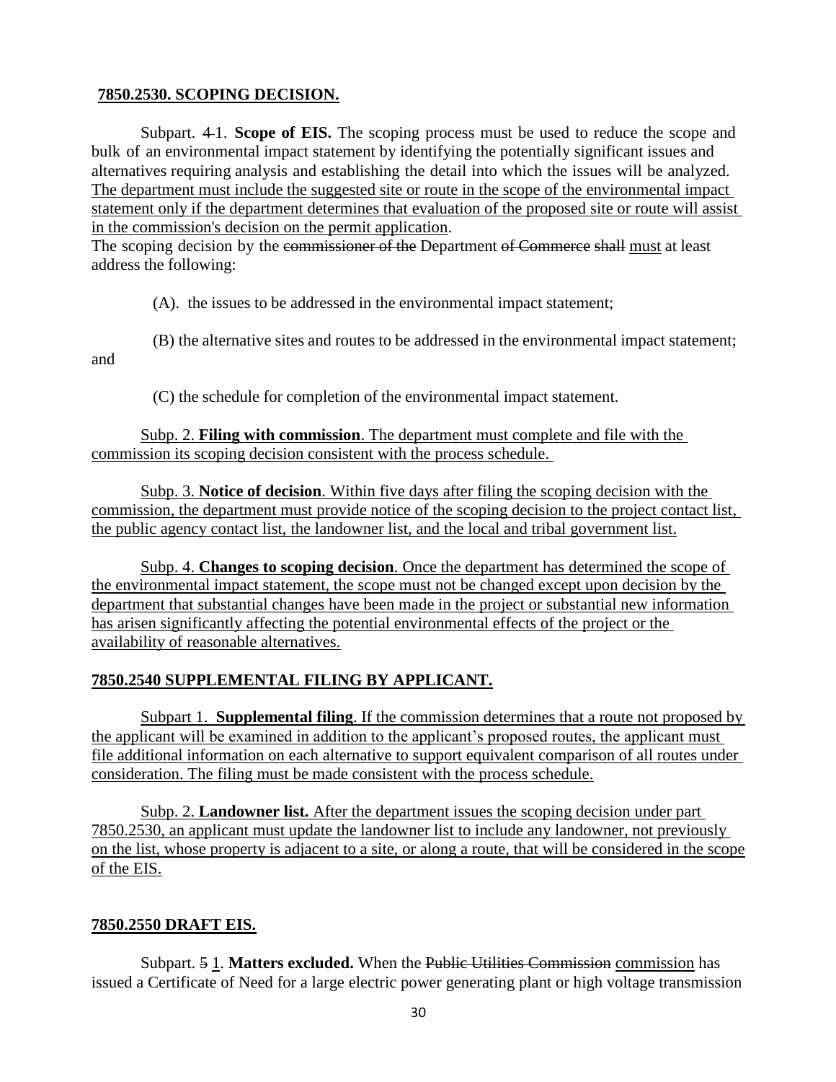# **7850.2530. SCOPING DECISION.**

Subpart. 4 1. **Scope of EIS.** The scoping process must be used to reduce the scope and bulk of an environmental impact statement by identifying the potentially significant issues and alternatives requiring analysis and establishing the detail into which the issues will be analyzed. The department must include the suggested site or route in the scope of the environmental impact statement only if the department determines that evaluation of the proposed site or route will assist in the commission's decision on the permit application.

The scoping decision by the commissioner of the Department of Commerce shall must at least address the following:

(A). the issues to be addressed in the environmental impact statement;

(B) the alternative sites and routes to be addressed in the environmental impact statement;

and

(C) the schedule for completion of the environmental impact statement.

Subp. 2. **Filing with commission**. The department must complete and file with the commission its scoping decision consistent with the process schedule.

Subp. 3. **Notice of decision**. Within five days after filing the scoping decision with the commission, the department must provide notice of the scoping decision to the project contact list, the public agency contact list, the landowner list, and the local and tribal government list.

Subp. 4. **Changes to scoping decision**. Once the department has determined the scope of the environmental impact statement, the scope must not be changed except upon decision by the department that substantial changes have been made in the project or substantial new information has arisen significantly affecting the potential environmental effects of the project or the availability of reasonable alternatives.

# **7850.2540 SUPPLEMENTAL FILING BY APPLICANT.**

Subpart 1. **Supplemental filing**. If the commission determines that a route not proposed by the applicant will be examined in addition to the applicant's proposed routes, the applicant must file additional information on each alternative to support equivalent comparison of all routes under consideration. The filing must be made consistent with the process schedule.

Subp. 2. **Landowner list.** After the department issues the scoping decision under part 7850.2530, an applicant must update the landowner list to include any landowner, not previously on the list, whose property is adjacent to a site, or along a route, that will be considered in the scope of the EIS.

# **7850.2550 DRAFT EIS.**

Subpart. 5 1. **Matters excluded.** When the Public Utilities Commission commission has issued a Certificate of Need for a large electric power generating plant or high voltage transmission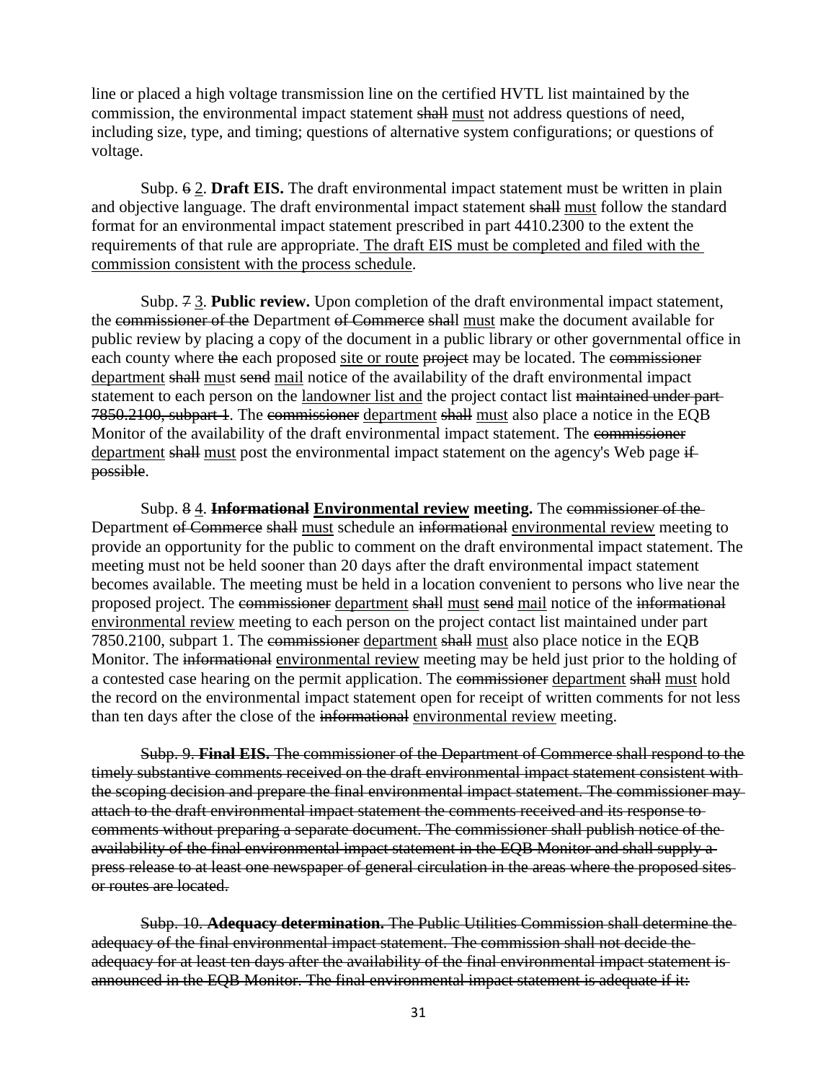line or placed a high voltage transmission line on the certified HVTL list maintained by the commission, the environmental impact statement shall must not address questions of need, including size, type, and timing; questions of alternative system configurations; or questions of voltage.

Subp. 6 2. **Draft EIS.** The draft environmental impact statement must be written in plain and objective language. The draft environmental impact statement shall must follow the standard format for an environmental impact statement prescribed in part 4410.2300 to the extent the requirements of that rule are appropriate. The draft EIS must be completed and filed with the commission consistent with the process schedule.

Subp. 7 3. **Public review.** Upon completion of the draft environmental impact statement, the commissioner of the Department of Commerce shall must make the document available for public review by placing a copy of the document in a public library or other governmental office in each county where the each proposed site or route project may be located. The commissioner department shall must send mail notice of the availability of the draft environmental impact statement to each person on the landowner list and the project contact list maintained under part-7850.2100, subpart 1. The commissioner department shall must also place a notice in the EQB Monitor of the availability of the draft environmental impact statement. The commissioner department shall must post the environmental impact statement on the agency's Web page ifpossible.

Subp. 8 4. **Informational Environmental review meeting.** The commissioner of the Department of Commerce shall must schedule an informational environmental review meeting to provide an opportunity for the public to comment on the draft environmental impact statement. The meeting must not be held sooner than 20 days after the draft environmental impact statement becomes available. The meeting must be held in a location convenient to persons who live near the proposed project. The commissioner department shall must send mail notice of the informational environmental review meeting to each person on the project contact list maintained under part 7850.2100, subpart 1. The commissioner department shall must also place notice in the EQB Monitor. The informational environmental review meeting may be held just prior to the holding of a contested case hearing on the permit application. The commissioner department shall must hold the record on the environmental impact statement open for receipt of written comments for not less than ten days after the close of the informational environmental review meeting.

Subp. 9. **Final EIS.** The commissioner of the Department of Commerce shall respond to the timely substantive comments received on the draft environmental impact statement consistent withthe scoping decision and prepare the final environmental impact statement. The commissioner may attach to the draft environmental impact statement the comments received and its response to comments without preparing a separate document. The commissioner shall publish notice of the availability of the final environmental impact statement in the EQB Monitor and shall supply apress release to at least one newspaper of general circulation in the areas where the proposed sitesor routes are located.

Subp. 10. **Adequacy determination.** The Public Utilities Commission shall determine the adequacy of the final environmental impact statement. The commission shall not decide the adequacy for at least ten days after the availability of the final environmental impact statement is announced in the EQB Monitor. The final environmental impact statement is adequate if it: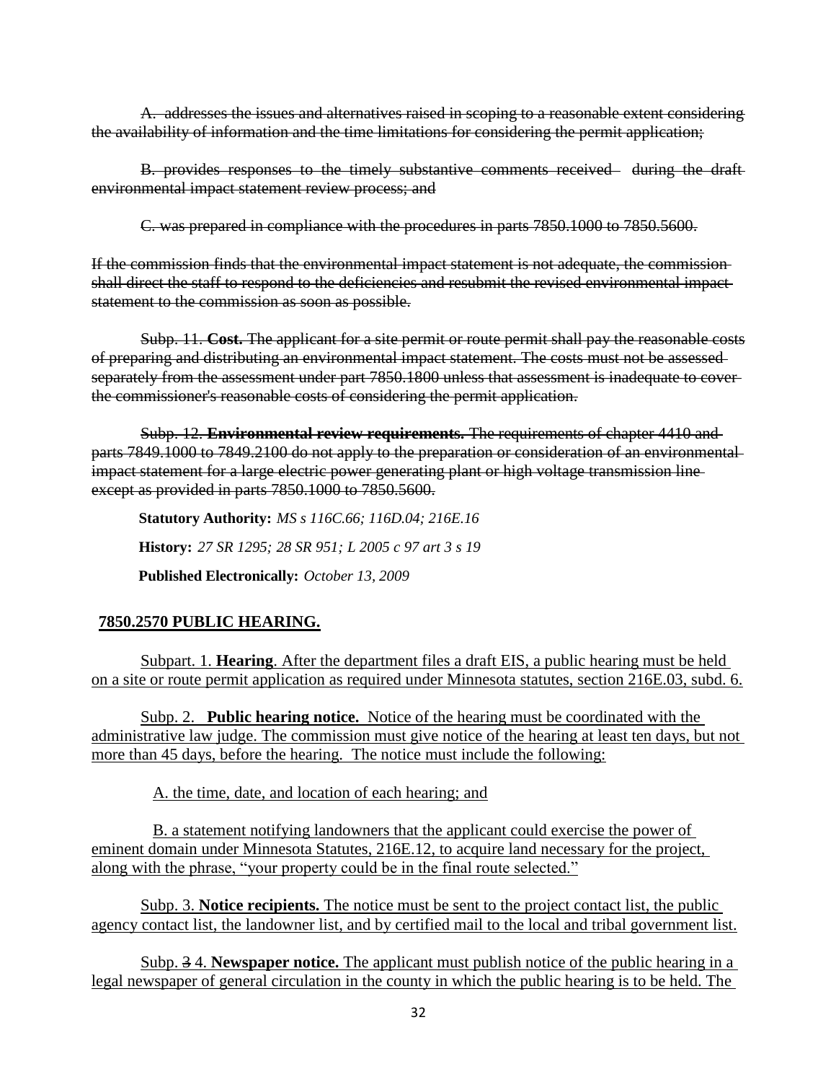A. addresses the issues and alternatives raised in scoping to a reasonable extent considering the availability of information and the time limitations for considering the permit application;

B. provides responses to the timely substantive comments received during the draft environmental impact statement review process; and

C. was prepared in compliance with the procedures in parts 7850.1000 to 7850.5600.

If the commission finds that the environmental impact statement is not adequate, the commission shall direct the staff to respond to the deficiencies and resubmit the revised environmental impact statement to the commission as soon as possible.

Subp. 11. **Cost.** The applicant for a site permit or route permit shall pay the reasonable costs of preparing and distributing an environmental impact statement. The costs must not be assessed separately from the assessment under part 7850.1800 unless that assessment is inadequate to coverthe commissioner's reasonable costs of considering the permit application.

Subp. 12. **Environmental review requirements.** The requirements of chapter 4410 and parts 7849.1000 to 7849.2100 do not apply to the preparation or consideration of an environmental impact statement for a large electric power generating plant or high voltage transmission line except as provided in parts 7850.1000 to 7850.5600.

**Statutory Authority:** *MS s 116C.66; 116D.04; 216E.16* **History:** *27 SR 1295; 28 SR 951; L 2005 c 97 art 3 s 19* **Published Electronically:** *October 13, 2009*

# **7850.2570 PUBLIC HEARING.**

Subpart. 1. **Hearing**. After the department files a draft EIS, a public hearing must be held on a site or route permit application as required under Minnesota statutes, section 216E.03, subd. 6.

Subp. 2. **Public hearing notice.** Notice of the hearing must be coordinated with the administrative law judge. The commission must give notice of the hearing at least ten days, but not more than 45 days, before the hearing. The notice must include the following:

A. the time, date, and location of each hearing; and

B. a statement notifying landowners that the applicant could exercise the power of eminent domain under Minnesota Statutes, 216E.12, to acquire land necessary for the project, along with the phrase, "your property could be in the final route selected."

Subp. 3. **Notice recipients.** The notice must be sent to the project contact list, the public agency contact list, the landowner list, and by certified mail to the local and tribal government list.

Subp. 3 4. **Newspaper notice.** The applicant must publish notice of the public hearing in a legal newspaper of general circulation in the county in which the public hearing is to be held. The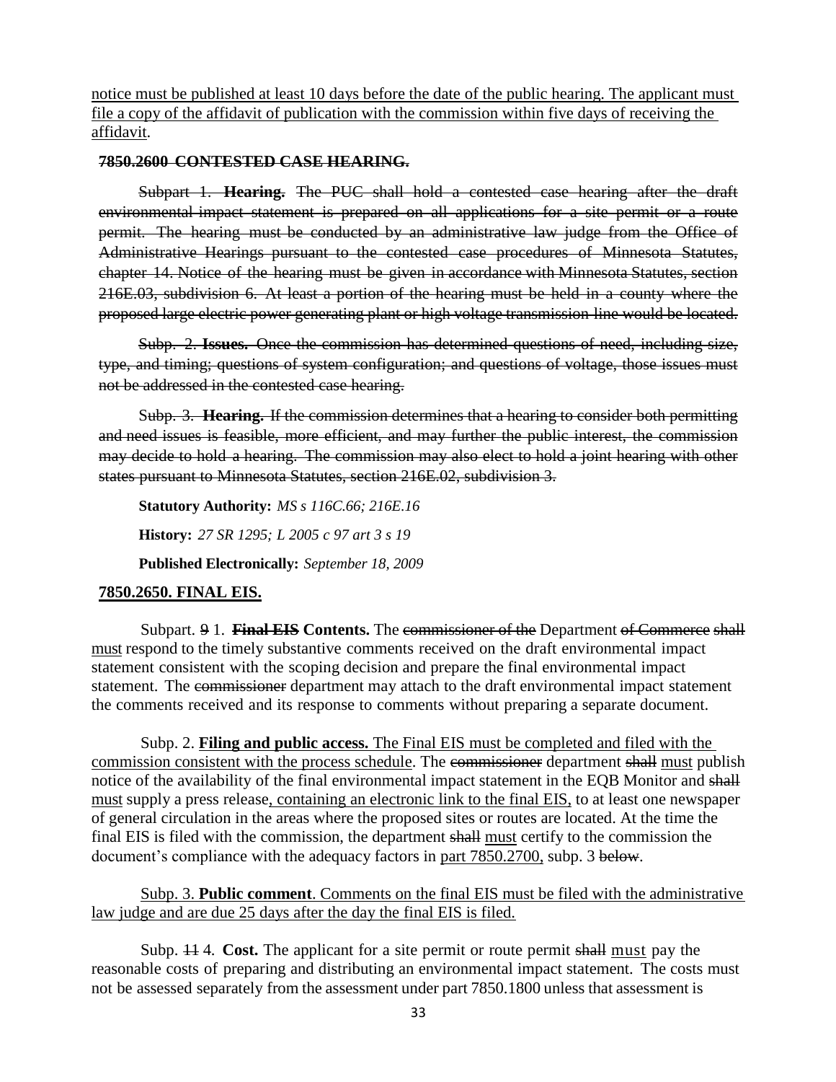notice must be published at least 10 days before the date of the public hearing. The applicant must file a copy of the affidavit of publication with the commission within five days of receiving the affidavit.

## **7850.2600 CONTESTED CASE HEARING.**

Subpart 1. **Hearing.** The PUC shall hold a contested case hearing after the draft environmental impact statement is prepared on all applications for a site permit or a route permit. The hearing must be conducted by an administrative law judge from the Office of Administrative Hearings pursuant to the contested case procedures of Minnesota Statutes, chapter 14. Notice of the hearing must be given in accordance with Minnesota Statutes, section 216E.03, subdivision 6. At least a portion of the hearing must be held in a county where the proposed large electric power generating plant or high voltage transmission line would be located.

Subp. 2. **Issues.** Once the commission has determined questions of need, including size, type, and timing; questions of system configuration; and questions of voltage, those issues must not be addressed in the contested case hearing.

Subp. 3. **Hearing.** If the commission determines that a hearing to consider both permitting and need issues is feasible, more efficient, and may further the public interest, the commission may decide to hold a hearing. The commission may also elect to hold a joint hearing with other states pursuant to Minnesota Statutes, section 216E.02, subdivision 3.

**Statutory Authority:** *MS s 116C.66; 216E.16* **History:** *27 SR 1295; L 2005 c 97 art 3 s 19* **Published Electronically:** *September 18, 2009*

# **7850.2650. FINAL EIS.**

Subpart. 9 1. **Final EIS Contents.** The commissioner of the Department of Commerce shall must respond to the timely substantive comments received on the draft environmental impact statement consistent with the scoping decision and prepare the final environmental impact statement. The commissioner department may attach to the draft environmental impact statement the comments received and its response to comments without preparing a separate document.

Subp. 2. **Filing and public access.** The Final EIS must be completed and filed with the commission consistent with the process schedule. The commissioner department shall must publish notice of the availability of the final environmental impact statement in the EQB Monitor and shall must supply a press release, containing an electronic link to the final EIS, to at least one newspaper of general circulation in the areas where the proposed sites or routes are located. At the time the final EIS is filed with the commission, the department shall must certify to the commission the document's compliance with the adequacy factors in part 7850.2700, subp. 3 below.

Subp. 3. **Public comment**. Comments on the final EIS must be filed with the administrative law judge and are due 25 days after the day the final EIS is filed.

Subp. 11 4. **Cost.** The applicant for a site permit or route permit shall must pay the reasonable costs of preparing and distributing an environmental impact statement. The costs must not be assessed separately from the assessment under part 7850.1800 unless that assessment is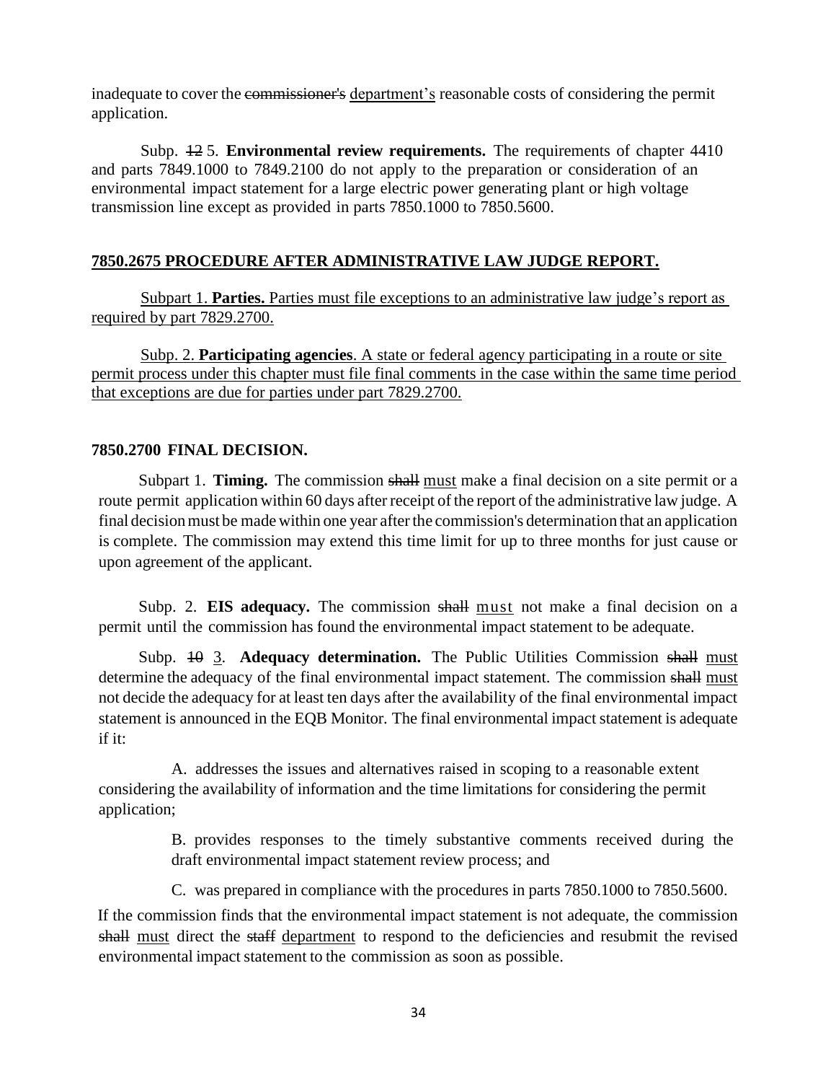inadequate to cover the commissioner's department's reasonable costs of considering the permit application.

Subp. 12 5. **Environmental review requirements.** The requirements of chapter 4410 and parts 7849.1000 to 7849.2100 do not apply to the preparation or consideration of an environmental impact statement for a large electric power generating plant or high voltage transmission line except as provided in parts 7850.1000 to 7850.5600.

# **7850.2675 PROCEDURE AFTER ADMINISTRATIVE LAW JUDGE REPORT.**

Subpart 1. **Parties.** Parties must file exceptions to an administrative law judge's report as required by part 7829.2700.

Subp. 2. **Participating agencies**. A state or federal agency participating in a route or site permit process under this chapter must file final comments in the case within the same time period that exceptions are due for parties under part 7829.2700.

## **7850.2700 FINAL DECISION.**

Subpart 1. **Timing.** The commission shall must make a final decision on a site permit or a route permit application within 60 days after receipt of the report of the administrative law judge. A final decision must be made within one year after the commission's determination that an application is complete. The commission may extend this time limit for up to three months for just cause or upon agreement of the applicant.

Subp. 2. **EIS adequacy.** The commission shall must not make a final decision on a permit until the commission has found the environmental impact statement to be adequate.

Subp. 10 3. **Adequacy determination.** The Public Utilities Commission shall must determine the adequacy of the final environmental impact statement. The commission shall must not decide the adequacy for at least ten days after the availability of the final environmental impact statement is announced in the EQB Monitor. The final environmental impact statement is adequate if it:

A. addresses the issues and alternatives raised in scoping to a reasonable extent considering the availability of information and the time limitations for considering the permit application;

> B. provides responses to the timely substantive comments received during the draft environmental impact statement review process; and

C. was prepared in compliance with the procedures in parts 7850.1000 to 7850.5600.

If the commission finds that the environmental impact statement is not adequate, the commission shall must direct the staff department to respond to the deficiencies and resubmit the revised environmental impact statement to the commission as soon as possible.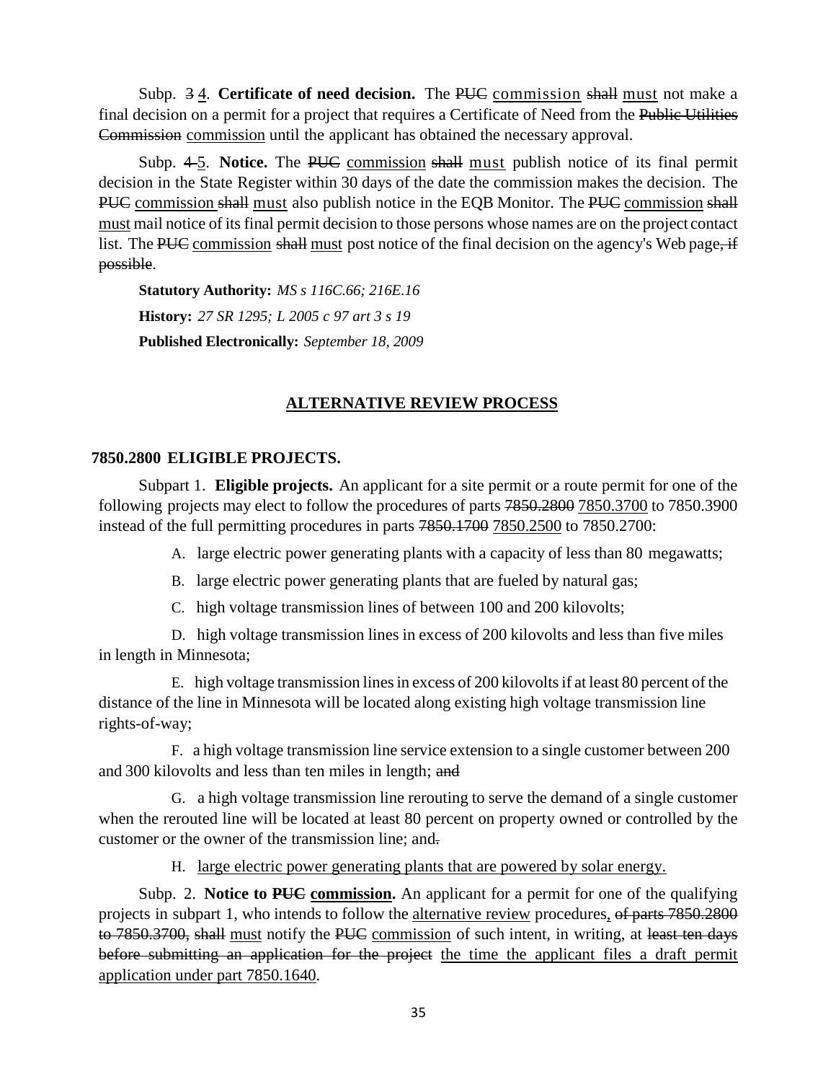Subp. 3 4. **Certificate of need decision.** The PUC commission shall must not make a final decision on a permit for a project that requires a Certificate of Need from the Public Utilities Commission commission until the applicant has obtained the necessary approval.

Subp. 4-5. Notice. The PUC commission shall must publish notice of its final permit decision in the State Register within 30 days of the date the commission makes the decision. The PUC commission shall must also publish notice in the EQB Monitor. The PUC commission shall must mail notice of itsfinal permit decision to those persons whose names are on the project contact list. The PUC commission shall must post notice of the final decision on the agency's Web page, if possible.

**Statutory Authority:** *MS s 116C.66; 216E.16* **History:** *27 SR 1295; L 2005 c 97 art 3 s 19* **Published Electronically:** *September 18, 2009*

# **ALTERNATIVE REVIEW PROCESS**

## **7850.2800 ELIGIBLE PROJECTS.**

Subpart 1. **Eligible projects.** An applicant for a site permit or a route permit for one of the following projects may elect to follow the procedures of parts 7850.2800 7850.3700 to 7850.3900 instead of the full permitting procedures in parts 7850.1700 7850.2500 to 7850.2700:

A. large electric power generating plants with a capacity of less than 80 megawatts;

- B. large electric power generating plants that are fueled by natural gas;
- C. high voltage transmission lines of between 100 and 200 kilovolts;

D. high voltage transmission lines in excess of 200 kilovolts and less than five miles in length in Minnesota;

E. high voltage transmission linesin excess of 200 kilovoltsif at least 80 percent of the distance of the line in Minnesota will be located along existing high voltage transmission line rights-of-way;

F. a high voltage transmission line service extension to a single customer between 200 and 300 kilovolts and less than ten miles in length; and

G. a high voltage transmission line rerouting to serve the demand of a single customer when the rerouted line will be located at least 80 percent on property owned or controlled by the customer or the owner of the transmission line; and.

H. large electric power generating plants that are powered by solar energy.

Subp. 2. **Notice to PUC commission.** An applicant for a permit for one of the qualifying projects in subpart 1, who intends to follow the alternative review procedures, of parts 7850.2800 to 7850.3700, shall must notify the PUC commission of such intent, in writing, at least ten days before submitting an application for the project the time the applicant files a draft permit application under part 7850.1640.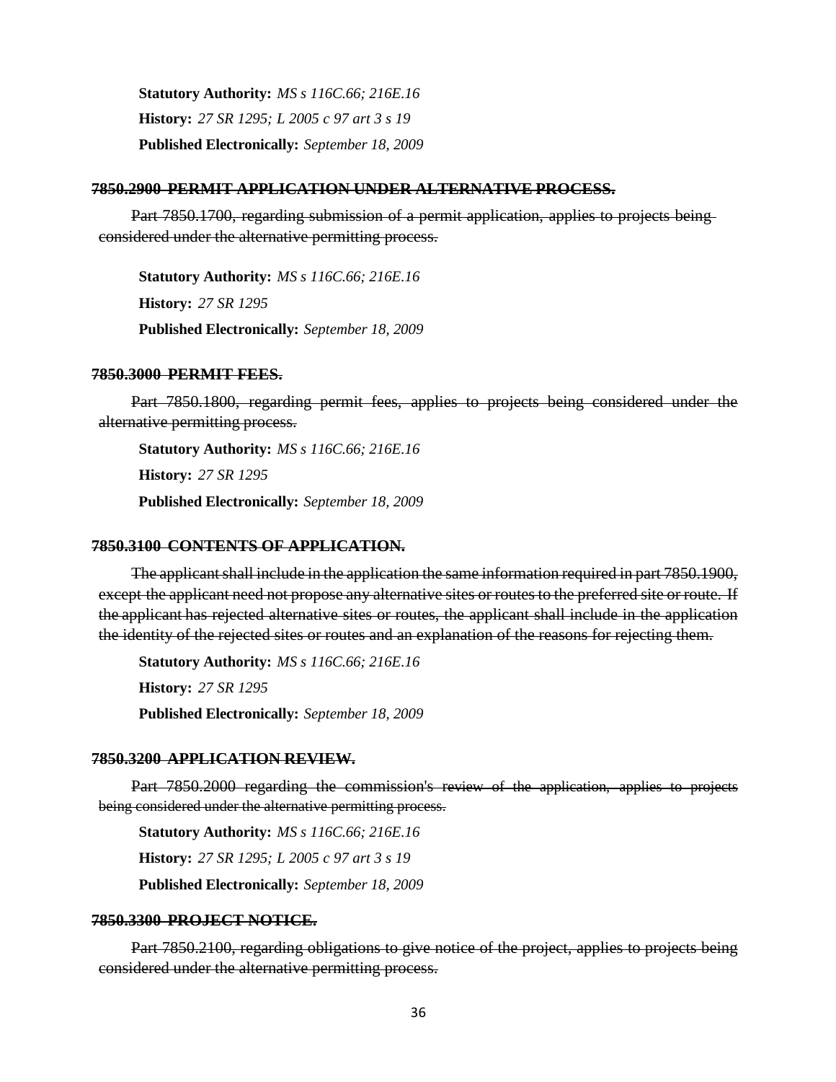**Statutory Authority:** *MS s 116C.66; 216E.16* **History:** *27 SR 1295; L 2005 c 97 art 3 s 19* **Published Electronically:** *September 18, 2009*

#### **7850.2900 PERMIT APPLICATION UNDER ALTERNATIVE PROCESS.**

Part 7850.1700, regarding submission of a permit application, applies to projects being considered under the alternative permitting process.

**Statutory Authority:** *MS s 116C.66; 216E.16* **History:** *27 SR 1295* **Published Electronically:** *September 18, 2009*

#### **7850.3000 PERMIT FEES.**

Part 7850.1800, regarding permit fees, applies to projects being considered under the alternative permitting process.

**Statutory Authority:** *MS s 116C.66; 216E.16* **History:** *27 SR 1295* **Published Electronically:** *September 18, 2009*

#### **7850.3100 CONTENTS OF APPLICATION.**

The applicant shall include in the application the same information required in part 7850.1900, except the applicant need not propose any alternative sites or routes to the preferred site or route. If the applicant has rejected alternative sites or routes, the applicant shall include in the application the identity of the rejected sites or routes and an explanation of the reasons for rejecting them.

**Statutory Authority:** *MS s 116C.66; 216E.16* **History:** *27 SR 1295* **Published Electronically:** *September 18, 2009*

#### **7850.3200 APPLICATION REVIEW.**

Part 7850.2000 regarding the commission's review of the application, applies to projects being considered under the alternative permitting process.

**Statutory Authority:** *MS s 116C.66; 216E.16* **History:** *27 SR 1295; L 2005 c 97 art 3 s 19* **Published Electronically:** *September 18, 2009*

#### **7850.3300 PROJECT NOTICE.**

Part 7850.2100, regarding obligations to give notice of the project, applies to projects being considered under the alternative permitting process.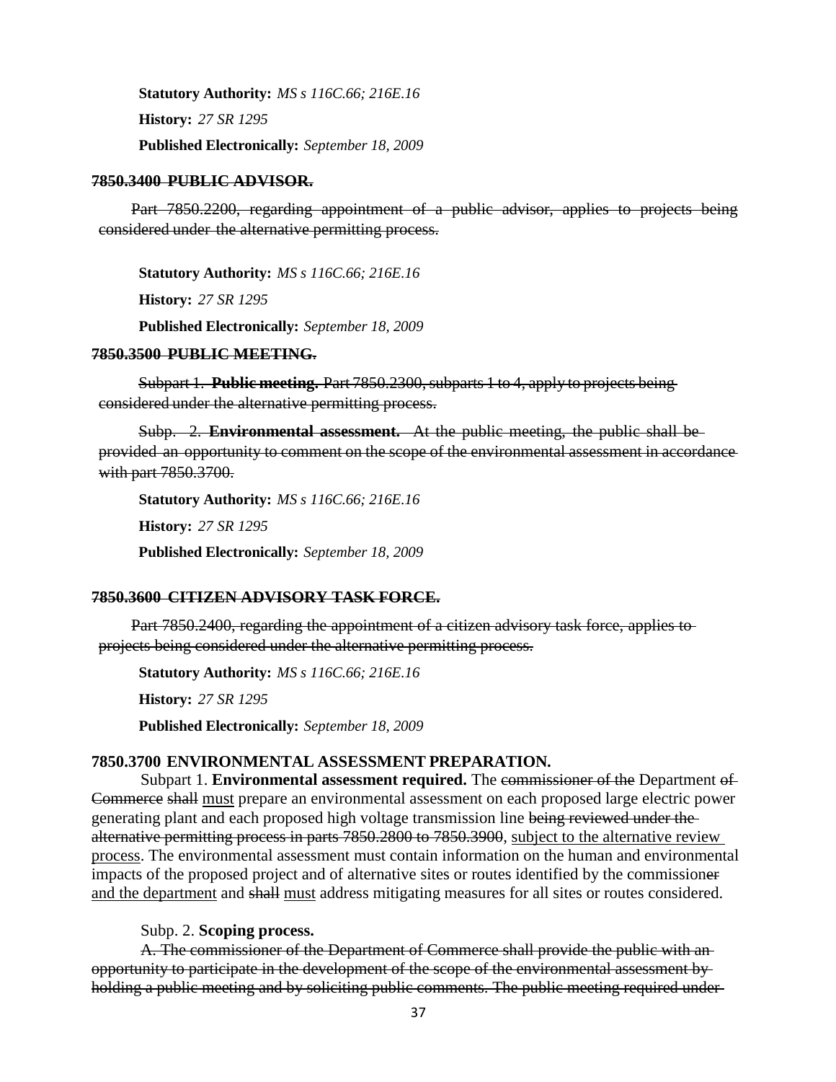**Statutory Authority:** *MS s 116C.66; 216E.16* **History:** *27 SR 1295* **Published Electronically:** *September 18, 2009*

#### **7850.3400 PUBLIC ADVISOR.**

Part 7850.2200, regarding appointment of a public advisor, applies to projects being considered under the alternative permitting process.

**Statutory Authority:** *MS s 116C.66; 216E.16* **History:** *27 SR 1295* **Published Electronically:** *September 18, 2009*

#### **7850.3500 PUBLIC MEETING**.

Subpart 1. **Public meeting.** Part 7850.2300, subparts 1 to 4, apply to projects being considered under the alternative permitting process.

Subp. 2. **Environmental assessment.** At the public meeting, the public shall be provided an opportunity to comment on the scope of the environmental assessment in accordance with part 7850.3700.

**Statutory Authority:** *MS s 116C.66; 216E.16* **History:** *27 SR 1295* **Published Electronically:** *September 18, 2009*

### **7850.3600 CITIZEN ADVISORY TASK FORCE.**

Part 7850.2400, regarding the appointment of a citizen advisory task force, applies to projects being considered under the alternative permitting process.

**Statutory Authority:** *MS s 116C.66; 216E.16* **History:** *27 SR 1295* **Published Electronically:** *September 18, 2009*

### **7850.3700 ENVIRONMENTAL ASSESSMENT PREPARATION.**

Subpart 1. **Environmental assessment required.** The commissioner of the Department of Commerce shall must prepare an environmental assessment on each proposed large electric power generating plant and each proposed high voltage transmission line being reviewed under the alternative permitting process in parts 7850.2800 to 7850.3900, subject to the alternative review process. The environmental assessment must contain information on the human and environmental impacts of the proposed project and of alternative sites or routes identified by the commissioner and the department and shall must address mitigating measures for all sites or routes considered.

### Subp. 2. **Scoping process.**

A. The commissioner of the Department of Commerce shall provide the public with an opportunity to participate in the development of the scope of the environmental assessment by holding a public meeting and by soliciting public comments. The public meeting required under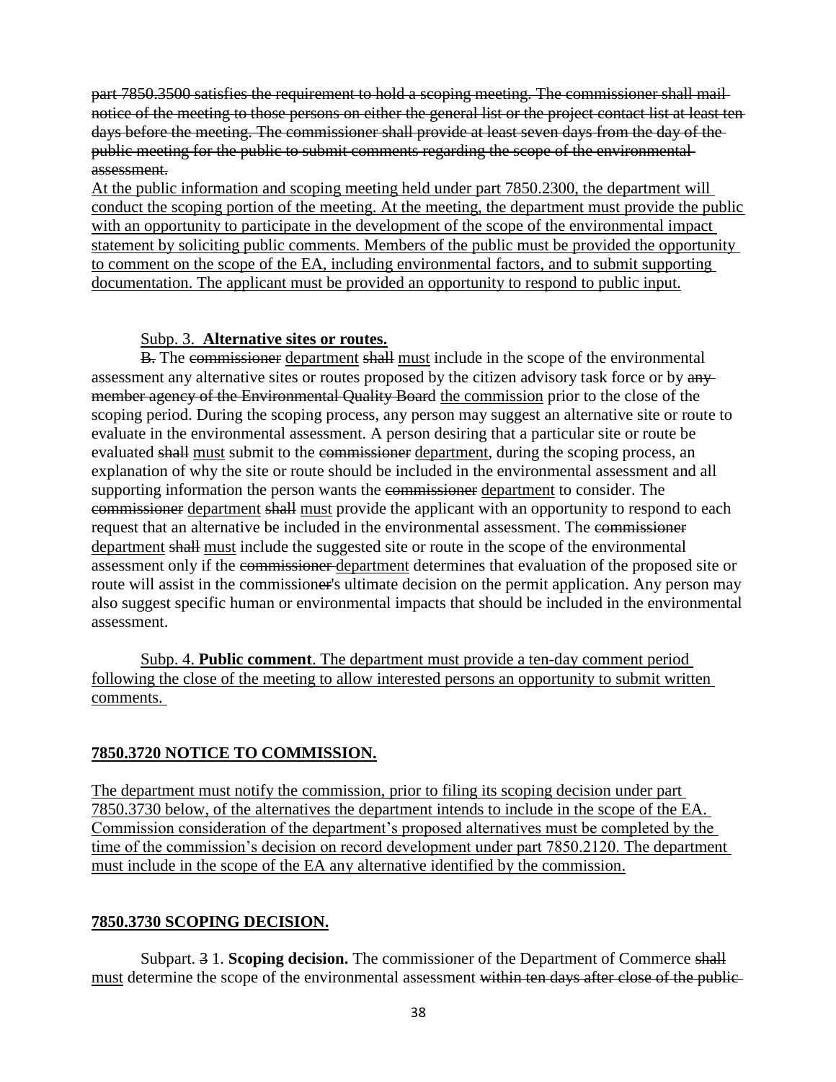part 7850.3500 satisfies the requirement to hold a scoping meeting. The commissioner shall mail notice of the meeting to those persons on either the general list or the project contact list at least ten days before the meeting. The commissioner shall provide at least seven days from the day of the public meeting for the public to submit comments regarding the scope of the environmental assessment.

At the public information and scoping meeting held under part 7850.2300, the department will conduct the scoping portion of the meeting. At the meeting, the department must provide the public with an opportunity to participate in the development of the scope of the environmental impact statement by soliciting public comments. Members of the public must be provided the opportunity to comment on the scope of the EA, including environmental factors, and to submit supporting documentation. The applicant must be provided an opportunity to respond to public input.

## Subp. 3. **Alternative sites or routes.**

B. The commissioner department shall must include in the scope of the environmental assessment any alternative sites or routes proposed by the citizen advisory task force or by  $\frac{any}{}$ member agency of the Environmental Quality Board the commission prior to the close of the scoping period. During the scoping process, any person may suggest an alternative site or route to evaluate in the environmental assessment. A person desiring that a particular site or route be evaluated shall must submit to the commissioner department, during the scoping process, an explanation of why the site or route should be included in the environmental assessment and all supporting information the person wants the commissioner department to consider. The commissioner department shall must provide the applicant with an opportunity to respond to each request that an alternative be included in the environmental assessment. The commissioner department shall must include the suggested site or route in the scope of the environmental assessment only if the commissioner department determines that evaluation of the proposed site or route will assist in the commissioner's ultimate decision on the permit application. Any person may also suggest specific human or environmental impacts that should be included in the environmental assessment.

Subp. 4. **Public comment**. The department must provide a ten-day comment period following the close of the meeting to allow interested persons an opportunity to submit written comments.

# **7850.3720 NOTICE TO COMMISSION.**

The department must notify the commission, prior to filing its scoping decision under part 7850.3730 below, of the alternatives the department intends to include in the scope of the EA. Commission consideration of the department's proposed alternatives must be completed by the time of the commission's decision on record development under part 7850.2120. The department must include in the scope of the EA any alternative identified by the commission.

## **7850.3730 SCOPING DECISION.**

Subpart. 3 1. **Scoping decision.** The commissioner of the Department of Commerce shall must determine the scope of the environmental assessment within ten days after close of the public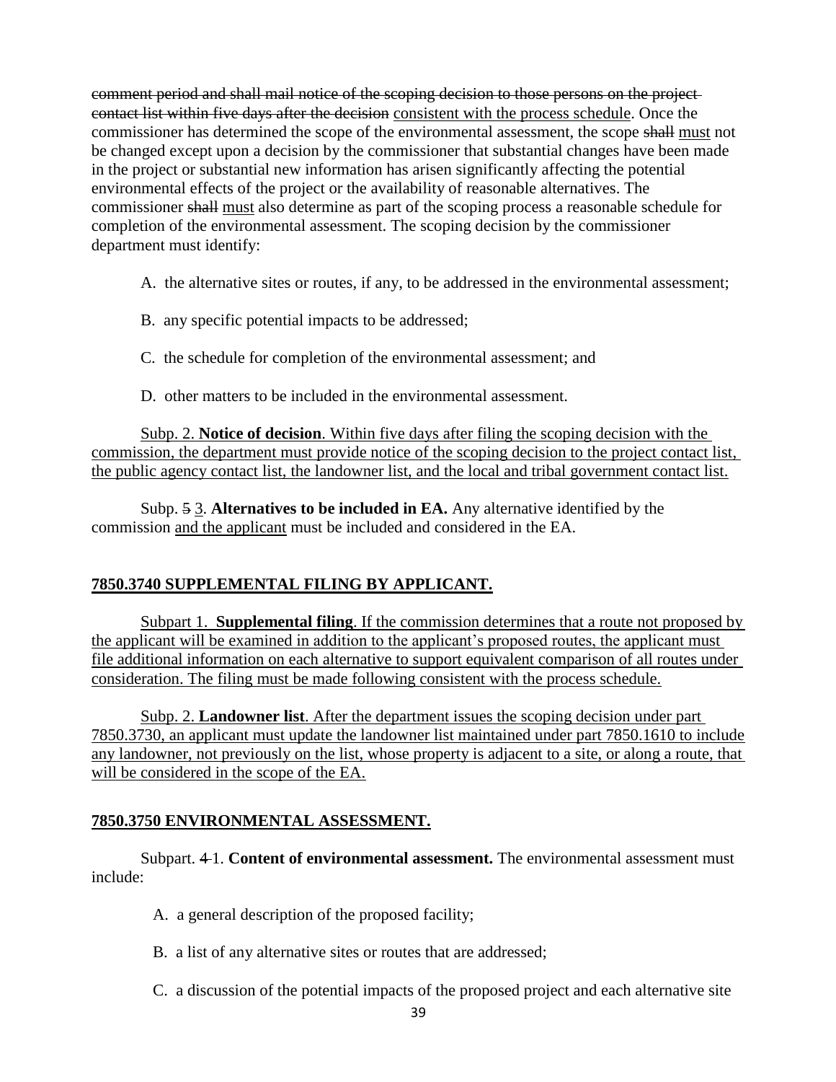comment period and shall mail notice of the scoping decision to those persons on the project contact list within five days after the decision consistent with the process schedule. Once the commissioner has determined the scope of the environmental assessment, the scope shall must not be changed except upon a decision by the commissioner that substantial changes have been made in the project or substantial new information has arisen significantly affecting the potential environmental effects of the project or the availability of reasonable alternatives. The commissioner shall must also determine as part of the scoping process a reasonable schedule for completion of the environmental assessment. The scoping decision by the commissioner department must identify:

- A. the alternative sites or routes, if any, to be addressed in the environmental assessment;
- B. any specific potential impacts to be addressed;
- C. the schedule for completion of the environmental assessment; and
- D. other matters to be included in the environmental assessment.

Subp. 2. **Notice of decision**. Within five days after filing the scoping decision with the commission, the department must provide notice of the scoping decision to the project contact list, the public agency contact list, the landowner list, and the local and tribal government contact list.

Subp. 5 3. **Alternatives to be included in EA.** Any alternative identified by the commission and the applicant must be included and considered in the EA.

# **7850.3740 SUPPLEMENTAL FILING BY APPLICANT.**

Subpart 1. **Supplemental filing**. If the commission determines that a route not proposed by the applicant will be examined in addition to the applicant's proposed routes, the applicant must file additional information on each alternative to support equivalent comparison of all routes under consideration. The filing must be made following consistent with the process schedule.

Subp. 2. **Landowner list**. After the department issues the scoping decision under part 7850.3730, an applicant must update the landowner list maintained under part 7850.1610 to include any landowner, not previously on the list, whose property is adjacent to a site, or along a route, that will be considered in the scope of the EA.

# **7850.3750 ENVIRONMENTAL ASSESSMENT.**

Subpart. 4 1. **Content of environmental assessment.** The environmental assessment must include:

- A. a general description of the proposed facility;
- B. a list of any alternative sites or routes that are addressed;
- C. a discussion of the potential impacts of the proposed project and each alternative site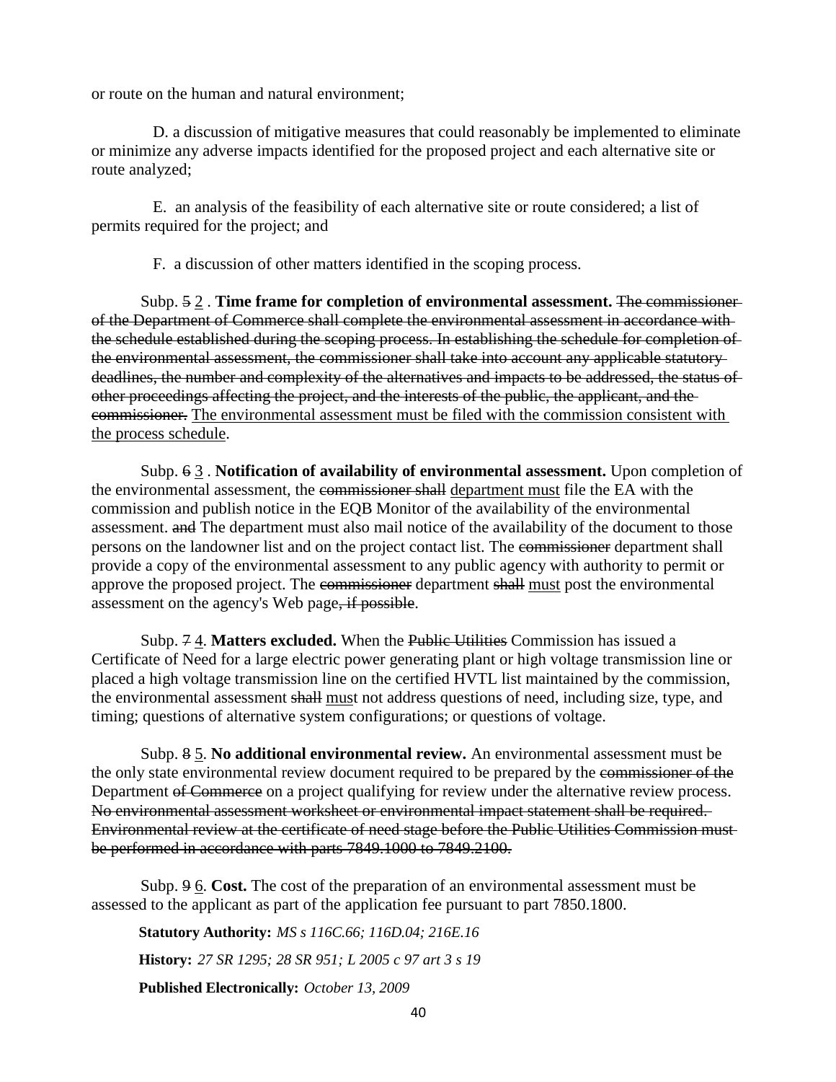or route on the human and natural environment;

D. a discussion of mitigative measures that could reasonably be implemented to eliminate or minimize any adverse impacts identified for the proposed project and each alternative site or route analyzed;

E. an analysis of the feasibility of each alternative site or route considered; a list of permits required for the project; and

F. a discussion of other matters identified in the scoping process.

Subp. 5 2 . **Time frame for completion of environmental assessment.** The commissioner of the Department of Commerce shall complete the environmental assessment in accordance with the schedule established during the scoping process. In establishing the schedule for completion of the environmental assessment, the commissioner shall take into account any applicable statutory deadlines, the number and complexity of the alternatives and impacts to be addressed, the status of other proceedings affecting the project, and the interests of the public, the applicant, and the commissioner. The environmental assessment must be filed with the commission consistent with the process schedule.

Subp. 6 3 . **Notification of availability of environmental assessment.** Upon completion of the environmental assessment, the commissioner shall department must file the EA with the commission and publish notice in the EQB Monitor of the availability of the environmental assessment. and The department must also mail notice of the availability of the document to those persons on the landowner list and on the project contact list. The commissioner department shall provide a copy of the environmental assessment to any public agency with authority to permit or approve the proposed project. The commissioner department shall must post the environmental assessment on the agency's Web page, if possible.

Subp. 7 4. **Matters excluded.** When the Public Utilities Commission has issued a Certificate of Need for a large electric power generating plant or high voltage transmission line or placed a high voltage transmission line on the certified HVTL list maintained by the commission, the environmental assessment shall must not address questions of need, including size, type, and timing; questions of alternative system configurations; or questions of voltage.

Subp. 8 5. **No additional environmental review.** An environmental assessment must be the only state environmental review document required to be prepared by the commissioner of the Department of Commerce on a project qualifying for review under the alternative review process. No environmental assessment worksheet or environmental impact statement shall be required. Environmental review at the certificate of need stage before the Public Utilities Commission must be performed in accordance with parts 7849.1000 to 7849.2100.

Subp. 9 6. **Cost.** The cost of the preparation of an environmental assessment must be assessed to the applicant as part of the application fee pursuant to part 7850.1800.

**Statutory Authority:** *MS s 116C.66; 116D.04; 216E.16*

**History:** *27 SR 1295; 28 SR 951; L 2005 c 97 art 3 s 19*

**Published Electronically:** *October 13, 2009*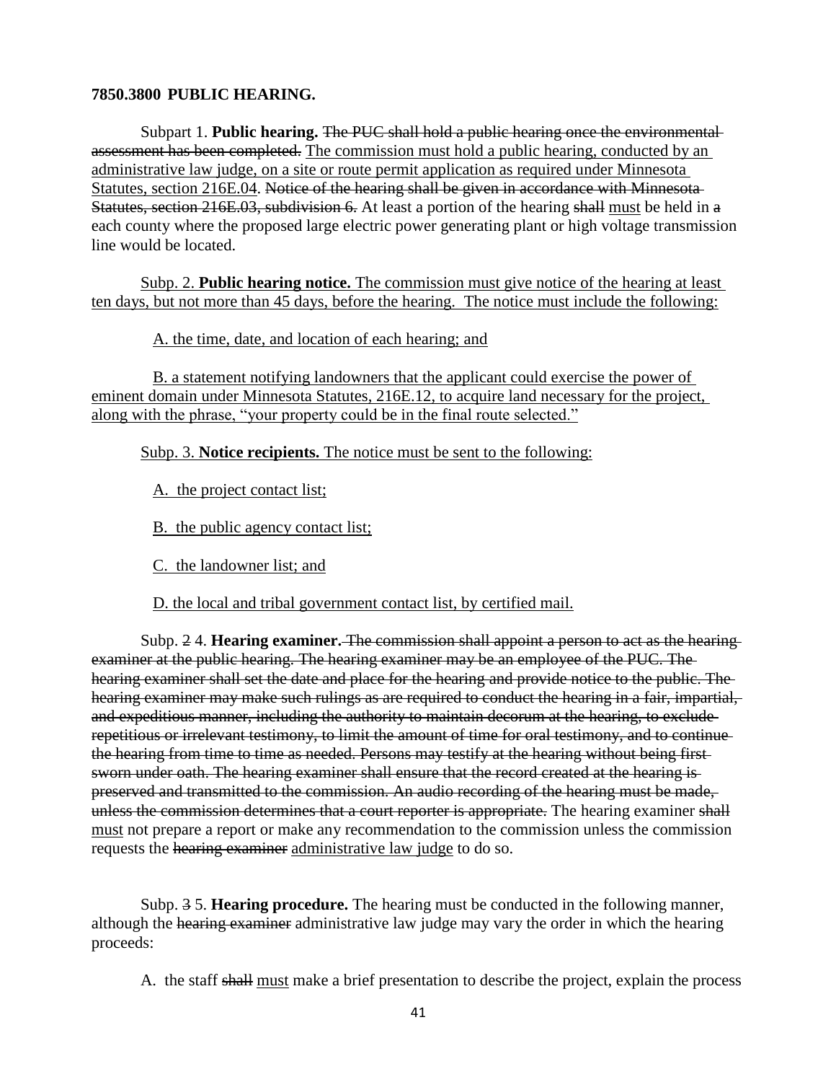### **7850.3800 PUBLIC HEARING.**

Subpart 1. **Public hearing.** The PUC shall hold a public hearing once the environmental assessment has been completed. The commission must hold a public hearing, conducted by an administrative law judge, on a site or route permit application as required under Minnesota Statutes, section 216E.04. Notice of the hearing shall be given in accordance with Minnesota-Statutes, section 216E.03, subdivision 6. At least a portion of the hearing shall must be held in a each county where the proposed large electric power generating plant or high voltage transmission line would be located.

Subp. 2. **Public hearing notice.** The commission must give notice of the hearing at least ten days, but not more than 45 days, before the hearing. The notice must include the following:

A. the time, date, and location of each hearing; and

B. a statement notifying landowners that the applicant could exercise the power of eminent domain under Minnesota Statutes, 216E.12, to acquire land necessary for the project, along with the phrase, "your property could be in the final route selected."

Subp. 3. **Notice recipients.** The notice must be sent to the following:

A. the project contact list;

B. the public agency contact list;

C. the landowner list; and

D. the local and tribal government contact list, by certified mail.

Subp. 2 4. **Hearing examiner.** The commission shall appoint a person to act as the hearing examiner at the public hearing. The hearing examiner may be an employee of the PUC. The hearing examiner shall set the date and place for the hearing and provide notice to the public. The hearing examiner may make such rulings as are required to conduct the hearing in a fair, impartial, and expeditious manner, including the authority to maintain decorum at the hearing, to exclude repetitious or irrelevant testimony, to limit the amount of time for oral testimony, and to continue the hearing from time to time as needed. Persons may testify at the hearing without being first sworn under oath. The hearing examiner shall ensure that the record created at the hearing ispreserved and transmitted to the commission. An audio recording of the hearing must be made, unless the commission determines that a court reporter is appropriate. The hearing examiner shall must not prepare a report or make any recommendation to the commission unless the commission requests the hearing examiner administrative law judge to do so.

Subp. 3 5. **Hearing procedure.** The hearing must be conducted in the following manner, although the hearing examiner administrative law judge may vary the order in which the hearing proceeds:

A. the staff shall must make a brief presentation to describe the project, explain the process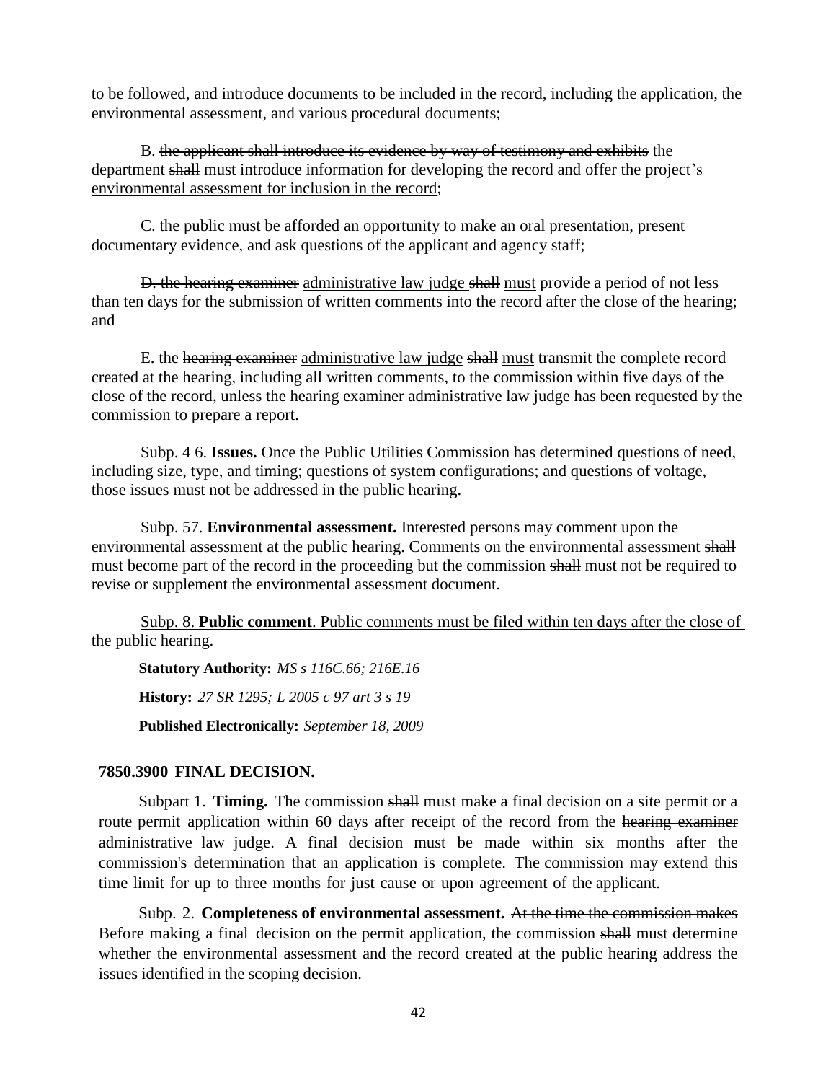to be followed, and introduce documents to be included in the record, including the application, the environmental assessment, and various procedural documents;

B. the applicant shall introduce its evidence by way of testimony and exhibits the department shall must introduce information for developing the record and offer the project's environmental assessment for inclusion in the record;

C. the public must be afforded an opportunity to make an oral presentation, present documentary evidence, and ask questions of the applicant and agency staff;

**D.** the hearing examiner administrative law judge shall must provide a period of not less than ten days for the submission of written comments into the record after the close of the hearing; and

E. the hearing examiner administrative law judge shall must transmit the complete record created at the hearing, including all written comments, to the commission within five days of the close of the record, unless the hearing examiner administrative law judge has been requested by the commission to prepare a report.

Subp. 4 6. **Issues.** Once the Public Utilities Commission has determined questions of need, including size, type, and timing; questions of system configurations; and questions of voltage, those issues must not be addressed in the public hearing.

Subp. 57. **Environmental assessment.** Interested persons may comment upon the environmental assessment at the public hearing. Comments on the environmental assessment shall must become part of the record in the proceeding but the commission shall must not be required to revise or supplement the environmental assessment document.

Subp. 8. **Public comment**. Public comments must be filed within ten days after the close of the public hearing.

**Statutory Authority:** *MS s 116C.66; 216E.16* **History:** *27 SR 1295; L 2005 c 97 art 3 s 19* **Published Electronically:** *September 18, 2009*

## **7850.3900 FINAL DECISION.**

Subpart 1. **Timing.** The commission shall must make a final decision on a site permit or a route permit application within 60 days after receipt of the record from the hearing examiner administrative law judge. A final decision must be made within six months after the commission's determination that an application is complete. The commission may extend this time limit for up to three months for just cause or upon agreement of the applicant.

Subp. 2. **Completeness of environmental assessment.** At the time the commission makes Before making a final decision on the permit application, the commission shall must determine whether the environmental assessment and the record created at the public hearing address the issues identified in the scoping decision.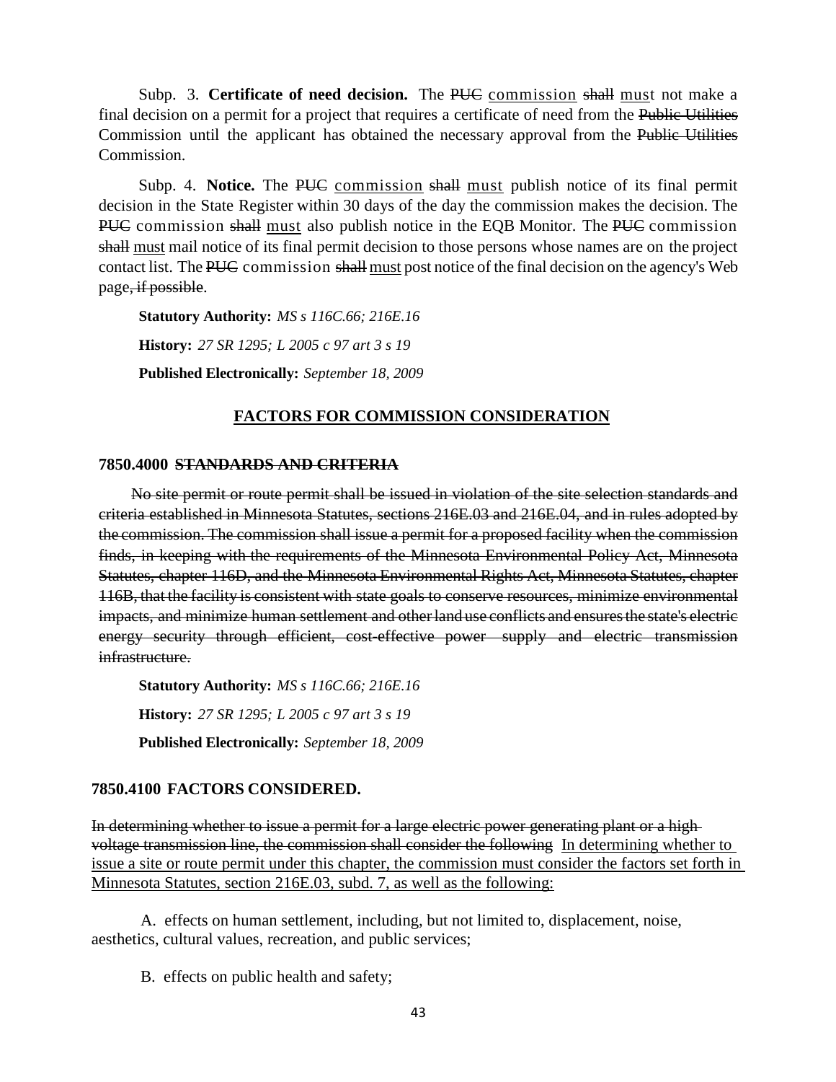Subp. 3. **Certificate of need decision.** The PUC commission shall must not make a final decision on a permit for a project that requires a certificate of need from the Public Utilities Commission until the applicant has obtained the necessary approval from the Public Utilities Commission.

Subp. 4. **Notice.** The PUC commission shall must publish notice of its final permit decision in the State Register within 30 days of the day the commission makes the decision. The PUC commission shall must also publish notice in the EQB Monitor. The PUC commission shall must mail notice of its final permit decision to those persons whose names are on the project contact list. The PUC commission shall must post notice of the final decision on the agency's Web page, if possible.

**Statutory Authority:** *MS s 116C.66; 216E.16* **History:** *27 SR 1295; L 2005 c 97 art 3 s 19* **Published Electronically:** *September 18, 2009*

# **FACTORS FOR COMMISSION CONSIDERATION**

#### **7850.4000 STANDARDS AND CRITERIA**

No site permit or route permit shall be issued in violation of the site selection standards and criteria established in Minnesota Statutes, sections 216E.03 and 216E.04, and in rules adopted by the commission. The commission shall issue a permit for a proposed facility when the commission finds, in keeping with the requirements of the Minnesota Environmental Policy Act, Minnesota Statutes, chapter 116D, and the Minnesota Environmental Rights Act, Minnesota Statutes, chapter 116B, that the facility is consistent with state goals to conserve resources, minimize environmental impacts, and minimize human settlement and other land use conflicts and ensures the state's electric energy security through efficient, cost-effective power supply and electric transmission infrastructure.

**Statutory Authority:** *MS s 116C.66; 216E.16* **History:** *27 SR 1295; L 2005 c 97 art 3 s 19* **Published Electronically:** *September 18, 2009*

## **7850.4100 FACTORS CONSIDERED.**

In determining whether to issue a permit for a large electric power generating plant or a high voltage transmission line, the commission shall consider the following In determining whether to issue a site or route permit under this chapter, the commission must consider the factors set forth in Minnesota Statutes, section 216E.03, subd. 7, as well as the following:

A. effects on human settlement, including, but not limited to, displacement, noise, aesthetics, cultural values, recreation, and public services;

B. effects on public health and safety;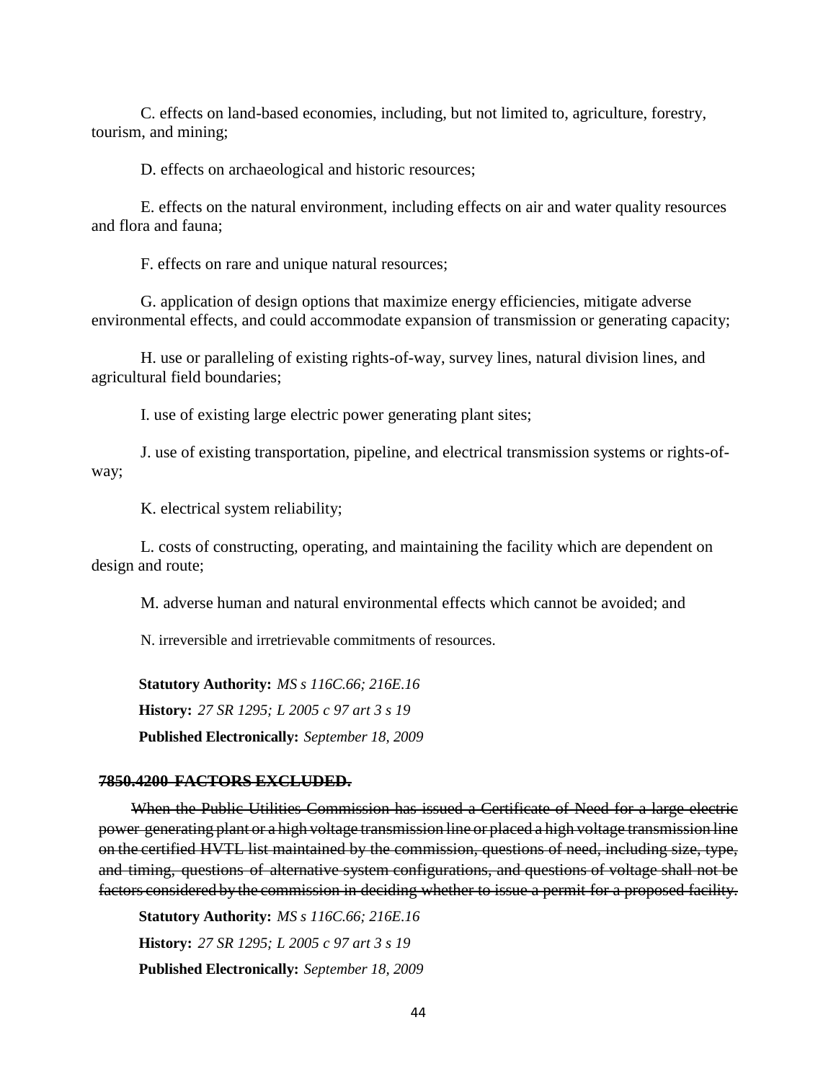C. effects on land-based economies, including, but not limited to, agriculture, forestry, tourism, and mining;

D. effects on archaeological and historic resources;

E. effects on the natural environment, including effects on air and water quality resources and flora and fauna;

F. effects on rare and unique natural resources;

G. application of design options that maximize energy efficiencies, mitigate adverse environmental effects, and could accommodate expansion of transmission or generating capacity;

H. use or paralleling of existing rights-of-way, survey lines, natural division lines, and agricultural field boundaries;

I. use of existing large electric power generating plant sites;

J. use of existing transportation, pipeline, and electrical transmission systems or rights-ofway;

K. electrical system reliability;

L. costs of constructing, operating, and maintaining the facility which are dependent on design and route;

M. adverse human and natural environmental effects which cannot be avoided; and

N. irreversible and irretrievable commitments of resources.

**Statutory Authority:** *MS s 116C.66; 216E.16* **History:** *27 SR 1295; L 2005 c 97 art 3 s 19* **Published Electronically:** *September 18, 2009*

#### **7850.4200 FACTORS EXCLUDED.**

When the Public Utilities Commission has issued a Certificate of Need for a large electric power generating plant or a high voltage transmission line or placed a high voltage transmission line on the certified HVTL list maintained by the commission, questions of need, including size, type, and timing, questions of alternative system configurations, and questions of voltage shall not be factors considered by the commission in deciding whether to issue a permit for a proposed facility.

**Statutory Authority:** *MS s 116C.66; 216E.16* **History:** *27 SR 1295; L 2005 c 97 art 3 s 19* **Published Electronically:** *September 18, 2009*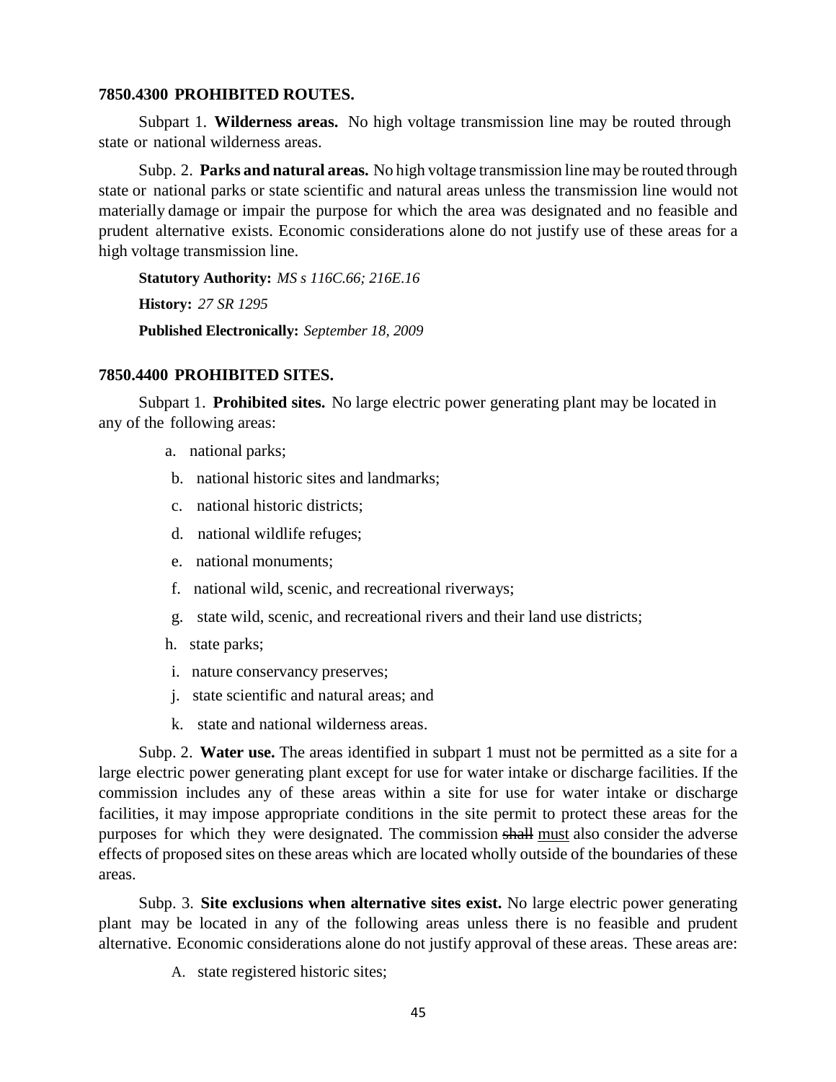#### **7850.4300 PROHIBITED ROUTES.**

Subpart 1. **Wilderness areas.** No high voltage transmission line may be routed through state or national wilderness areas.

Subp. 2. **Parks and natural areas.** No high voltage transmission line may be routed through state or national parks or state scientific and natural areas unless the transmission line would not materially damage or impair the purpose for which the area was designated and no feasible and prudent alternative exists. Economic considerations alone do not justify use of these areas for a high voltage transmission line.

**Statutory Authority:** *MS s 116C.66; 216E.16* **History:** *27 SR 1295* **Published Electronically:** *September 18, 2009*

#### **7850.4400 PROHIBITED SITES.**

Subpart 1. **Prohibited sites.** No large electric power generating plant may be located in any of the following areas:

- a. national parks;
- b. national historic sites and landmarks;
- c. national historic districts;
- d. national wildlife refuges;
- e. national monuments;
- f. national wild, scenic, and recreational riverways;
- g. state wild, scenic, and recreational rivers and their land use districts;
- h. state parks;
- i. nature conservancy preserves;
- j. state scientific and natural areas; and
- k. state and national wilderness areas.

Subp. 2. **Water use.** The areas identified in subpart 1 must not be permitted as a site for a large electric power generating plant except for use for water intake or discharge facilities. If the commission includes any of these areas within a site for use for water intake or discharge facilities, it may impose appropriate conditions in the site permit to protect these areas for the purposes for which they were designated. The commission shall must also consider the adverse effects of proposed sites on these areas which are located wholly outside of the boundaries of these areas.

Subp. 3. **Site exclusions when alternative sites exist.** No large electric power generating plant may be located in any of the following areas unless there is no feasible and prudent alternative. Economic considerations alone do not justify approval of these areas. These areas are:

A. state registered historic sites;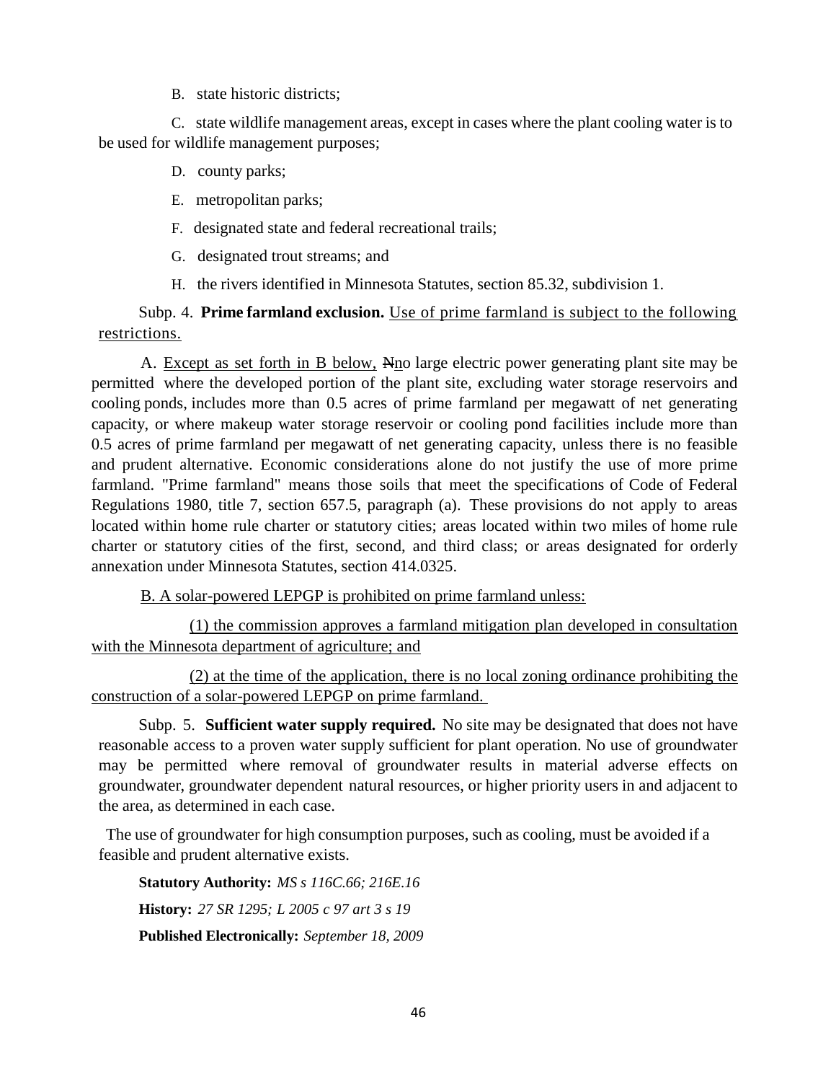B. state historic districts;

C. state wildlife management areas, except in cases where the plant cooling water is to be used for wildlife management purposes;

- D. county parks;
- E. metropolitan parks;
- F. designated state and federal recreational trails;
- G. designated trout streams; and
- H. the rivers identified in Minnesota Statutes, section 85.32, subdivision 1.

# Subp. 4. **Prime farmland exclusion.** Use of prime farmland is subject to the following restrictions.

A. Except as set forth in B below, Nno large electric power generating plant site may be permitted where the developed portion of the plant site, excluding water storage reservoirs and cooling ponds, includes more than 0.5 acres of prime farmland per megawatt of net generating capacity, or where makeup water storage reservoir or cooling pond facilities include more than 0.5 acres of prime farmland per megawatt of net generating capacity, unless there is no feasible and prudent alternative. Economic considerations alone do not justify the use of more prime farmland. "Prime farmland" means those soils that meet the specifications of Code of Federal Regulations 1980, title 7, section 657.5, paragraph (a). These provisions do not apply to areas located within home rule charter or statutory cities; areas located within two miles of home rule charter or statutory cities of the first, second, and third class; or areas designated for orderly annexation under Minnesota Statutes, section 414.0325.

B. A solar-powered LEPGP is prohibited on prime farmland unless:

(1) the commission approves a farmland mitigation plan developed in consultation with the Minnesota department of agriculture; and

(2) at the time of the application, there is no local zoning ordinance prohibiting the construction of a solar-powered LEPGP on prime farmland.

Subp. 5. **Sufficient water supply required.** No site may be designated that does not have reasonable access to a proven water supply sufficient for plant operation. No use of groundwater may be permitted where removal of groundwater results in material adverse effects on groundwater, groundwater dependent natural resources, or higher priority users in and adjacent to the area, as determined in each case.

The use of groundwater for high consumption purposes, such as cooling, must be avoided if a feasible and prudent alternative exists.

**Statutory Authority:** *MS s 116C.66; 216E.16* **History:** *27 SR 1295; L 2005 c 97 art 3 s 19* **Published Electronically:** *September 18, 2009*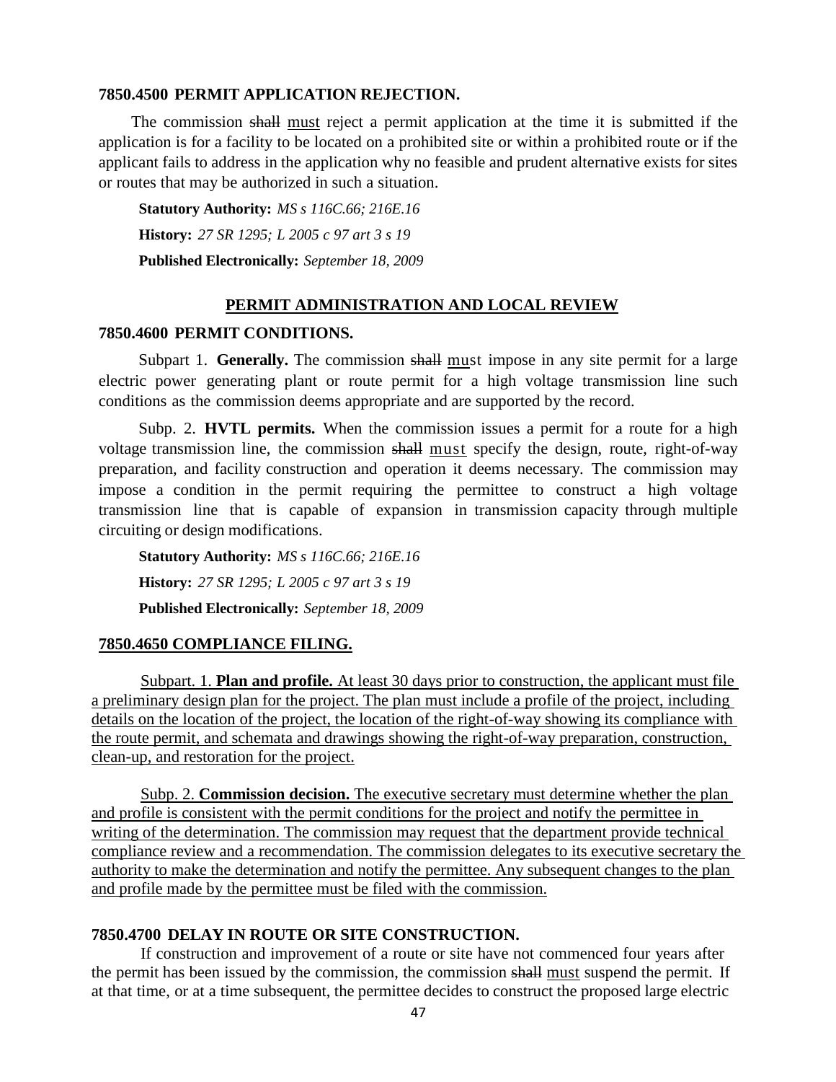#### **7850.4500 PERMIT APPLICATION REJECTION.**

The commission shall must reject a permit application at the time it is submitted if the application is for a facility to be located on a prohibited site or within a prohibited route or if the applicant fails to address in the application why no feasible and prudent alternative exists for sites or routes that may be authorized in such a situation.

**Statutory Authority:** *MS s 116C.66; 216E.16* **History:** *27 SR 1295; L 2005 c 97 art 3 s 19* **Published Electronically:** *September 18, 2009*

### **PERMIT ADMINISTRATION AND LOCAL REVIEW**

### **7850.4600 PERMIT CONDITIONS.**

Subpart 1. **Generally.** The commission shall must impose in any site permit for a large electric power generating plant or route permit for a high voltage transmission line such conditions as the commission deems appropriate and are supported by the record.

Subp. 2. **HVTL permits.** When the commission issues a permit for a route for a high voltage transmission line, the commission shall must specify the design, route, right-of-way preparation, and facility construction and operation it deems necessary. The commission may impose a condition in the permit requiring the permittee to construct a high voltage transmission line that is capable of expansion in transmission capacity through multiple circuiting or design modifications.

**Statutory Authority:** *MS s 116C.66; 216E.16* **History:** *27 SR 1295; L 2005 c 97 art 3 s 19* **Published Electronically:** *September 18, 2009*

#### **7850.4650 COMPLIANCE FILING.**

Subpart. 1. **Plan and profile.** At least 30 days prior to construction, the applicant must file a preliminary design plan for the project. The plan must include a profile of the project, including details on the location of the project, the location of the right-of-way showing its compliance with the route permit, and schemata and drawings showing the right-of-way preparation, construction, clean-up, and restoration for the project.

Subp. 2. **Commission decision.** The executive secretary must determine whether the plan and profile is consistent with the permit conditions for the project and notify the permittee in writing of the determination. The commission may request that the department provide technical compliance review and a recommendation. The commission delegates to its executive secretary the authority to make the determination and notify the permittee. Any subsequent changes to the plan and profile made by the permittee must be filed with the commission.

## **7850.4700 DELAY IN ROUTE OR SITE CONSTRUCTION.**

If construction and improvement of a route or site have not commenced four years after the permit has been issued by the commission, the commission shall must suspend the permit. If at that time, or at a time subsequent, the permittee decides to construct the proposed large electric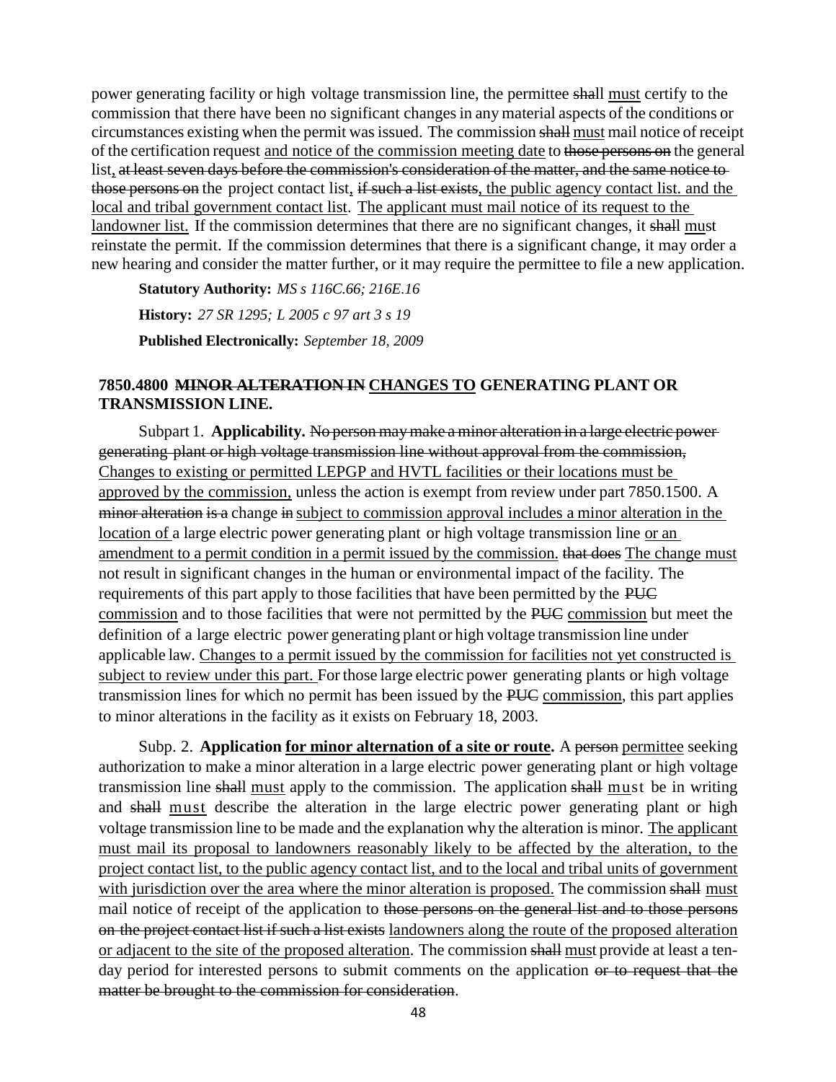power generating facility or high voltage transmission line, the permittee shall must certify to the commission that there have been no significant changesin any material aspects of the conditions or circumstances existing when the permit was issued. The commission shall must mail notice of receipt of the certification request and notice of the commission meeting date to those persons on the general list, at least seven days before the commission's consideration of the matter, and the same notice to those persons on the project contact list, if such a list exists, the public agency contact list, and the local and tribal government contact list. The applicant must mail notice of its request to the landowner list. If the commission determines that there are no significant changes, it shall must reinstate the permit. If the commission determines that there is a significant change, it may order a new hearing and consider the matter further, or it may require the permittee to file a new application.

**Statutory Authority:** *MS s 116C.66; 216E.16* **History:** *27 SR 1295; L 2005 c 97 art 3 s 19* **Published Electronically:** *September 18, 2009*

## **7850.4800 MINOR ALTERATION IN CHANGES TO GENERATING PLANT OR TRANSMISSION LINE.**

Subpart 1. **Applicability.** No person may make a minor alteration in a large electric power generating plant or high voltage transmission line without approval from the commission, Changes to existing or permitted LEPGP and HVTL facilities or their locations must be approved by the commission, unless the action is exempt from review under part 7850.1500. A minor alteration is a change in subject to commission approval includes a minor alteration in the location of a large electric power generating plant or high voltage transmission line or an amendment to a permit condition in a permit issued by the commission. that does The change must not result in significant changes in the human or environmental impact of the facility. The requirements of this part apply to those facilities that have been permitted by the PUC commission and to those facilities that were not permitted by the PUC commission but meet the definition of a large electric power generating plant or high voltage transmission line under applicable law. Changes to a permit issued by the commission for facilities not yet constructed is subject to review under this part. For those large electric power generating plants or high voltage transmission lines for which no permit has been issued by the PUC commission, this part applies to minor alterations in the facility as it exists on February 18, 2003.

Subp. 2. **Application <u>for minor alternation of a site or route</u>.** A person permittee seeking authorization to make a minor alteration in a large electric power generating plant or high voltage transmission line shall must apply to the commission. The application shall must be in writing and shall must describe the alteration in the large electric power generating plant or high voltage transmission line to be made and the explanation why the alteration is minor. The applicant must mail its proposal to landowners reasonably likely to be affected by the alteration, to the project contact list, to the public agency contact list, and to the local and tribal units of government with jurisdiction over the area where the minor alteration is proposed. The commission shall must mail notice of receipt of the application to those persons on the general list and to those persons on the project contact list if such a list exists landowners along the route of the proposed alteration or adjacent to the site of the proposed alteration. The commission shall must provide at least a tenday period for interested persons to submit comments on the application or to request that the matter be brought to the commission for consideration.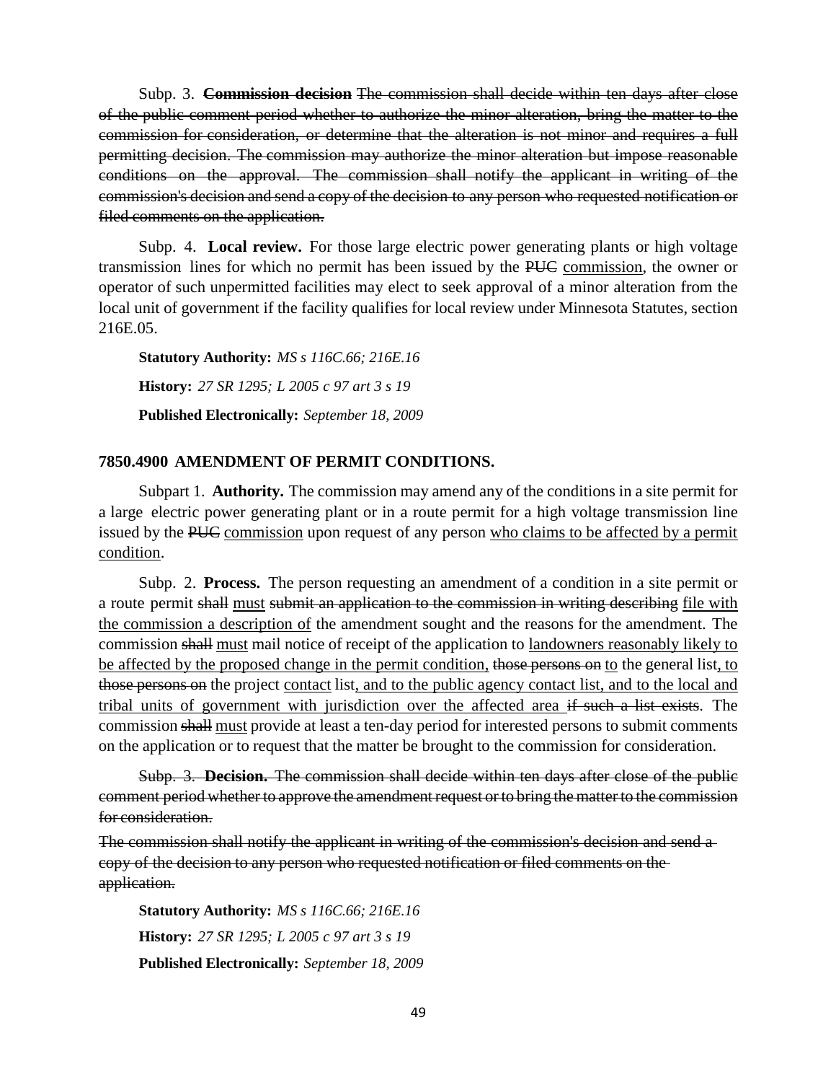Subp. 3. **Commission decision** The commission shall decide within ten days after close of the public comment period whether to authorize the minor alteration, bring the matter to the commission for consideration, or determine that the alteration is not minor and requires a full permitting decision. The commission may authorize the minor alteration but impose reasonable conditions on the approval. The commission shall notify the applicant in writing of the commission's decision and send a copy of the decision to any person who requested notification or filed comments on the application.

Subp. 4. **Local review.** For those large electric power generating plants or high voltage transmission lines for which no permit has been issued by the PUC commission, the owner or operator of such unpermitted facilities may elect to seek approval of a minor alteration from the local unit of government if the facility qualifies for local review under Minnesota Statutes, section 216E.05.

**Statutory Authority:** *MS s 116C.66; 216E.16* **History:** *27 SR 1295; L 2005 c 97 art 3 s 19* **Published Electronically:** *September 18, 2009*

## **7850.4900 AMENDMENT OF PERMIT CONDITIONS.**

Subpart 1. **Authority.** The commission may amend any of the conditions in a site permit for a large electric power generating plant or in a route permit for a high voltage transmission line issued by the PUC commission upon request of any person who claims to be affected by a permit condition.

Subp. 2. **Process.** The person requesting an amendment of a condition in a site permit or a route permit shall must submit an application to the commission in writing describing file with the commission a description of the amendment sought and the reasons for the amendment. The commission shall must mail notice of receipt of the application to landowners reasonably likely to be affected by the proposed change in the permit condition, those persons on to the general list, to those persons on the project contact list, and to the public agency contact list, and to the local and tribal units of government with jurisdiction over the affected area if such a list exists. The commission shall must provide at least a ten-day period for interested persons to submit comments on the application or to request that the matter be brought to the commission for consideration.

Subp. 3. **Decision.** The commission shall decide within ten days after close of the public comment period whether to approve the amendment request or to bring the matter to the commission for consideration.

The commission shall notify the applicant in writing of the commission's decision and send a copy of the decision to any person who requested notification or filed comments on the application.

**Statutory Authority:** *MS s 116C.66; 216E.16* **History:** *27 SR 1295; L 2005 c 97 art 3 s 19* **Published Electronically:** *September 18, 2009*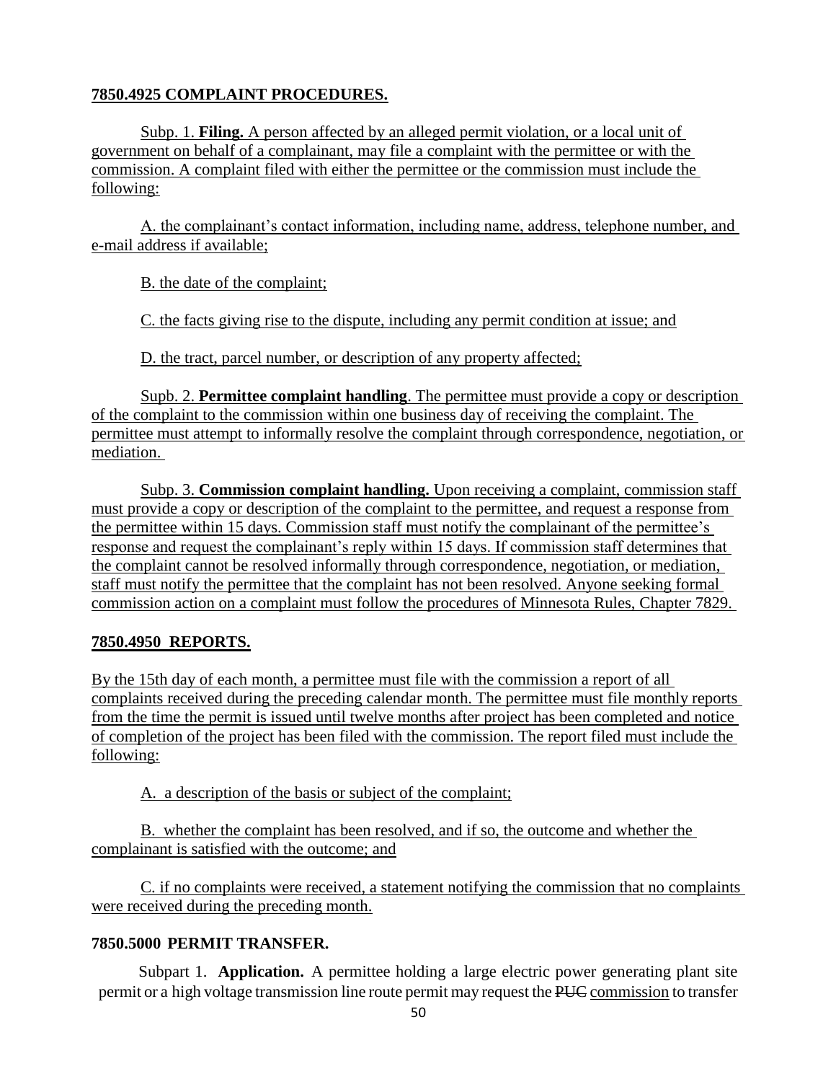# **7850.4925 COMPLAINT PROCEDURES.**

Subp. 1. **Filing.** A person affected by an alleged permit violation, or a local unit of government on behalf of a complainant, may file a complaint with the permittee or with the commission. A complaint filed with either the permittee or the commission must include the following:

A. the complainant's contact information, including name, address, telephone number, and e-mail address if available;

B. the date of the complaint;

C. the facts giving rise to the dispute, including any permit condition at issue; and

D. the tract, parcel number, or description of any property affected;

Supb. 2. **Permittee complaint handling**. The permittee must provide a copy or description of the complaint to the commission within one business day of receiving the complaint. The permittee must attempt to informally resolve the complaint through correspondence, negotiation, or mediation.

Subp. 3. **Commission complaint handling.** Upon receiving a complaint, commission staff must provide a copy or description of the complaint to the permittee, and request a response from the permittee within 15 days. Commission staff must notify the complainant of the permittee's response and request the complainant's reply within 15 days. If commission staff determines that the complaint cannot be resolved informally through correspondence, negotiation, or mediation, staff must notify the permittee that the complaint has not been resolved. Anyone seeking formal commission action on a complaint must follow the procedures of Minnesota Rules, Chapter 7829.

# **7850.4950 REPORTS.**

By the 15th day of each month, a permittee must file with the commission a report of all complaints received during the preceding calendar month. The permittee must file monthly reports from the time the permit is issued until twelve months after project has been completed and notice of completion of the project has been filed with the commission. The report filed must include the following:

A. a description of the basis or subject of the complaint;

B. whether the complaint has been resolved, and if so, the outcome and whether the complainant is satisfied with the outcome; and

C. if no complaints were received, a statement notifying the commission that no complaints were received during the preceding month.

# **7850.5000 PERMIT TRANSFER.**

Subpart 1. **Application.** A permittee holding a large electric power generating plant site permit or a high voltage transmission line route permit may request the PUC commission to transfer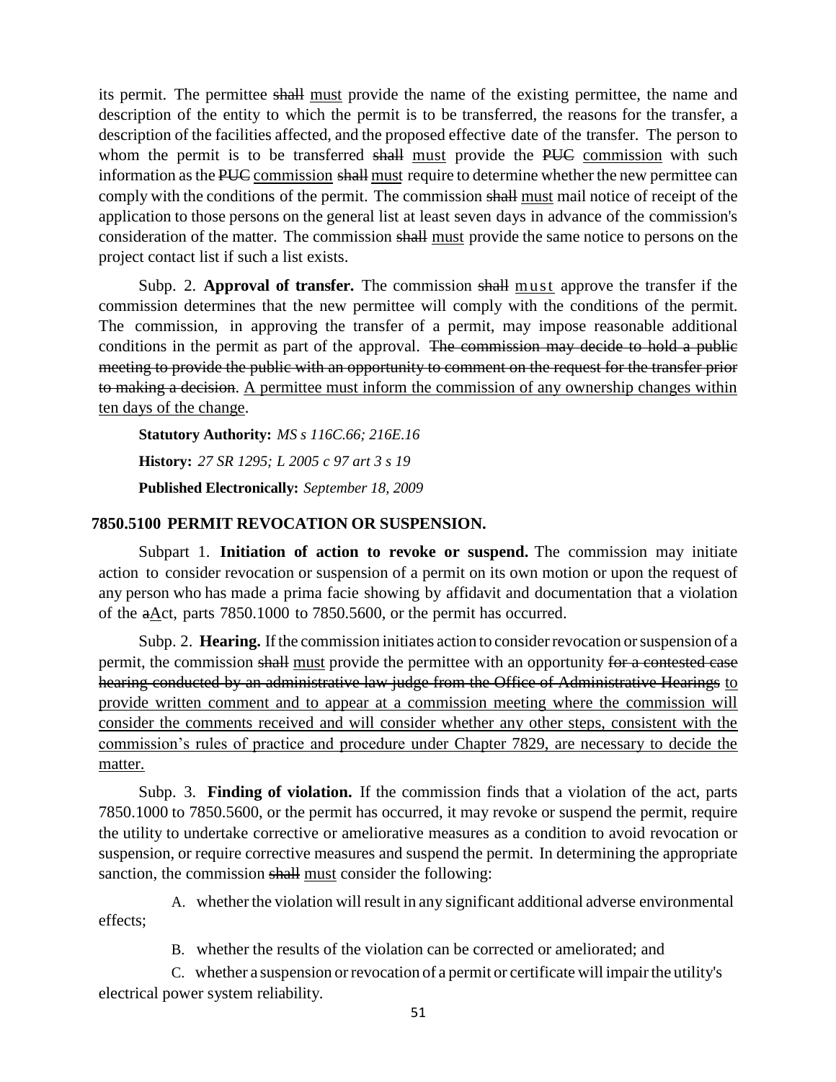its permit. The permittee shall must provide the name of the existing permittee, the name and description of the entity to which the permit is to be transferred, the reasons for the transfer, a description of the facilities affected, and the proposed effective date of the transfer. The person to whom the permit is to be transferred shall must provide the PUC commission with such information asthe PUC commission shall must require to determine whether the new permittee can comply with the conditions of the permit. The commission shall must mail notice of receipt of the application to those persons on the general list at least seven days in advance of the commission's consideration of the matter. The commission shall must provide the same notice to persons on the project contact list if such a list exists.

Subp. 2. **Approval of transfer.** The commission shall must approve the transfer if the commission determines that the new permittee will comply with the conditions of the permit. The commission, in approving the transfer of a permit, may impose reasonable additional conditions in the permit as part of the approval. The commission may decide to hold a public meeting to provide the public with an opportunity to comment on the request for the transfer prior to making a decision. A permittee must inform the commission of any ownership changes within ten days of the change.

**Statutory Authority:** *MS s 116C.66; 216E.16* **History:** *27 SR 1295; L 2005 c 97 art 3 s 19* **Published Electronically:** *September 18, 2009*

### **7850.5100 PERMIT REVOCATION OR SUSPENSION.**

Subpart 1. **Initiation of action to revoke or suspend.** The commission may initiate action to consider revocation or suspension of a permit on its own motion or upon the request of any person who has made a prima facie showing by affidavit and documentation that a violation of the aAct, parts 7850.1000 to 7850.5600, or the permit has occurred.

Subp. 2. **Hearing.** Ifthe commission initiates action to considerrevocation orsuspension of a permit, the commission shall must provide the permittee with an opportunity for a contested case hearing conducted by an administrative law judge from the Office of Administrative Hearings to provide written comment and to appear at a commission meeting where the commission will consider the comments received and will consider whether any other steps, consistent with the commission's rules of practice and procedure under Chapter 7829, are necessary to decide the matter.

Subp. 3. **Finding of violation.** If the commission finds that a violation of the act, parts 7850.1000 to 7850.5600, or the permit has occurred, it may revoke or suspend the permit, require the utility to undertake corrective or ameliorative measures as a condition to avoid revocation or suspension, or require corrective measures and suspend the permit. In determining the appropriate sanction, the commission shall must consider the following:

A. whether the violation will result in any significant additional adverse environmental effects;

B. whether the results of the violation can be corrected or ameliorated; and

C. whether a suspension orrevocation of a permit or certificate will impairthe utility's electrical power system reliability.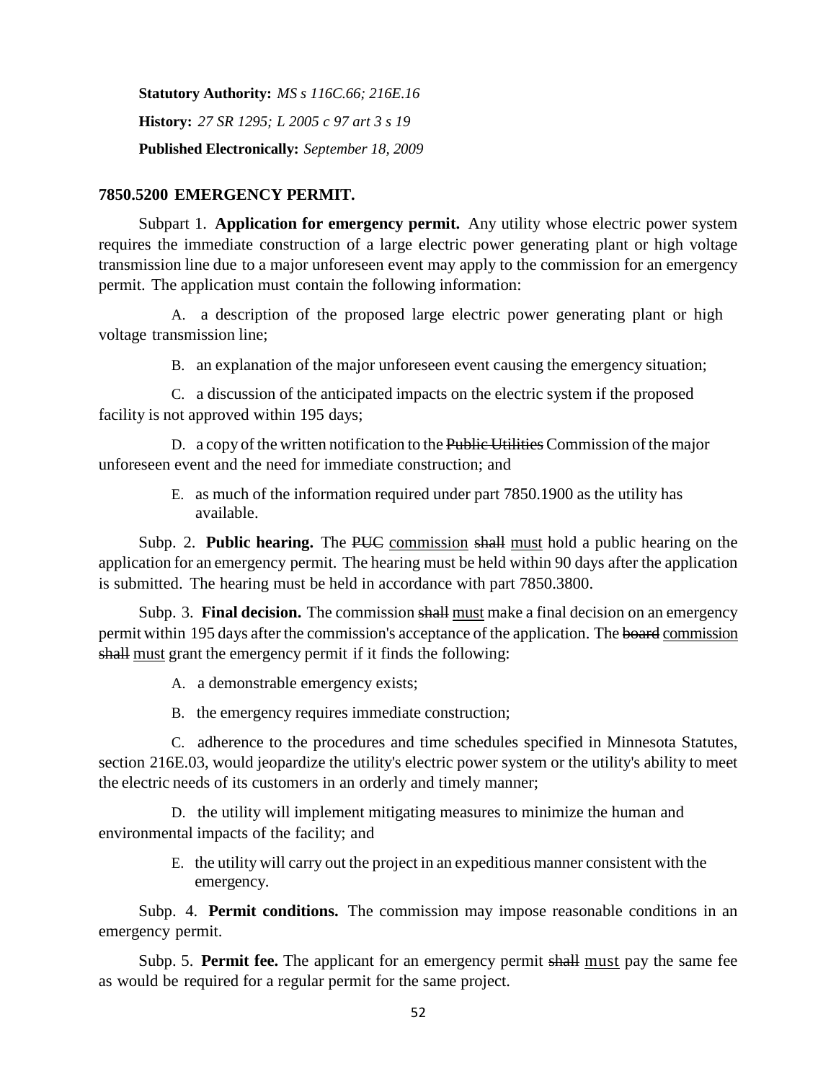**Statutory Authority:** *MS s 116C.66; 216E.16* **History:** *27 SR 1295; L 2005 c 97 art 3 s 19* **Published Electronically:** *September 18, 2009*

### **7850.5200 EMERGENCY PERMIT.**

Subpart 1. **Application for emergency permit.** Any utility whose electric power system requires the immediate construction of a large electric power generating plant or high voltage transmission line due to a major unforeseen event may apply to the commission for an emergency permit. The application must contain the following information:

A. a description of the proposed large electric power generating plant or high voltage transmission line;

B. an explanation of the major unforeseen event causing the emergency situation;

C. a discussion of the anticipated impacts on the electric system if the proposed facility is not approved within 195 days;

D. a copy of the written notification to the Public Utilities Commission of the major unforeseen event and the need for immediate construction; and

> E. as much of the information required under part 7850.1900 as the utility has available.

Subp. 2. **Public hearing.** The PUC commission shall must hold a public hearing on the application for an emergency permit. The hearing must be held within 90 days after the application is submitted. The hearing must be held in accordance with part 7850.3800.

Subp. 3. **Final decision.** The commission shall must make a final decision on an emergency permit within 195 days after the commission's acceptance of the application. The board commission shall must grant the emergency permit if it finds the following:

A. a demonstrable emergency exists;

B. the emergency requires immediate construction;

C. adherence to the procedures and time schedules specified in Minnesota Statutes, section 216E.03, would jeopardize the utility's electric power system or the utility's ability to meet the electric needs of its customers in an orderly and timely manner;

D. the utility will implement mitigating measures to minimize the human and environmental impacts of the facility; and

> E. the utility will carry out the project in an expeditious manner consistent with the emergency.

Subp. 4. **Permit conditions.** The commission may impose reasonable conditions in an emergency permit.

Subp. 5. **Permit fee.** The applicant for an emergency permit shall must pay the same fee as would be required for a regular permit for the same project.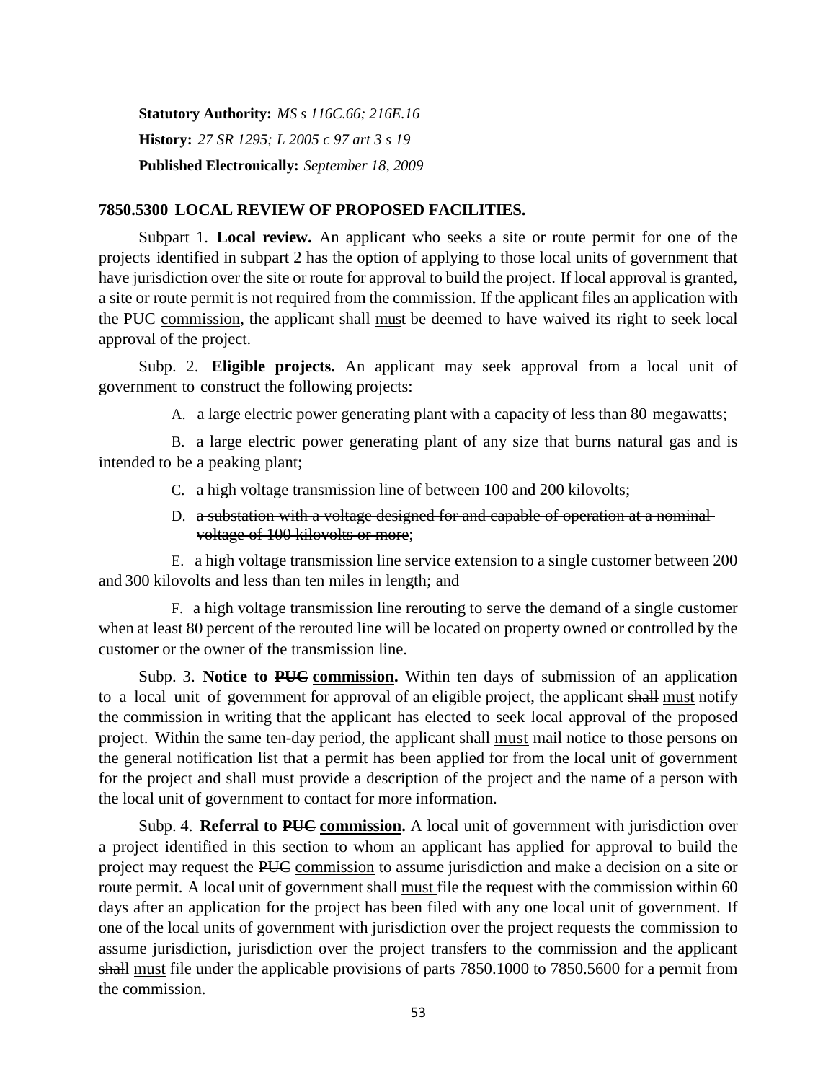**Statutory Authority:** *MS s 116C.66; 216E.16* **History:** *27 SR 1295; L 2005 c 97 art 3 s 19* **Published Electronically:** *September 18, 2009*

## **7850.5300 LOCAL REVIEW OF PROPOSED FACILITIES.**

Subpart 1. **Local review.** An applicant who seeks a site or route permit for one of the projects identified in subpart 2 has the option of applying to those local units of government that have jurisdiction over the site or route for approval to build the project. If local approval is granted, a site or route permit is not required from the commission. If the applicant files an application with the PUC commission, the applicant shall must be deemed to have waived its right to seek local approval of the project.

Subp. 2. **Eligible projects.** An applicant may seek approval from a local unit of government to construct the following projects:

A. a large electric power generating plant with a capacity of less than 80 megawatts;

B. a large electric power generating plant of any size that burns natural gas and is intended to be a peaking plant;

- C. a high voltage transmission line of between 100 and 200 kilovolts;
- D. a substation with a voltage designed for and capable of operation at a nominalvoltage of 100 kilovolts or more;

E. a high voltage transmission line service extension to a single customer between 200 and 300 kilovolts and less than ten miles in length; and

F. a high voltage transmission line rerouting to serve the demand of a single customer when at least 80 percent of the rerouted line will be located on property owned or controlled by the customer or the owner of the transmission line.

Subp. 3. **Notice to PUC commission.** Within ten days of submission of an application to a local unit of government for approval of an eligible project, the applicant shall must notify the commission in writing that the applicant has elected to seek local approval of the proposed project. Within the same ten-day period, the applicant shall must mail notice to those persons on the general notification list that a permit has been applied for from the local unit of government for the project and shall must provide a description of the project and the name of a person with the local unit of government to contact for more information.

Subp. 4. **Referral to PUC commission.** A local unit of government with jurisdiction over a project identified in this section to whom an applicant has applied for approval to build the project may request the PUC commission to assume jurisdiction and make a decision on a site or route permit. A local unit of government shall-must file the request with the commission within 60 days after an application for the project has been filed with any one local unit of government. If one of the local units of government with jurisdiction over the project requests the commission to assume jurisdiction, jurisdiction over the project transfers to the commission and the applicant shall must file under the applicable provisions of parts 7850.1000 to 7850.5600 for a permit from the commission.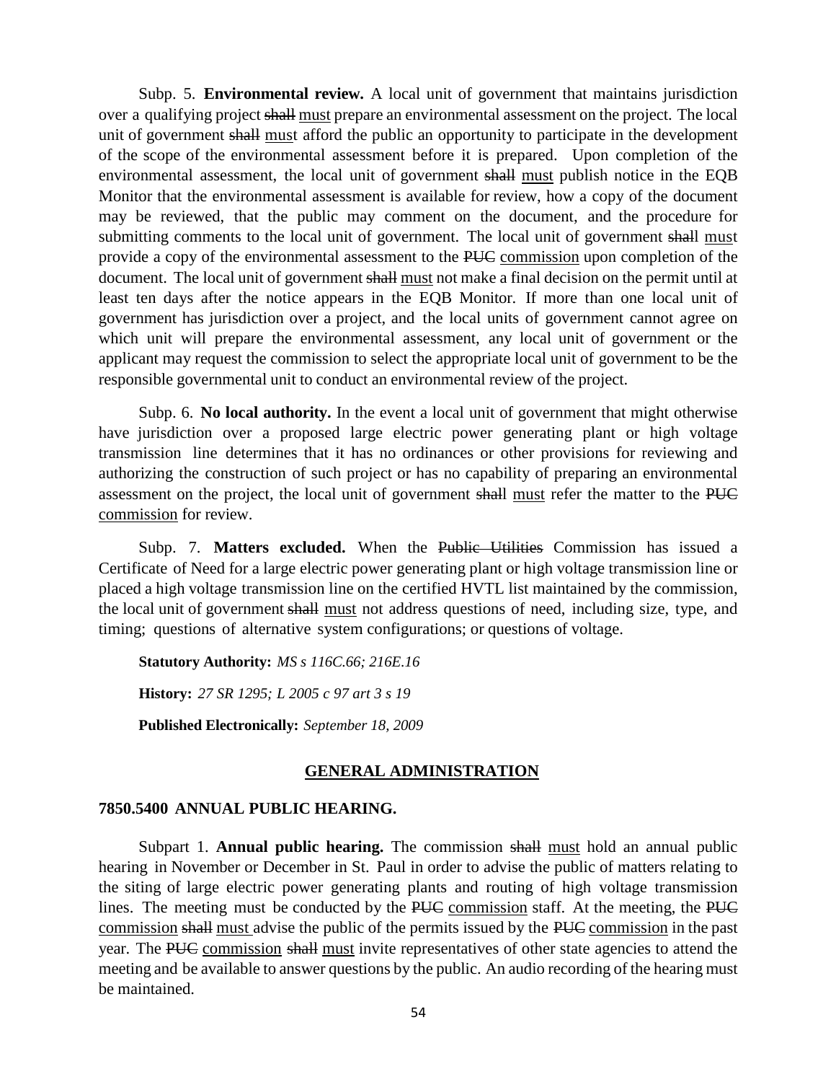Subp. 5. **Environmental review.** A local unit of government that maintains jurisdiction over a qualifying project shall must prepare an environmental assessment on the project. The local unit of government shall must afford the public an opportunity to participate in the development of the scope of the environmental assessment before it is prepared. Upon completion of the environmental assessment, the local unit of government shall must publish notice in the EQB Monitor that the environmental assessment is available for review, how a copy of the document may be reviewed, that the public may comment on the document, and the procedure for submitting comments to the local unit of government. The local unit of government shall must provide a copy of the environmental assessment to the PUC commission upon completion of the document. The local unit of government shall must not make a final decision on the permit until at least ten days after the notice appears in the EQB Monitor. If more than one local unit of government has jurisdiction over a project, and the local units of government cannot agree on which unit will prepare the environmental assessment, any local unit of government or the applicant may request the commission to select the appropriate local unit of government to be the responsible governmental unit to conduct an environmental review of the project.

Subp. 6. **No local authority.** In the event a local unit of government that might otherwise have jurisdiction over a proposed large electric power generating plant or high voltage transmission line determines that it has no ordinances or other provisions for reviewing and authorizing the construction of such project or has no capability of preparing an environmental assessment on the project, the local unit of government shall must refer the matter to the PUC commission for review.

Subp. 7. Matters excluded. When the Public Utilities Commission has issued a Certificate of Need for a large electric power generating plant or high voltage transmission line or placed a high voltage transmission line on the certified HVTL list maintained by the commission, the local unit of government shall must not address questions of need, including size, type, and timing; questions of alternative system configurations; or questions of voltage.

**Statutory Authority:** *MS s 116C.66; 216E.16* **History:** *27 SR 1295; L 2005 c 97 art 3 s 19* **Published Electronically:** *September 18, 2009*

# **GENERAL ADMINISTRATION**

## **7850.5400 ANNUAL PUBLIC HEARING.**

Subpart 1. **Annual public hearing.** The commission shall must hold an annual public hearing in November or December in St. Paul in order to advise the public of matters relating to the siting of large electric power generating plants and routing of high voltage transmission lines. The meeting must be conducted by the PUC commission staff. At the meeting, the PUC commission shall must advise the public of the permits issued by the PUC commission in the past year. The PUC commission shall must invite representatives of other state agencies to attend the meeting and be available to answer questions by the public. An audio recording of the hearing must be maintained.